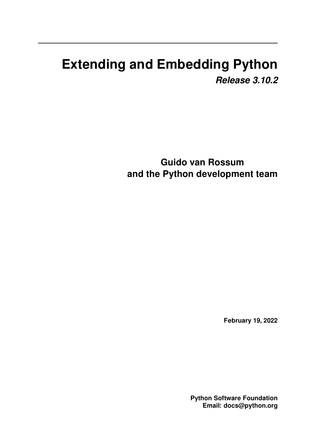# **Extending and Embedding Python** *Release 3.10.2*

**Guido van Rossum and the Python development team**

**February 19, 2022**

**Python Software Foundation Email: docs@python.org**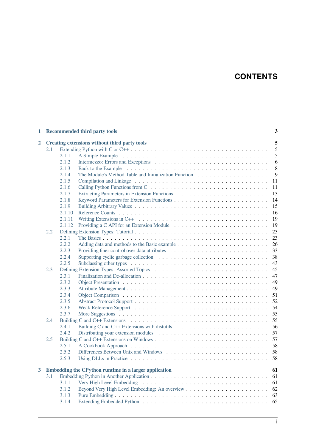# **CONTENTS**

| 1              |     |        | <b>Recommended third party tools</b>                  | 3  |
|----------------|-----|--------|-------------------------------------------------------|----|
| $\overline{2}$ |     |        | Creating extensions without third party tools         | 5  |
|                | 2.1 |        |                                                       | 5  |
|                |     | 2.1.1  |                                                       | 5  |
|                |     | 2.1.2  |                                                       | 6  |
|                |     | 2.1.3  |                                                       | 8  |
|                |     | 2.1.4  |                                                       | 9  |
|                |     | 2.1.5  |                                                       | 11 |
|                |     | 2.1.6  |                                                       | 11 |
|                |     | 2.1.7  |                                                       | 13 |
|                |     | 2.1.8  |                                                       | 14 |
|                |     | 2.1.9  |                                                       | 15 |
|                |     | 2.1.10 |                                                       | 16 |
|                |     | 2.1.11 |                                                       | 19 |
|                |     | 2.1.12 |                                                       | 19 |
|                | 2.2 |        |                                                       | 23 |
|                |     | 2.2.1  |                                                       | 23 |
|                |     | 2.2.2  |                                                       | 26 |
|                |     | 2.2.3  |                                                       | 33 |
|                |     | 2.2.4  |                                                       | 38 |
|                |     | 2.2.5  |                                                       | 43 |
|                | 2.3 |        |                                                       | 45 |
|                |     | 2.3.1  |                                                       | 47 |
|                |     | 2.3.2  |                                                       | 49 |
|                |     | 2.3.3  |                                                       | 49 |
|                |     | 2.3.4  |                                                       | 51 |
|                |     | 2.3.5  |                                                       | 52 |
|                |     | 2.3.6  |                                                       | 54 |
|                |     | 2.3.7  |                                                       | 55 |
|                | 2.4 |        |                                                       | 55 |
|                |     | 2.4.1  |                                                       | 56 |
|                |     | 2.4.2  |                                                       | 57 |
|                | 2.5 |        |                                                       | 57 |
|                |     | 2.5.1  |                                                       | 58 |
|                |     | 2.5.2  |                                                       | 58 |
|                |     | 2.5.3  |                                                       | 58 |
| 3              |     |        | Embedding the CPython runtime in a larger application | 61 |
|                | 3.1 |        |                                                       | 61 |
|                |     | 3.1.1  |                                                       | 61 |
|                |     | 3.1.2  |                                                       | 62 |
|                |     | 3.1.3  |                                                       | 63 |
|                |     | 3.1.4  |                                                       | 65 |
|                |     |        |                                                       |    |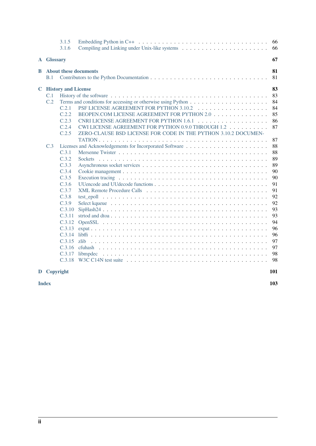|   |                              | 3.1.5<br>3.1.6               | Embedding Python in C++ $\ldots \ldots \ldots \ldots \ldots \ldots \ldots \ldots \ldots \ldots \ldots \ldots$ | 66<br>66 |  |  |
|---|------------------------------|------------------------------|---------------------------------------------------------------------------------------------------------------|----------|--|--|
|   |                              | <b>A</b> Glossary            |                                                                                                               |          |  |  |
| B | B.1                          | <b>About these documents</b> |                                                                                                               |          |  |  |
|   | <b>C</b> History and License |                              |                                                                                                               |          |  |  |
|   | C.1                          |                              |                                                                                                               | 83       |  |  |
|   | C.2                          |                              |                                                                                                               | 84       |  |  |
|   |                              | C.2.1                        |                                                                                                               | 84       |  |  |
|   |                              | C.2.2                        | BEOPEN.COM LICENSE AGREEMENT FOR PYTHON 2.0                                                                   | 85       |  |  |
|   |                              | C.2.3                        |                                                                                                               | 86       |  |  |
|   |                              | C.2.4                        | CWI LICENSE AGREEMENT FOR PYTHON 0.9.0 THROUGH 1.2                                                            | 87       |  |  |
|   |                              | C.2.5                        | ZERO-CLAUSE BSD LICENSE FOR CODE IN THE PYTHON 3.10.2 DOCUMEN-                                                |          |  |  |
|   |                              |                              |                                                                                                               | 87       |  |  |
|   | C.3                          |                              |                                                                                                               | 88       |  |  |
|   |                              | C.3.1                        |                                                                                                               | 88       |  |  |
|   |                              | C.3.2                        |                                                                                                               | 89       |  |  |
|   |                              | C.3.3                        |                                                                                                               | 89       |  |  |
|   |                              | C.3.4                        |                                                                                                               | 90       |  |  |
|   |                              | C.3.5                        |                                                                                                               | 90       |  |  |
|   |                              | C.3.6                        |                                                                                                               | 91       |  |  |
|   |                              | C.3.7                        |                                                                                                               | 91       |  |  |
|   |                              | C.3.8                        |                                                                                                               | 92       |  |  |
|   |                              | C.3.9                        |                                                                                                               | 92       |  |  |
|   |                              | C.3.10                       |                                                                                                               | 93       |  |  |
|   |                              | C.3.11                       |                                                                                                               | 93       |  |  |
|   |                              | C.3.12                       |                                                                                                               | 94       |  |  |
|   |                              | C.3.13                       |                                                                                                               | 96       |  |  |
|   |                              | C.3.14                       |                                                                                                               | 96       |  |  |
|   |                              | C.3.15                       | zlib                                                                                                          | 97       |  |  |
|   |                              | C.3.16                       |                                                                                                               | 97       |  |  |
|   |                              | C.3.17                       | libmpdec                                                                                                      | 98       |  |  |
|   |                              | C.3.18                       |                                                                                                               | 98       |  |  |
|   | D Copyright                  |                              |                                                                                                               | 101      |  |  |

**ii**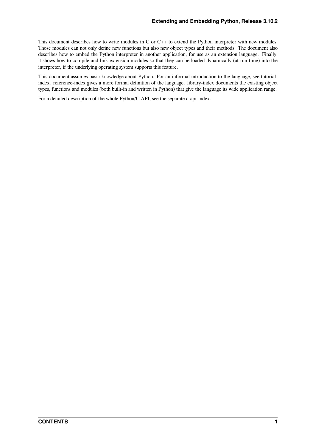This document describes how to write modules in C or C++ to extend the Python interpreter with new modules. Those modules can not only define new functions but also new object types and their methods. The document also describes how to embed the Python interpreter in another application, for use as an extension language. Finally, it shows how to compile and link extension modules so that they can be loaded dynamically (at run time) into the interpreter, if the underlying operating system supports this feature.

This document assumes basic knowledge about Python. For an informal introduction to the language, see tutorialindex. reference-index gives a more formal definition of the language. library-index documents the existing object types, functions and modules (both built-in and written in Python) that give the language its wide application range.

For a detailed description of the whole Python/C API, see the separate c-api-index.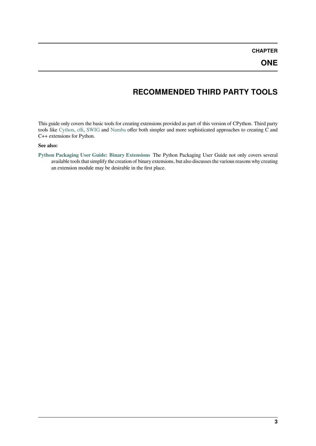# **RECOMMENDED THIRD PARTY TOOLS**

<span id="page-6-0"></span>This guide only covers the basic tools for creating extensions provided as part of this version of CPython. Third party tools like Cython, cffi, SWIG and Numba offer both simpler and more sophisticated approaches to creating C and C++ extensions for Python.

#### **See also:**

**Python [Packagin](http://cython.org/)[g U](https://cffi.readthedocs.io)s[er Gui](http://www.swig.org)de: [Binary](https://numba.pydata.org/) Extensions** The Python Packaging User Guide not only covers several available tools that simplify the creation of binary extensions, but also discusses the various reasons why creating an extension module may be desirable in the first place.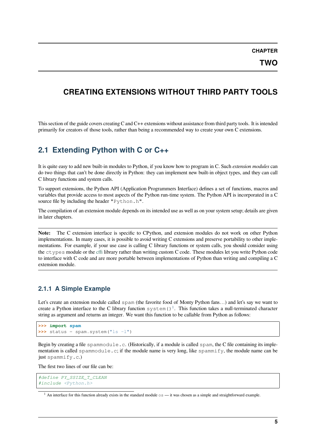# <span id="page-8-0"></span>**CREATING EXTENSIONS WITHOUT THIRD PARTY TOOLS**

This section of the guide covers creating C and C++ extensions without assistance from third party tools. It is intended primarily for creators of those tools, rather than being a recommended way to create your own C extensions.

# **2.1 Extending Python with C or C++**

<span id="page-8-1"></span>It is quite easy to add new built-in modules to Python, if you know how to program in C. Such *extension modules* can do two things that can't be done directly in Python: they can implement new built-in object types, and they can call C library functions and system calls.

To support extensions, the Python API (Application Programmers Interface) defines a set of functions, macros and variables that provide access to most aspects of the Python run-time system. The Python API is incorporated in a C source file by including the header "Python.h".

The compilation of an extension module depends on its intended use as well as on your system setup; details are given in later chapters.

**Note:** The C extension interface is specific to CPython, and extension modules do not work on other Python implementations. In many cases, it is possible to avoid writing C extensions and preserve portability to other implementations. For example, if your use case is calling C library functions or system calls, you should consider using the ctypes module or the cffi library rather than writing custom C code. These modules let you write Python code to interface with C code and are more portable between implementations of Python than writing and compiling a C extension module.

#### **2.1.1 A Simple Example**

<span id="page-8-2"></span>Let's create an extension module called spam (the favorite food of Monty Python fans...) and let's say we want to create a Python interface to the C library function system ()<sup>1</sup>. This function takes a null-terminated character string as argument and returns an integer. We want this function to be callable from Python as follows:

```
>>> import spam
>>> status = spam.system("ls -l")
```
Begin by creating a file spammodule.c. (Historically, if a module is called spam, the C file containing its implementation is called spammodule.c; if the module name is very long, like spammify, the module name can be just spammify.c.)

The first two lines of our file can be:

```
#define PY_SSIZE_T_CLEAN
#include <Python.h>
```
<sup>&</sup>lt;sup>1</sup> An interface for this function already exists in the standard module  $\circ s$  — it was chosen as a simple and straightforward example.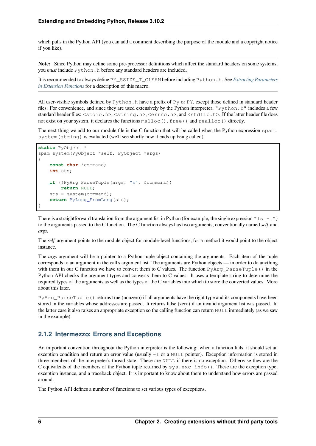which pulls in the Python API (you can add a comment describing the purpose of the module and a copyright notice if you like).

**Note:** Since Python may define some pre-processor definitions which affect the standard headers on some systems, you *must* include Python.h before any standard headers are included.

It is recommended to always define PY\_SSIZE\_T\_CLEAN before including Python.h. See *Extracting Parameters in Extension Functions* for a description of this macro.

All user-visible symbols defined by  $Python. h$  have a prefix of  $Py$  or  $PY$ , except those defined in standard header files. For convenience, and since they are used extensively by the Python interpreter, "Python.h" [includes a few](#page-16-0) [standard header files:](#page-16-0) <stdio.h>, <string.h>, <errno.h>, and <stdlib.h>. If the latter header file does not exist on your system, it declares the functions malloc(), free() and realloc() directly.

The next thing we add to our module file is the C function that will be called when the Python expression spam. system(string) is evaluated (we'll see shortly how it ends up being called):

```
static PyObject *
spam_system(PyObject *self, PyObject *args)
{
    const char *command;
    int sts;
    if (!PyArg_ParseTuple(args, "s", &command))
        return NULL;
    sts = system(command);
    return PyLong_FromLong(sts);
}
```
There is a straightforward translation from the argument list in Python (for example, the single expression " $ls -1$ ") to the arguments passed to the C function. The C function always has two arguments, conventionally named *self* and *args*.

The *self* argument points to the module object for module-level functions; for a method it would point to the object instance.

The *args* argument will be a pointer to a Python tuple object containing the arguments. Each item of the tuple corresponds to an argument in the call's argument list. The arguments are Python objects — in order to do anything with them in our C function we have to convert them to C values. The function  $PyArg$  ParseTuple() in the Python API checks the argument types and converts them to C values. It uses a template string to determine the required types of the arguments as well as the types of the C variables into which to store the converted values. More about this later.

PyArg\_ParseTuple() returns true (nonzero) if all arguments have the right type and its components have been stored in the variables whose addresses are passed. It returns false (zero) if an invalid argument list was passed. In the latter case it also raises an appropriate exception so the calling function can return NULL immediately (as we saw in the example).

#### **2.1.2 Intermezzo: Errors and Exceptions**

<span id="page-9-0"></span>An important convention throughout the Python interpreter is the following: when a function fails, it should set an exception condition and return an error value (usually  $-1$  or a NULL pointer). Exception information is stored in three members of the interpreter's thread state. These are NULL if there is no exception. Otherwise they are the C equivalents of the members of the Python tuple returned by sys.exc\_info(). These are the exception type, exception instance, and a traceback object. It is important to know about them to understand how errors are passed around.

The Python API defines a number of functions to set various types of exceptions.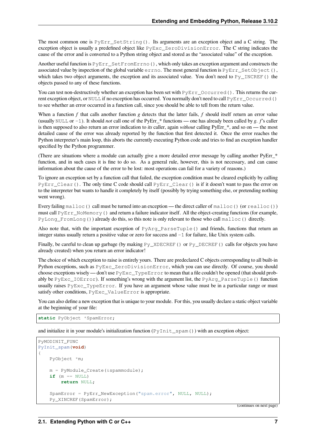The most common one is  $PyErr$  SetString(). Its arguments are an exception object and a C string. The exception object is usually a predefined object like  $PyExcZerobivisionError$ . The C string indicates the cause of the error and is converted to a Python string object and stored as the "associated value" of the exception.

Another useful function is  $PVErr$  SetFromErrno(), which only takes an exception argument and constructs the associated value by inspection of the global variable  $\epsilon$ rno. The most general function is PyErr\_SetObject(), which takes two object arguments, the exception and its associated value. You don't need to  $Py\_INCREF$  () the objects passed to any of these functions.

You can test non-destructively whether an exception has been set with PyErr\_Occurred(). This returns the current exception object, or NULL if no exception has occurred. You normally don't need to call PyErr\_Occurred() to see whether an error occurred in a function call, since you should be able to tell from the return value.

When a function  $f$  that calls another function  $g$  detects that the latter fails,  $f$  should itself return an error value (usually NULL or -1). It should *not* call one of the PyErr\_\* functions — one has already been called by *g*. *f*'s caller is then supposed to also return an error indication to *its* caller, again *without* calling PyErr\_\*, and so on — the most detailed cause of the error was already reported by the function that first detected it. Once the error reaches the Python interpreter's main loop, this aborts the currently executing Python code and tries to find an exception handler specified by the Python programmer.

(There are situations where a module can actually give a more detailed error message by calling another PyErr\_\* function, and in such cases it is fine to do so. As a general rule, however, this is not necessary, and can cause information about the cause of the error to be lost: most operations can fail for a variety of reasons.)

To ignore an exception set by a function call that failed, the exception condition must be cleared explicitly by calling PyErr Clear(). The only time C code should call PyErr Clear() is if it doesn't want to pass the error on to the interpreter but wants to handle it completely by itself (possibly by trying something else, or pretending nothing went wrong).

Every failing malloc() call must be turned into an exception — the direct caller of malloc() (or realloc()) must call  $PVErr$  NoMemory() and return a failure indicator itself. All the object-creating functions (for example, PyLong\_FromLong()) already do this, so this note is only relevant to those who call malloc() directly.

Also note that, with the important exception of  $PyArg\_ParseTuple()$  and friends, functions that return an integer status usually return a positive value or zero for success and -1 for failure, like Unix system calls.

Finally, be careful to clean up garbage (by making Py\_XDECREF() or Py\_DECREF() calls for objects you have already created) when you return an error indicator!

The choice of which exception to raise is entirely yours. There are predeclared C objects corresponding to all built-in Python exceptions, such as PyExc\_ZeroDivisionError, which you can use directly. Of course, you should choose exceptions wisely — don't use PyExc\_TypeError to mean that a file couldn't be opened (that should probably be PyExc\_IOError). If something's wrong with the argument list, the PyArg\_ParseTuple() function usually raises PyExc\_TypeError. If you have an argument whose value must be in a particular range or must satisfy other conditions, PyExc\_ValueError is appropriate.

You can also define a new exception that is unique to your module. For this, you usually declare a static object variable at the beginning of your file:

**static** PyObject \*SpamError;

and initialize it in your module's initialization function  $(PyInit\_spam()$  with an exception object:

```
PyMODINIT_FUNC
PyInit_spam(void)
{
    PyObject *m;
    m = PvModule Create(&spammodule):
    if (m == NULL)
       return NULL;
    SpamError = PyErr_NewException("spam.error", NULL, NULL);
    Py_XINCREF(SpamError);
```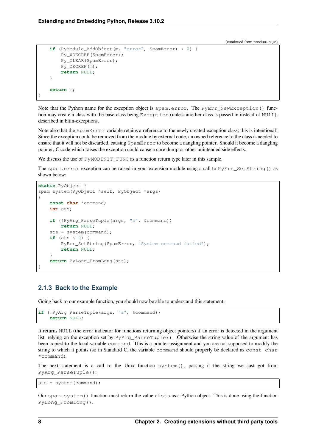(continued from previous page)

```
if (PyModule_AddObject(m, "error", SpamError) < 0) {
   Py_XDECREF(SpamError);
   Py_CLEAR(SpamError);
   Py_DECREF(m);
   return NULL;
}
return m;
```
Note that the Python name for the exception object is spam.error. The PyErr NewException() function may create a class with the base class being Exception (unless another class is passed in instead of NULL), described in bltin-exceptions.

Note also that the SpamError variable retains a reference to the newly created exception class; this is intentional! Since the exception could be removed from the module by external code, an owned reference to the class is needed to ensure that it will not be discarded, causing SpamError to become a dangling pointer. Should it become a dangling pointer, C code which raises the exception could cause a core dump or other unintended side effects.

We discuss the use of PyMODINIT\_FUNC as a function return type later in this sample.

The spam.error exception can be raised in your extension module using a call to  $PyErr$  SetString() as shown below:

```
static PyObject *
spam_system(PyObject *self, PyObject *args)
{
    const char *command;
    int sts;
    if (!PyArg_ParseTuple(args, "s", &command))
       return NULL;
    sts = system(command);
    if (sts \leq 0) {
        PyErr_SetString(SpamError, "System command failed");
        return NULL;
    }
    return PyLong_FromLong(sts);
}
```
#### <span id="page-11-0"></span>**2.1.3 Back to the Example**

Going back to our example function, you should now be able to understand this statement:

```
if (!PyArg_ParseTuple(args, "s", &command))
    return NULL;
```
It returns NULL (the error indicator for functions returning object pointers) if an error is detected in the argument list, relying on the exception set by PyArg\_ParseTuple(). Otherwise the string value of the argument has been copied to the local variable command. This is a pointer assignment and you are not supposed to modify the string to which it points (so in Standard C, the variable command should properly be declared as const char \*command).

The next statement is a call to the Unix function system(), passing it the string we just got from PyArg\_ParseTuple():

sts = system(command);

Our spam.system() function must return the value of sts as a Python object. This is done using the function PyLong\_FromLong().

}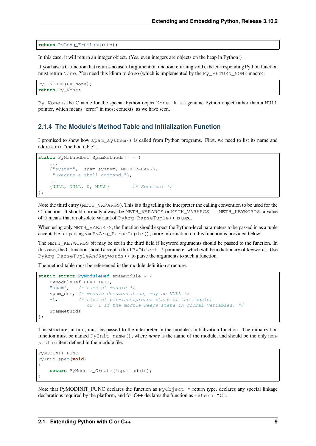**return** PyLong\_FromLong(sts);

In this case, it will return an integer object. (Yes, even integers are objects on the heap in Python!)

If you have a C function that returns no useful argument (a function returning void), the corresponding Python function must return None. You need this idiom to do so (which is implemented by the  $Py$ <sub>RETURN\_NONE</sub> macro):

Py\_INCREF(Py\_None); **return** Py\_None;

Py\_None is the C name for the special Python object None. It is a genuine Python object rather than a NULL pointer, which means "error" in most contexts, as we have seen.

#### <span id="page-12-0"></span>**2.1.4 The Module's Method Table and Initialization Function**

I promised to show how spam\_system() is called from Python programs. First, we need to list its name and address in a "method table":

```
static PyMethodDef SpamMethods[] = {
    ...
    {"system", spam_system, METH_VARARGS,
    "Execute a shell command."},
    ...
    {NULL, NULL, 0, NULL} /* Sentinel */
};
```
Note the third entry (METH\_VARARGS). This is a flag telling the interpreter the calling convention to be used for the C function. It should normally always be METH\_VARARGS or METH\_VARARGS | METH\_KEYWORDS; a value of 0 means that an obsolete variant of PyArg\_ParseTuple() is used.

When using only METH\_VARARGS, the function should expect the Python-level parameters to be passed in as a tuple acceptable for parsing via PyArg\_ParseTuple(); more information on this function is provided below.

The METH\_KEYWORDS bit may be set in the third field if keyword arguments should be passed to the function. In this case, the C function should accept a third  $PyObject$  \* parameter which will be a dictionary of keywords. Use PyArg\_ParseTupleAndKeywords() to parse the arguments to such a function.

The method table must be referenced in the module definition structure:

```
static struct PyModuleDef spammodule = {
   PyModuleDef_HEAD_INIT,
    "spam", /* name of module */
   spam_doc, /* module documentation, may be NULL */
   -1, /* size of per-interpreter state of the module,
                or -1 if the module keeps state in global variables. */
   SpamMethods
};
```
This structure, in turn, must be passed to the interpreter in the module's initialization function. The initialization function must be named  $PyInit$  name(), where *name* is the name of the module, and should be the only nonst at i.c. item defined in the module file:

```
PyMODINIT_FUNC
PyInit_spam(void)
{
    return PyModule_Create(&spammodule);
}
```
Note that PyMODINIT\_FUNC declares the function as  $PyObject * return type$ , declares any special linkage declarations required by the platform, and for C++ declares the function as extern "C".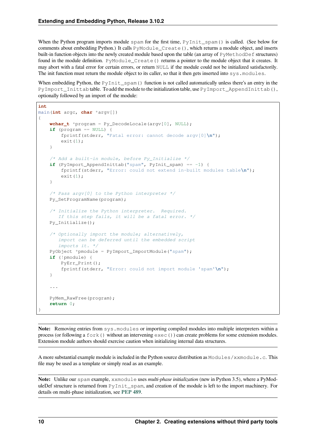When the Python program imports module spam for the first time,  $PyInit$  spam() is called. (See below for comments about embedding Python.) It calls PyModule\_Create(), which returns a module object, and inserts built-in function objects into the newly created module based upon the table (an array of PyMethodDef structures) found in the module definition. PyModule\_Create() returns a pointer to the module object that it creates. It may abort with a fatal error for certain errors, or return NULL if the module could not be initialized satisfactorily. The init function must return the module object to its caller, so that it then gets inserted into sys.modules.

When embedding Python, the  $PyInit\_spam()$  function is not called automatically unless there's an entry in the PyImport Inittab table. To add the module to the initialization table, use PyImport AppendInittab(), optionally followed by an import of the module:

```
int
main(int argc, char *argv[])
{
   wchar_t *program = Py_DecodeLocale(argv[0], NULL);
    if (program == NULL) {
        fprintf(stderr, "Fatal error: cannot decode argv[0]\n");
       exit(1);
    }
    /* Add a built-in module, before Py_Initialize */
   if (PyImport_AppendInittab("spam", PyInit_spam) == -1) {
        fprintf(stderr, "Error: could not extend in-built modules table\n");
        exit(1);
    }
    /* Pass argv[0] to the Python interpreter */
   Py_SetProgramName(program);
    /* Initialize the Python interpreter. Required.
       If this step fails, it will be a fatal error. */
   Py_Initialize();
    /* Optionally import the module; alternatively,
       import can be deferred until the embedded script
       imports it. */
   PyObject *pmodule = PyImport ImportModule("spam");
    if (!pmodule) {
       PyErr_Print();
        fprintf(stderr, "Error: could not import module 'spam'\n");
    }
    ...
   PyMem_RawFree(program);
    return 0;
}
```
**Note:** Removing entries from sys.modules or importing compiled modules into multiple interpreters within a process (or following a  $f \circ r$  () without an intervening  $e \times e \circ$  ()) can create problems for some extension modules. Extension module authors should exercise caution when initializing internal data structures.

A more substantial example module is included in the Python source distribution as Modules/xxmodule.c. This file may be used as a template or simply read as an example.

**Note:** Unlike our spam example, xxmodule uses *multi-phase initialization* (new in Python 3.5), where a PyModuleDef structure is returned from PyInit\_spam, and creation of the module is left to the import machinery. For details on multi-phase initialization, see **PEP 489**.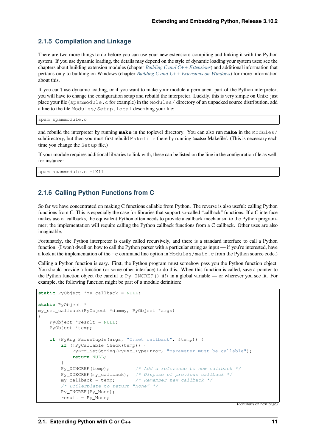#### **2.1.5 Compilation and Linkage**

<span id="page-14-0"></span>There are two more things to do before you can use your new extension: compiling and linking it with the Python system. If you use dynamic loading, the details may depend on the style of dynamic loading your system uses; see the chapters about building extension modules (chapter *Building C and C++ Extensions*) and additional information that pertains only to building on Windows (chapter *Building C and C++ Extensions on Windows*) for more information about this.

If you can't use dynamic loading, or if you want to make your module a permanent part of the Python interpreter, you will have to change the configuration setup and [rebuild the interpreter. Luckily,](#page-58-1) this is very simple on Unix: just place your file (spammodule.c for example) in the Modules/ [directory of an unpacked s](#page-60-1)ource distribution, add a line to the file Modules/Setup.local describing your file:

spam spammodule.o

and rebuild the interpreter by running **make** in the toplevel directory. You can also run **make** in the Modules/ subdirectory, but then you must first rebuild Makefile there by running 'make Makefile'. (This is necessary each time you change the Setup file.)

If your module requires additional libraries to link with, these can be listed on the line in the configuration file as well, for instance:

spam spammodule.o -lX11

### **2.1.6 Calling Python Functions from C**

<span id="page-14-1"></span>So far we have concentrated on making C functions callable from Python. The reverse is also useful: calling Python functions from C. This is especially the case for libraries that support so-called "callback" functions. If a C interface makes use of callbacks, the equivalent Python often needs to provide a callback mechanism to the Python programmer; the implementation will require calling the Python callback functions from a C callback. Other uses are also imaginable.

Fortunately, the Python interpreter is easily called recursively, and there is a standard interface to call a Python function. (I won't dwell on how to call the Python parser with a particular string as input — if you're interested, have a look at the implementation of the -c command line option in Modules/main.c from the Python source code.)

Calling a Python function is easy. First, the Python program must somehow pass you the Python function object. You should provide a function (or some other interface) to do this. When this function is called, save a pointer to the Python function object (be careful to Py\_INCREF() it!) in a global variable — or wherever you see fit. For example, the following function might be part of a module definition:

```
static PyObject *my_callback = NULL;
static PyObject *
my_set_callback(PyObject *dummy, PyObject *args)
{
   PyObject *result = NULL;
   PyObject *temp;
    if (PyArg_ParseTuple(args, "O:set_callback", &temp)) {
       if (!PyCallable_Check(temp)) {
           PyErr_SetString(PyExc_TypeError, "parameter must be callable");
           return NULL;
       }
       Py_XINCREF(temp); /* Add a reference to new callback */
       Py_XDECREF(my_callback); /* Dispose of previous callback */
       my_callback = temp; /* Remember new callback */
        /* Boilerplate to return "None" */
       Py_INCREF(Py_None);
       result = Py_None;
```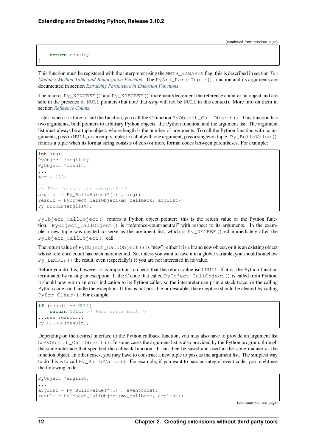```
}
return result;
```
}

This function must be registered with the interpreter using the METH\_VARARGS flag; this is described in section *The Module's Method Table and Initialization Function*. The PyArg\_ParseTuple() function and its arguments are documented in section *Extracting Parameters in Extension Functions*.

The macros  $Py\_XINCREF$  () and  $Py\_XDECREF$  () increment/decrement the reference count of an object and are safe in the presence of NULL pointers (but note that *temp* will not be NULL in this context). More info on the[m in](#page-12-0) section *[Reference Counts](#page-12-0)*.

Later,when it is time t[o call the function, you call the C function](#page-16-0) PyObject\_CallObject(). This function has two arguments, both pointers to arbitrary Python objects: the Python function, and the argument list. The argument list must always be a tuple object, whose length is the number of arguments. To call the Python function with no argument[s, pass in](#page-19-0) NULL, or an empty tuple; to call it with one argument, pass a singleton tuple. Py\_BuildValue() returns a tuple when its format string consists of zero or more format codes between parentheses. For example:

```
int arg;
PyObject *arglist;
PyObject *result;
...
arg = 123;...
/* Time to call the callback */
arglist = Py_BuildValue("i)", arg);result = PyObject_CallObject(my_callback, arglist);
Py_DECREF(arglist);
```
PyObject\_CallObject() returns a Python object pointer: this is the return value of the Python function. PyObject\_CallObject() is "reference-count-neutral" with respect to its arguments. In the example a new tuple was created to serve as the argument list, which is  $Py$ <sub></sub> $DECRE$ ()-ed immediately after the PyObject\_CallObject() call.

The return value of PyObject\_CallObject() is "new": either it is a brand new object, or it is an existing object whose reference count has been incremented. So, unless you want to save it in a global variable, you should somehow Py\_DECREF() the result, even (especially!) if you are not interested in its value.

Before you do this, however, it is important to check that the return value isn't NULL. If it is, the Python function terminated by raising an exception. If the C code that called PyObject\_CallObject() is called from Python, it should now return an error indication to its Python caller, so the interpreter can print a stack trace, or the calling Python code can handle the exception. If this is not possible or desirable, the exception should be cleared by calling PyErr\_Clear(). For example:

```
if (result == NULL)
    return NULL; /* Pass error back */
...use result...
Py_DECREF(result);
```
Depending on the desired interface to the Python callback function, you may also have to provide an argument list to PyObject\_CallObject(). In some cases the argument list is also provided by the Python program, through the same interface that specified the callback function. It can then be saved and used in the same manner as the function object. In other cases, you may have to construct a new tuple to pass as the argument list. The simplest way to do this is to call Py\_BuildValue(). For example, if you want to pass an integral event code, you might use the following code:

```
PyObject *arglist;
...
arglist = Py\_BuildValue("1)", eventcode);
result = PyObject_CallObject(my_callback, arglist);
```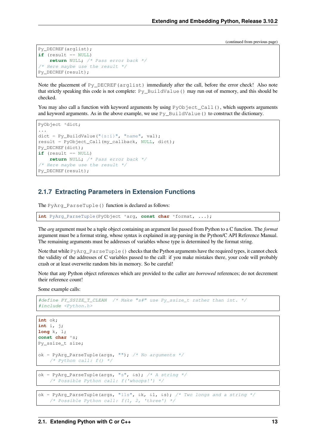(continued from previous page)

```
Py_DECREF(arglist);
if (result == NULL)
   return NULL; /* Pass error back */
/* Here maybe use the result */
Py_DECREF(result);
```
Note the placement of Py\_DECREF(arglist) immediately after the call, before the error check! Also note that strictly speaking this code is not complete: Py\_BuildValue() may run out of memory, and this should be checked.

You may also call a function with keyword arguments by using PyObject\_Call(), which supports arguments and keyword arguments. As in the above example, we use Py\_BuildValue() to construct the dictionary.

```
PyObject *dict;
...
dict = Py_BuildValue("{s:i}", "name", val);
result = PyObject_Call(my_callback, NULL, dict);
Py_DECREF(dict);
if (result == NULL)
   return NULL; /* Pass error back */
/* Here maybe use the result */
Py_DECREF(result);
```
#### <span id="page-16-0"></span>**2.1.7 Extracting Parameters in Extension Functions**

The PyArg\_ParseTuple() function is declared as follows:

**int** PyArg\_ParseTuple(PyObject \*arg, **const char** \*format, ...);

The *arg* argument must be a tuple object containing an argument list passed from Python to a C function. The *format* argument must be a format string, whose syntax is explained in arg-parsing in the Python/C API Reference Manual. The remaining arguments must be addresses of variables whose type is determined by the format string.

Note that while  $PyArg\_ParseTuple()$  checks that the Python arguments have the required types, it cannot check the validity of the addresses of C variables passed to the call: if you make mistakes there, your code will probably crash or at least overwrite random bits in memory. So be careful!

Note that any Python object references which are provided to the caller are *borrowed* references; do not decrement their reference count!

Some example calls:

```
#define PY_SSIZE_T_CLEAN /* Make "s#" use Py_ssize_t rather than int. */
#include <Python.h>
```

```
int ok;
int i, j;
long k, l;
const char *s;
Py_ssize_t size;
ok = PyArg_ParseTuple(args, ""); /* No arguments */
   /* Python call: f() */
```

```
ok = PyArg_ParseTuple(args, "s", &s); /* A string */
    /* Possible Python call: f('whoops!') */
```

```
ok = PyArg_ParseTuple(args, "lls", &k, &l, &s); /* Two longs and a string */
   /* Possible Python call: f(1, 2, 'three') */
```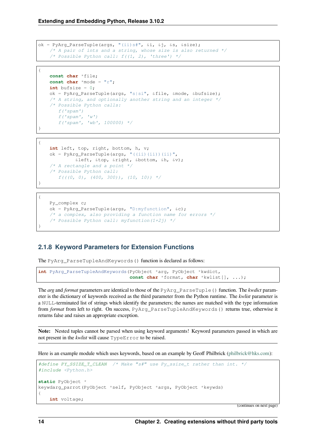```
ok = PyArg_ParseTuple(args, "(ii)s#", &i, &j, &s, &size);
   /* A pair of ints and a string, whose size is also returned */
    /* Possible Python call: f((1, 2), 'three') */
```

```
const char *file;
const char *mode = "r";
int bufsize = 0;
ok = PyArg_ParseTuple(args, "s|si", &file, &mode, &bufsize);
/* A string, and optionally another string and an integer */
/* Possible Python calls:
   f('spam')
   f('spam', 'w')
   f('spam', 'wb', 100000) */
```

```
int left, top, right, bottom, h, v;
ok = PyArg_ParseTuple(args, "((ii)(ii))(ii)",
        &left, &top, &right, &bottom, &h, &v);
/* A rectangle and a point */
/* Possible Python call:
   f(((0, 0), (400, 300)), (10, 10)) */
```

```
Py_complex c;
ok = PyArg_ParseTuple(args, "D:myfunction", &c);
/* a complex, also providing a function name for errors */
/* Possible Python call: myfunction(1+2j) */
```
#### **2.1.8 Keyword Parameters for Extension Functions**

The PyArg\_ParseTupleAndKeywords() function is declared as follows:

```
int PyArg_ParseTupleAndKeywords(PyObject *arg, PyObject *kwdict,
                                const char *format, char *kwlist[], ...);
```
The *arg* and *format* parameters are identical to those of the PyArg\_ParseTuple() function. The *kwdict* parameter is the dictionary of keywords received as the third parameter from the Python runtime. The *kwlist* parameter is a NULL-terminated list of strings which identify the parameters; the names are matched with the type information from *format* from left to right. On success, PyArg\_ParseTupleAndKeywords() returns true, otherwise it returns false and raises an appropriate exception.

**Note:** Nested tuples cannot be parsed when using keyword arguments! Keyword parameters passed in which are not present in the *kwlist* will cause TypeError to be raised.

Here is an example module which uses keywords, based on an example by Geoff Philbrick (philbrick@hks.com):

```
#define PY_SSIZE_T_CLEAN /* Make "s#" use Py_ssize_t rather than int. */
#include <Python.h>
static PyObject *
keywdarg_parrot(PyObject *self, PyObject *args, PyObject *keywds)
{
    int voltage;
```
(continues on next page)

{

}

{

}

{

}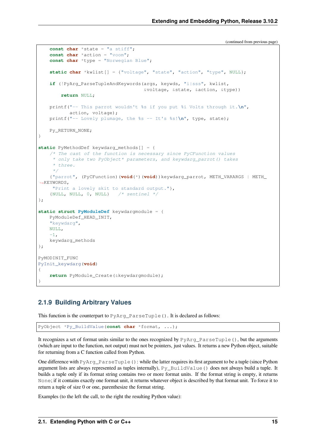```
(continued from previous page)
```

```
const char *state = "a stiff";
    const char *action = "voom";
    const char *type = "Norwegian Blue";
    static char *kwlist[] = {"voltage", "state", "action", "type", NULL};
    if (!PyArg_ParseTupleAndKeywords(args, keywds, "i|sss", kwlist,
                                     &voltage, &state, &action, &type))
       return NULL;
    printf("-- This parrot wouldn't %s if you put %i Volts through it.\n",
          action, voltage);
    printf("-- Lovely plumage, the %s -- It's %s!\n", type, state);
    Py_RETURN_NONE;
}
static PyMethodDef keywdarg_methods[] = {
    /* The cast of the function is necessary since PyCFunction values
     * only take two PyObject* parameters, and keywdarg_parrot() takes
     * three.
     */
    {"parrot", (PyCFunction)(void(*)(void))keywdarg_parrot, METH_VARARGS | METH_
,→KEYWORDS,
    "Print a lovely skit to standard output."},
    {NULL, NULL, 0, NULL} /* sentinel */
};
static struct PyModuleDef keywdargmodule = {
   PyModuleDef_HEAD_INIT,
    "keywdarg",
   NULL,
    -1,keywdarg_methods
};
PyMODINIT_FUNC
PyInit_keywdarg(void)
{
    return PyModule_Create(&keywdargmodule);
}
```
#### <span id="page-18-0"></span>**2.1.9 Building Arbitrary Values**

This function is the counterpart to PyArg\_ParseTuple(). It is declared as follows:

PyObject \*Py\_BuildValue(**const char** \*format, ...);

It recognizes a set of format units similar to the ones recognized by  $PyArg\_ParseTuple()$ , but the arguments (which are input to the function, not output) must not be pointers, just values. It returns a new Python object, suitable for returning from a C function called from Python.

One difference with PyArg\_ParseTuple(): while the latter requires its first argument to be a tuple (since Python argument lists are always represented as tuples internally), Py\_BuildValue() does not always build a tuple. It builds a tuple only if its format string contains two or more format units. If the format string is empty, it returns None; if it contains exactly one format unit, it returns whatever object is described by that format unit. To force it to return a tuple of size 0 or one, parenthesize the format string.

Examples (to the left the call, to the right the resulting Python value):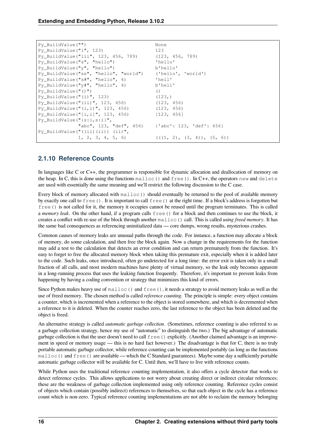| $Py_BuildValue("")$                                      | None                      |  |  |  |  |
|----------------------------------------------------------|---------------------------|--|--|--|--|
| $Py_BuidValue("i", 123)$                                 | 123                       |  |  |  |  |
| Py_BuildValue("iii", 123, 456, 789) (123, 456, 789)      |                           |  |  |  |  |
| Py BuildValue("s", "hello")                              | 'hello'                   |  |  |  |  |
| $Py_BuildValue("y", "hello")$                            | b'hello'                  |  |  |  |  |
| Py_BuildValue("ss", "hello", "world") ('hello', 'world') |                           |  |  |  |  |
| $Py_BuidValue("s#", "hello", 4)$                         | 'hell'                    |  |  |  |  |
| $Py_BuildValue("y#", "hello", 4)$                        | b'hell'                   |  |  |  |  |
| $Py$ BuildValue ("()")                                   | ( )                       |  |  |  |  |
| $Py_BuidValue("i)"$ , 123)                               | (123, )                   |  |  |  |  |
| Py BuildValue("(ii)", 123, 456)                          | (123, 456)                |  |  |  |  |
| Py BuildValue (" $(i, i)$ ", 123, 456)                   | (123, 456)                |  |  |  |  |
| $Py_BuidValue("[1,i]", 123, 456)$                        | [123, 456]                |  |  |  |  |
| $Py_BuildValue("s:i,s:i]'$ ,                             |                           |  |  |  |  |
| "abc", 123, "def", 456) {'abc': 123, 'def': 456}         |                           |  |  |  |  |
| $Py_BuidValue("((ii)(ii))$ $(ii)$ $(iii)$                |                           |  |  |  |  |
| 1, 2, 3, 4, 5, 6                                         | ((1, 2), (3, 4)), (5, 6)) |  |  |  |  |

#### <span id="page-19-0"></span>**2.1.10 Reference Counts**

In languages like C or C++, the programmer is responsible for dynamic allocation and deallocation of memory on the heap. In C, this is done using the functions  $\text{malloc}$  () and free(). In C++, the operators new and delete are used with essentially the same meaning and we'll restrict the following discussion to the C case.

Every block of memory allocated with malloc() should eventually be returned to the pool of available memory by exactly one call to free(). It is important to call free() at the right time. If a block's address is forgotten but free () is not called for it, the memory it occupies cannot be reused until the program terminates. This is called a *memory leak*. On the other hand, if a program calls  $f$ ree() for a block and then continues to use the block, it creates a conflict with re-use of the block through another malloc() call. This is called *using freed memory*. It has the same bad consequences as referencing uninitialized data — core dumps, wrong results, mysterious crashes.

Common causes of memory leaks are unusual paths through the code. For instance, a function may allocate a block of memory, do some calculation, and then free the block again. Now a change in the requirements for the function may add a test to the calculation that detects an error condition and can return prematurely from the function. It's easy to forget to free the allocated memory block when taking this premature exit, especially when it is added later to the code. Such leaks, once introduced, often go undetected for a long time: the error exit is taken only in a small fraction of all calls, and most modern machines have plenty of virtual memory, so the leak only becomes apparent in a long-running process that uses the leaking function frequently. Therefore, it's important to prevent leaks from happening by having a coding convention or strategy that minimizes this kind of errors.

Since Python makes heavy use of malloc() and  $f$ ree(), it needs a strategy to avoid memory leaks as well as the use of freed memory. The chosen method is called *reference counting*. The principle is simple: every object contains a counter, which is incremented when a reference to the object is stored somewhere, and which is decremented when a reference to it is deleted. When the counter reaches zero, the last reference to the object has been deleted and the object is freed.

An alternative strategy is called *automatic garbage collection*. (Sometimes, reference counting is also referred to as a garbage collection strategy, hence my use of "automatic" to distinguish the two.) The big advantage of automatic garbage collection is that the user doesn't need to call  $f$ ree() explicitly. (Another claimed advantage is an improvement in speed or memory usage — this is no hard fact however.) The disadvantage is that for C, there is no truly portable automatic garbage collector, while reference counting can be implemented portably (as long as the functions  $m$ alloc() and free() are available — which the C Standard guarantees). Maybe some day a sufficiently portable automatic garbage collector will be available for C. Until then, we'll have to live with reference counts.

While Python uses the traditional reference counting implementation, it also offers a cycle detector that works to detect reference cycles. This allows applications to not worry about creating direct or indirect circular references; these are the weakness of garbage collection implemented using only reference counting. Reference cycles consist of objects which contain (possibly indirect) references to themselves, so that each object in the cycle has a reference count which is non-zero. Typical reference counting implementations are not able to reclaim the memory belonging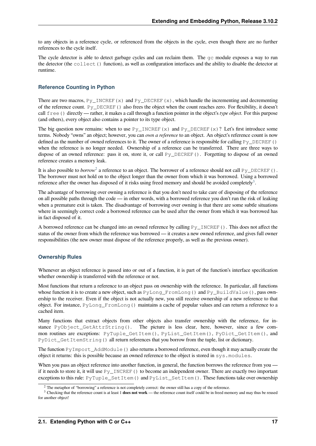to any objects in a reference cycle, or referenced from the objects in the cycle, even though there are no further references to the cycle itself.

The cycle detector is able to detect garbage cycles and can reclaim them. The gc module exposes a way to run the detector (the collect() function), as well as configuration interfaces and the ability to disable the detector at runtime.

#### **Reference Counting in Python**

There are two macros,  $Py\_INCREF(x)$  and  $Py\_DECREF(x)$ , which handle the incrementing and decrementing of the reference count. Py\_DECREF() also frees the object when the count reaches zero. For flexibility, it doesn't call free() directly — rather, it makes a call through a function pointer in the object's *type object*. For this purpose (and others), every object also contains a pointer to its type object.

The big question now remains: when to use  $Py$ <sub>INCREF</sub>(x) and  $Py$ <sub>DECREF</sub>(x)? Let's first introduce some terms. Nobody "owns" an object; however, you can *own a reference* to an object. An object's reference count is now defined as the number of owned references to it. The owner of a reference is responsible for calling Py\_DECREF() when the reference is no longer needed. Ownership of a reference can be transferred. There are three ways to dispose of an owned reference: pass it on, store it, or call Py\_DECREF(). Forgetting to dispose of an owned reference creates a memory leak.

It is also possible to *borrow*<sup>2</sup> a reference to an object. The borrower of a reference should not call  $Py\_DECREF$  (). The borrower must not hold on to the object longer than the owner from which it was borrowed. Using a borrowed reference after the owner has disposed of it risks using freed memory and should be avoided completely<sup>3</sup>.

The advantage of borrowin[g](#page-20-0) over owning a reference is that you don't need to take care of disposing of the reference on all possible paths through the code — in other words, with a borrowed reference you don't run the risk of leaking when a premature exit is taken. The disadvantage of borrowing over owning is that there are some sub[tle](#page-20-1) situations where in seemingly correct code a borrowed reference can be used after the owner from which it was borrowed has in fact disposed of it.

A borrowed reference can be changed into an owned reference by calling Py\_INCREF(). This does not affect the status of the owner from which the reference was borrowed — it creates a new owned reference, and gives full owner responsibilities (the new owner must dispose of the reference properly, as well as the previous owner).

#### **Ownership Rules**

Whenever an object reference is passed into or out of a function, it is part of the function's interface specification whether ownership is transferred with the reference or not.

Most functions that return a reference to an object pass on ownership with the reference. In particular, all functions whose function it is to create a new object, such as  $PyLongFromLong()$  and  $Py\_BuildValue()$ , pass ownership to the receiver. Even if the object is not actually new, you still receive ownership of a new reference to that object. For instance, PyLong\_FromLong() maintains a cache of popular values and can return a reference to a cached item.

Many functions that extract objects from other objects also transfer ownership with the reference, for instance PyObject GetAttrString(). The picture is less clear, here, however, since a few common routines are exceptions: PyTuple\_GetItem(), PyList\_GetItem(), PyDict\_GetItem(), and PyDict\_GetItemString() all return references that you borrow from the tuple, list or dictionary.

The function PyImport\_AddModule() also returns a borrowed reference, even though it may actually create the object it returns: this is possible because an owned reference to the object is stored in sys.modules.

When you pass an object reference into another function, in general, the function borrows the reference from you if it needs to store it, it will use  $Py\_INCREF$  () to become an independent owner. There are exactly two important exceptions to this rule: PyTuple\_SetItem() and PyList\_SetItem(). These functions take over ownership

<sup>2</sup> The metaphor of "borrowing" a reference is not completely correct: the owner still has a copy of the reference.

<span id="page-20-1"></span><span id="page-20-0"></span><sup>3</sup> Checking that the reference count is at least 1 **does not work** — the reference count itself could be in freed memory and may thus be reused for another object!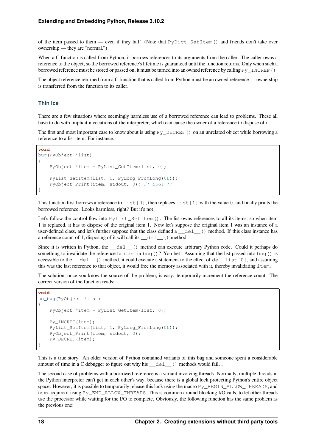of the item passed to them — even if they fail! (Note that PyDict\_SetItem() and friends don't take over ownership — they are "normal.")

When a C function is called from Python, it borrows references to its arguments from the caller. The caller owns a reference to the object, so the borrowed reference's lifetime is guaranteed until the function returns. Only when such a borrowed reference must be stored or passed on, it must be turned into an owned reference by calling  $Py$ \_INCREF().

The object reference returned from a C function that is called from Python must be an owned reference — ownership is transferred from the function to its caller.

#### **Thin Ice**

There are a few situations where seemingly harmless use of a borrowed reference can lead to problems. These all have to do with implicit invocations of the interpreter, which can cause the owner of a reference to dispose of it.

The first and most important case to know about is using  $P_y$  DECREF() on an unrelated object while borrowing a reference to a list item. For instance:

```
void
bug(PyObject *list)
{
    PyObject *item = PyList_GetItem(list, 0);
    PyList SetItem(list, 1, PyLong FromLong(0L));
    PyObject_Print(item, stdout, 0); /* BUG! */
}
```
This function first borrows a reference to  $list[0]$ , then replaces  $list[1]$  with the value 0, and finally prints the borrowed reference. Looks harmless, right? But it's not!

Let's follow the control flow into PyList\_SetItem(). The list owns references to all its items, so when item 1 is replaced, it has to dispose of the original item 1. Now let's suppose the original item 1 was an instance of a user-defined class, and let's further suppose that the class defined a  $\_\_\_\_\_\$ () method. If this class instance has a reference count of 1, disposing of it will call its  $\det$  del () method.

Since it is written in Python, the  $\_\text{del}\_\text{()}$  method can execute arbitrary Python code. Could it perhaps do something to invalidate the reference to  $\pm \text{tem}$  in bug()? You bet! Assuming that the list passed into bug() is accessible to the  $\text{del}$  () method, it could execute a statement to the effect of del list [0], and assuming this was the last reference to that object, it would free the memory associated with it, thereby invalidating item.

The solution, once you know the source of the problem, is easy: temporarily increment the reference count. The correct version of the function reads:

```
void
no_bug(PyObject *list)
{
    PyObject *item = PyList_GetItem(list, 0);
    Py_INCREF(item);
    PyList_SetItem(list, 1, PyLong_FromLong(0L));
    PyObject_Print(item, stdout, 0);
    Py_DECREF(item);
}
```
This is a true story. An older version of Python contained variants of this bug and someone spent a considerable amount of time in a C debugger to figure out why his  $\det$  () methods would fail…

The second case of problems with a borrowed reference is a variant involving threads. Normally, multiple threads in the Python interpreter can't get in each other's way, because there is a global lock protecting Python's entire object space. However, it is possible to temporarily release this lock using the macro P<sub>V</sub>\_BEGIN\_ALLOW\_THREADS, and to re-acquire it using Py\_END\_ALLOW\_THREADS. This is common around blocking I/O calls, to let other threads use the processor while waiting for the I/O to complete. Obviously, the following function has the same problem as the previous one: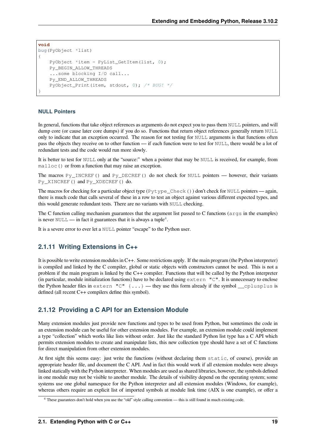```
void
bug(PyObject *list)
{
    PyObject *item = PyList_GetItem(list, 0);
    Py_BEGIN_ALLOW_THREADS
    ...some blocking I/O call...
    Py_END_ALLOW_THREADS
    PyObject_Print(item, stdout, 0); /* BUG! */
}
```
#### **NULL Pointers**

In general, functions that take object references as arguments do not expect you to pass them NULL pointers, and will dump core (or cause later core dumps) if you do so. Functions that return object references generally return NULL only to indicate that an exception occurred. The reason for not testing for NULL arguments is that functions often pass the objects they receive on to other function — if each function were to test for NULL, there would be a lot of redundant tests and the code would run more slowly.

It is better to test for NULL only at the "source:" when a pointer that may be NULL is received, for example, from malloc() or from a function that may raise an exception.

The macros  $Py$ <sub>I</sub>NCREF() and  $Py$ <sub>DECREF</sub>() do not check for NULL pointers — however, their variants Py\_XINCREF() and Py\_XDECREF() do.

The macros for checking for a particular object type (Pytype\_Check()) don't check for NULL pointers — again, there is much code that calls several of these in a row to test an object against various different expected types, and this would generate redundant tests. There are no variants with NULL checking.

The C function calling mechanism guarantees that the argument list passed to C functions ( $\arg \min$  in the examples) is never NULL — in fact it guarantees that it is always a tuple<sup>4</sup>.

It is a severe error to ever let a NULL pointer "escape" to the Python user.

#### **2.1.11 Writing Extensions in C++**

<span id="page-22-0"></span>It is possible to write extension modules in C++. Some restrictions apply. If the main program (the Python interpreter) is compiled and linked by the C compiler, global or static objects with constructors cannot be used. This is not a problem if the main program is linked by the C++ compiler. Functions that will be called by the Python interpreter (in particular, module initialization functions) have to be declared using  $ext{error}$ . It is unnecessary to enclose the Python header files in extern "C"  $\{ \ldots \}$  — they use this form already if the symbol  $\_\_c$  cplusplus is defined (all recent C++ compilers define this symbol).

#### **2.1.12 Providing a C API for an Extension Module**

<span id="page-22-1"></span>Many extension modules just provide new functions and types to be used from Python, but sometimes the code in an extension module can be useful for other extension modules. For example, an extension module could implement a type "collection" which works like lists without order. Just like the standard Python list type has a C API which permits extension modules to create and manipulate lists, this new collection type should have a set of C functions for direct manipulation from other extension modules.

At first sight this seems easy: just write the functions (without declaring them static, of course), provide an appropriate header file, and document the C API. And in fact this would work if all extension modules were always linked statically with the Python interpreter. When modules are used as shared libraries, however, the symbols defined in one module may not be visible to another module. The details of visibility depend on the operating system; some systems use one global namespace for the Python interpreter and all extension modules (Windows, for example), whereas others require an explicit list of imported symbols at module link time (AIX is one example), or offer a

<sup>4</sup> These guarantees don't hold when you use the "old" style calling convention — this is still found in much existing code.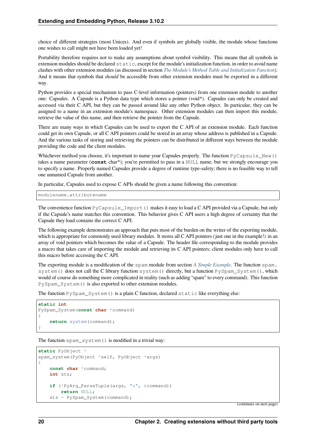choice of different strategies (most Unices). And even if symbols are globally visible, the module whose functions one wishes to call might not have been loaded yet!

Portability therefore requires not to make any assumptions about symbol visibility. This means that all symbols in extension modules should be declared static, except for the module's initialization function, in order to avoid name clashes with other extension modules (as discussed in section *The Module's Method Table and Initialization Function*). And it means that symbols that *should* be accessible from other extension modules must be exported in a different way.

Python provides a special mechanism to pass C-level information (pointers) from one extension module to another one: Capsules. A Capsule is a Python data type which stor[es a pointer \(void\\*\). Capsules can only be created an](#page-12-0)d accessed via their C API, but they can be passed around like any other Python object. In particular, they can be assigned to a name in an extension module's namespace. Other extension modules can then import this module, retrieve the value of this name, and then retrieve the pointer from the Capsule.

There are many ways in which Capsules can be used to export the C API of an extension module. Each function could get its own Capsule, or all C API pointers could be stored in an array whose address is published in a Capsule. And the various tasks of storing and retrieving the pointers can be distributed in different ways between the module providing the code and the client modules.

Whichever method you choose, it's important to name your Capsules properly. The function  $PyCapsule\_New()$ takes a name parameter (**const** char\*); you're permitted to pass in a NULL name, but we strongly encourage you to specify a name. Properly named Capsules provide a degree of runtime type-safety; there is no feasible way to tell one unnamed Capsule from another.

In particular, Capsules used to expose C APIs should be given a name following this convention:

modulename.attributename

The convenience function  $PyCapsule$  Import() makes it easy to load a C API provided via a Capsule, but only if the Capsule's name matches this convention. This behavior gives C API users a high degree of certainty that the Capsule they load contains the correct C API.

The following example demonstrates an approach that puts most of the burden on the writer of the exporting module, which is appropriate for commonly used library modules. It stores all C API pointers (just one in the example!) in an array of void pointers which becomes the value of a Capsule. The header file corresponding to the module provides a macro that takes care of importing the module and retrieving its C API pointers; client modules only have to call this macro before accessing the C API.

The exporting module is a modification of the spam module from section *A Simple Example*. The function spam. system() does not call the C library function system() directly, but a function PySpam\_System(), which would of course do something more complicated in reality (such as adding "spam" to every command). This function PySpam\_System() is also exported to other extension modules.

The function PySpam\_System() is a plain C function, declared static [like everything e](#page-8-2)lse:

```
static int
PySpam_System(const char *command)
{
    return system(command);
}
```
The function spam\_system() is modified in a trivial way:

```
static PyObject *
spam_system(PyObject *self, PyObject *args)
{
    const char *command;
   int sts;
    if (!PyArg ParseTuple(args, "s", &command))
        return NULL;
    sts = PySpam_System(command);
```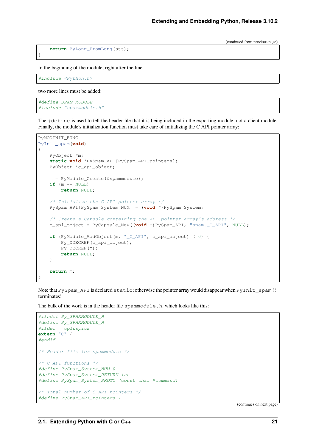(continued from previous page)

```
return PyLong_FromLong(sts);
```
In the beginning of the module, right after the line

*#include <Python.h>*

}

two more lines must be added:

```
#define SPAM_MODULE
#include "spammodule.h"
```
The #define is used to tell the header file that it is being included in the exporting module, not a client module. Finally, the module's initialization function must take care of initializing the C API pointer array:

```
PyMODINIT_FUNC
PyInit_spam(void)
{
   PyObject *m;
    static void *PySpam_API[PySpam_API_pointers];
   PyObject *c_api_object;
   m = PyModule Create(\&spammodule);
   if (m == NULL)
        return NULL;
    /* Initialize the C API pointer array */
   PySpam_API[PySpam_System_NUM] = (void *)PySpam_System;
    /* Create a Capsule containing the API pointer array's address */
    c_api_object = PyCapsule_New((void *)PySpam_API, "spam._C_API", NULL);
    if (PyModule_AddObject(m, "_C_API", c_api_object) < 0) {
       Py_XDECREF(c_api_object);
        Py_DECREF(m);
        return NULL;
    }
    return m;
}
```
Note that PySpam  $API$  is declared static; otherwise the pointer array would disappear when PyInit\_spam() terminates!

The bulk of the work is in the header file spammodule.h, which looks like this:

```
#ifndef Py_SPAMMODULE_H
#define Py_SPAMMODULE_H
#ifdef __cplusplus
extern "C" {
#endif
/* Header file for spammodule */
/* C API functions */
#define PySpam_System_NUM 0
#define PySpam_System_RETURN int
#define PySpam_System_PROTO (const char *command)
/* Total number of C API pointers */
#define PySpam_API_pointers 1
```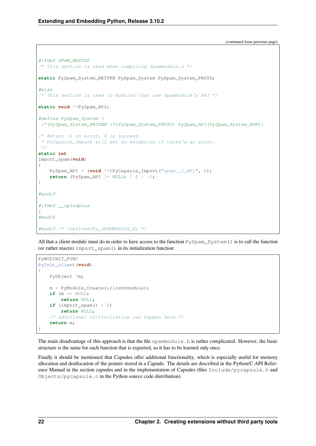(continued from previous page)

```
#ifdef SPAM_MODULE
/* This section is used when compiling spammodule.c */
static PySpam_System_RETURN PySpam_System PySpam_System_PROTO;
#else
/* This section is used in modules that use spammodule's API */
static void **PySpam_API;
#define PySpam_System \
 (*(PySpam_System_RETURN (*)PySpam_System_PROTO) PySpam_API[PySpam_System_NUM])
/* Return -1 on error, 0 on success.
* PyCapsule_Import will set an exception if there's an error.
*/
static int
import_spam(void)
{
   PySpam_API = (void **)PyCapsule_Import("spam._C_API", 0);
   return (PySpam_API != NULL) ? 0 : -1;
}
#endif
#ifdef __cplusplus
}
#endif
#endif /* !defined(Py_SPAMMODULE_H) */
```
All that a client module must do in order to have access to the function  $PySpam_System$  () is to call the function (or rather macro) import\_spam() in its initialization function:

```
PyMODINIT_FUNC
PyInit_client(void)
{
    PyObject *m;
   m = PyModule_Create(&clientmodule);
   if (m == NULL)
       return NULL;
    if (import_spam() < 0)
       return NULL;
    /* additional initialization can happen here */
    return m;
}
```
The main disadvantage of this approach is that the file spammodule.h is rather complicated. However, the basic structure is the same for each function that is exported, so it has to be learned only once.

Finally it should be mentioned that Capsules offer additional functionality, which is especially useful for memory allocation and deallocation of the pointer stored in a Capsule. The details are described in the Python/C API Reference Manual in the section capsules and in the implementation of Capsules (files Include/pycapsule.h and Objects/pycapsule.c in the Python source code distribution).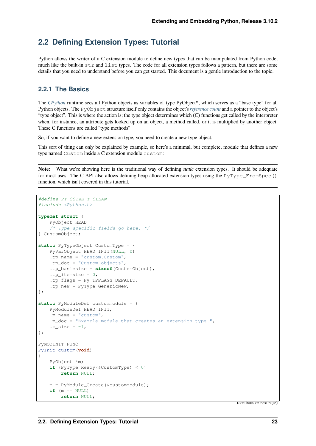# **2.2 Defining Extension Types: Tutorial**

<span id="page-26-0"></span>Python allows the writer of a C extension module to define new types that can be manipulated from Python code, much like the built-in str and list types. The code for all extension types follows a pattern, but there are some details that you need to understand before you can get started. This document is a gentle introduction to the topic.

#### **2.2.1 The Basics**

<span id="page-26-1"></span>The *CPython* runtime sees all Python objects as variables of type PyObject\*, which serves as a "base type" for all Python objects. The PyObject structure itself only contains the object's *reference count* and a pointer to the object's "type object". This is where the action is; the type object determines which (C) functions get called by the interpreter when, for instance, an attribute gets looked up on an object, a method called, or it is multiplied by another object. The[se C func](#page-72-0)tions are called "type methods".

So, if you want to define a new extension type, you need to create a newt[ype object.](#page-80-0)

This sort of thing can only be explained by example, so here's a minimal, but complete, module that defines a new type named Custom inside a C extension module custom:

**Note:** What we're showing here is the traditional way of defining *static* extension types. It should be adequate for most uses. The C API also allows defining heap-allocated extension types using the  $PyType\_FromSpec()$ function, which isn't covered in this tutorial.

```
#define PY_SSIZE_T_CLEAN
#include <Python.h>
typedef struct {
   PyObject_HEAD
    /* Type-specific fields go here. */
} CustomObject;
static PyTypeObject CustomType = {
   PyVarObject_HEAD_INIT(NULL, 0)
    .tp_name = "custom.Custom",
    .tp_doc = "Custom objects",
    .tp_basicsize = sizeof(CustomObject),
    .tp_itemsize = 0,.tp_flags = Py_TPFLAGS_DEFAULT,
    .tp_new = PyType_GenericNew,
};
static PyModuleDef custommodule = {
   PyModuleDef_HEAD_INIT,
    .m\_name = "custom",.m_doc = "Example module that creates an extension type.",
    .m\_size = -1,};
PyMODINIT_FUNC
PyInit_custom(void)
{
   PyObject *m;
   if (PyType_Ready(&CustomType) < 0)
        return NULL;
   m = PyModule_Create(&custommodule);
    if (m == NULL)
        return NULL;
```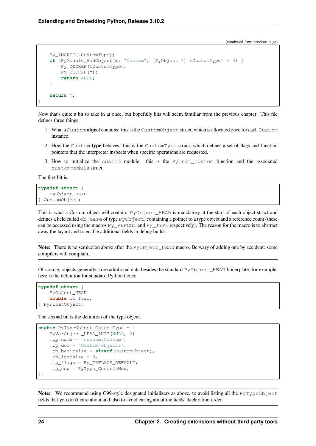(continued from previous page)

```
Py_INCREF(&CustomType);
   if (PyModule_AddObject(m, "Custom", (PyObject *) &CustomType) < 0) {
       Py_DECREF(&CustomType);
       Py_DECREF(m);
       return NULL;
    }
   return m;
}
```
Now that's quite a bit to take in at once, but hopefully bits will seem familiar from the previous chapter. This file defines three things:

- 1. What a Custom **object** contains: this is the CustomObject struct, which is allocated once for each Custom instance.
- 2. How the Custom **type** behaves: this is the CustomType struct, which defines a set of flags and function pointers that the interpreter inspects when specific operations are requested.
- 3. How to initialize the custom module: this is the PyInit\_custom function and the associated custommodule struct.

The first bit is:

```
typedef struct {
   PyObject_HEAD
} CustomObject;
```
This is what a Custom object will contain. PyObject\_HEAD is mandatory at the start of each object struct and defines a field called  $ob\_\text{base}$  of type PyObject, containing a pointer to a type object and a reference count (these can be accessed using the macros Py\_REFCNT and Py\_TYPE respectively). The reason for the macro is to abstract away the layout and to enable additional fields in debug builds.

**Note:** There is no semicolon above after the PyObject HEAD macro. Be wary of adding one by accident: some compilers will complain.

Of course, objects generally store additional data besides the standard PyObject\_HEAD boilerplate; for example, here is the definition for standard Python floats:

```
typedef struct {
    PyObject_HEAD
    double ob_fval;
} PyFloatObject;
```
The second bit is the definition of the type object.

```
static PyTypeObject CustomType = {
   PyVarObject_HEAD_INIT(NULL, 0)
    .tp_name = "custom.Custom",
    .tp_doc = "Custom objects",
    .tp_basicsize = sizeof(CustomObject),
    .tp_itemsize = 0,
    .tp_flags = Py_TPFLAGS_DEFAULT,
    .tp_new = PyType_GenericNew,
};
```
**Note:** We recommend using C99-style designated initializers as above, to avoid listing all the PyTypeObject fields that you don't care about and also to avoid caring about the fields' declaration order.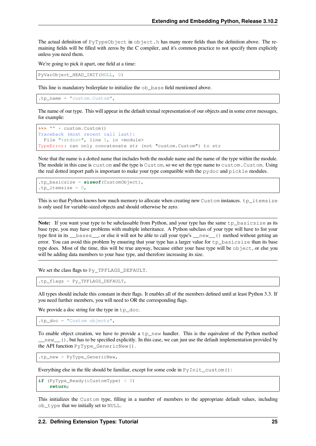The actual definition of  $PyTypeObject$  in  $object$ .h has many more fields than the definition above. The remaining fields will be filled with zeros by the C compiler, and it's common practice to not specify them explicitly unless you need them.

We're going to pick it apart, one field at a time:

PyVarObject\_HEAD\_INIT(NULL, 0)

This line is mandatory boilerplate to initialize the  $\circ$ b<sub>rbase</sub> field mentioned above.

.tp\_name = "custom.Custom",

The name of our type. This will appear in the default textual representation of our objects and in some error messages, for example:

```
>>> "" + custom.Custom()
Traceback (most recent call last):
 File "<stdin>", line 1, in <module>
TypeError: can only concatenate str (not "custom.Custom") to str
```
Note that the name is a dotted name that includes both the module name and the name of the type within the module. The module in this case is custom and the type is Custom, so we set the type name to custom. Custom. Using the real dotted import path is important to make your type compatible with the pydoc and pickle modules.

```
.tp_basicsize = sizeof(CustomObject),
.tp_itemsize = 0,
```
This is so that Python knows how much memory to allocate when creating new Custom instances. tp\_itemsize is only used for variable-sized objects and should otherwise be zero.

**Note:** If you want your type to be subclassable from Python, and your type has the same tp\_basicsize as its base type, you may have problems with multiple inheritance. A Python subclass of your type will have to list your type first in its \_\_bases\_\_, or else it will not be able to call your type's \_\_new\_\_() method without getting an error. You can avoid this problem by ensuring that your type has a larger value for tp\_basicsize than its base type does. Most of the time, this will be true anyway, because either your base type will be object, or else you will be adding data members to your base type, and therefore increasing its size.

We set the class flags to Py\_TPFLAGS\_DEFAULT.

```
.tp_flags = Py_TPFLAGS_DEFAULT,
```
All types should include this constant in their flags. It enables all of the members defined until at least Python 3.3. If you need further members, you will need to OR the corresponding flags.

We provide a doc string for the type in  $tp\_doc$ .

.tp\_doc = "Custom objects",

To enable object creation, we have to provide a  $tp_new$  handler. This is the equivalent of the Python method  $new_1$ ), but has to be specified explicitly. In this case, we can just use the default implementation provided by the API function PyType\_GenericNew().

.tp\_new = PyType\_GenericNew,

Everything else in the file should be familiar, except for some code in  $PyInit$  custom():

**if** (PyType\_Ready(&CustomType) < 0) **return**;

This initializes the Custom type, filling in a number of members to the appropriate default values, including ob\_type that we initially set to NULL.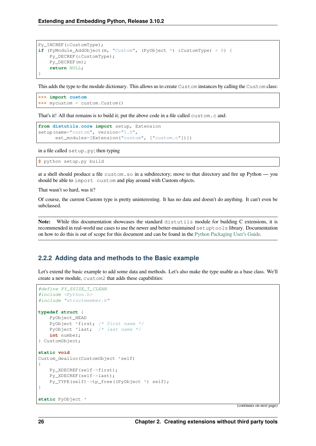```
Py_INCREF(&CustomType);
if (PyModule_AddObject(m, "Custom", (PyObject *) &CustomType) < 0) {
   Py_DECREF(&CustomType);
   Py_DECREF(m);
    return NULL;
}
```
This adds the type to the module dictionary. This allows us to create Custom instances by calling the Custom class:

```
>>> import custom
>>> mycustom = custom.Custom()
```
That's it! All that remains is to build it; put the above code in a file called custom.c and:

```
from distutils.core import setup, Extension
setup(name="custom", version="1.0",
      ext_modules=[Extension("custom", ["custom.c"])])
```
in a file called setup.py; then typing

```
$ python setup.py build
```
at a shell should produce a file custom.so in a subdirectory; move to that directory and fire up Python — you should be able to import custom and play around with Custom objects.

That wasn't so hard, was it?

Of course, the current Custom type is pretty uninteresting. It has no data and doesn't do anything. It can't even be subclassed.

**Note:** While this documentation showcases the standard distutils module for building C extensions, it is recommended in real-world use cases to use the newer and better-maintained setuptools library. Documentation on how to do this is out of scope for this document and can be found in the Python Packaging User's Guide.

#### **2.2.2 Adding data and methods to the Basic examp[le](https://packaging.python.org/tutorials/distributing-packages/)**

<span id="page-29-0"></span>Let's extend the basic example to add some data and methods. Let's also make the type usable as a base class. We'll create a new module, custom2 that adds these capabilities:

```
#define PY_SSIZE_T_CLEAN
#include <Python.h>
#include "structmember.h"
typedef struct {
   PyObject_HEAD
   PyObject *first; /* first name */
   PyObject *last; /* last name */
   int number;
} CustomObject;
static void
Custom_dealloc(CustomObject *self)
{
    Py_XDECREF(self->first);
    Py_XDECREF(self->last);
   Py_TYPE(self)->tp_free((PyObject *) self);
}
static PyObject *
```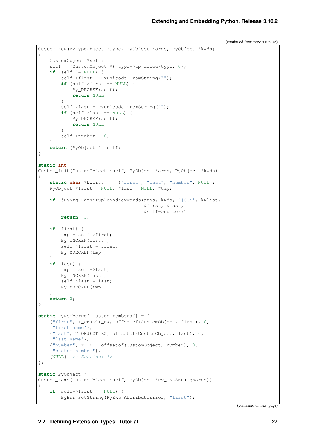```
(continued from previous page)
```

```
Custom_new(PyTypeObject *type, PyObject *args, PyObject *kwds)
{
   CustomObject *self;
    self = (CustomObject *) type->tp_alloc(type, 0);
    if (self != NULL) {
       self->first = PyUnicode_FromString("");
        if (self->first == NULL) {
           Py_DECREF(self);
           return NULL;
        }
        self->last = PyUnicode_FromString("");
        if (self->last == NULL) {
            Py_DECREF(self);
            return NULL;
        }
        self->number = 0;}
   return (PyObject *) self;
}
static int
Custom_init(CustomObject *self, PyObject *args, PyObject *kwds)
{
    static char *kwlist[] = {"first", "last", "number", NULL};
   PyObject *first = NULL, *last = NULL, *tmp;
    if (!PyArg_ParseTupleAndKeywords(args, kwds, "|OOi", kwlist,
                                     &first, &last,
                                     &self->number))
        return -1;
    if (first) {
        tmp = self->first;
        Py_INCREF(first);
        self->first = first;
       Py_XDECREF(tmp);
    }
    if (last) {
       tmp = self->last;
       Py_INCREF(last);
       self->last = last;
       Py_XDECREF(tmp);
    }
   return 0;
}
static PyMemberDef Custom_members[] = {
   {"first", T_OBJECT_EX, offsetof(CustomObject, first), 0,
     "first name"},
   {"last", T_OBJECT_EX, offsetof(CustomObject, last), 0,
     "last name"},
    {"number", T_INT, offsetof(CustomObject, number), 0,
     "custom number" },
    {NULL} /* Sentinel */
};
static PyObject *
Custom_name(CustomObject *self, PyObject *Py_UNUSED(ignored))
{
    if (self->first == NULL) {
        PyErr_SetString(PyExc_AttributeError, "first");
```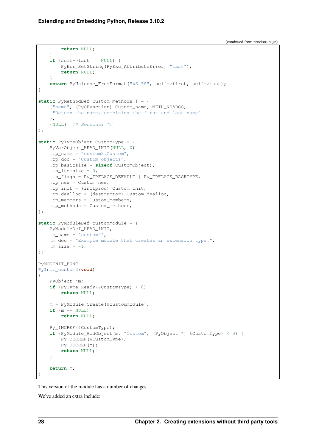```
(continued from previous page)
```

```
return NULL;
    }
    if (self->last == NULL) {
       PyErr_SetString(PyExc_AttributeError, "last");
       return NULL;
    }
    return PyUnicode_FromFormat("%S %S", self->first, self->last);
}
static PyMethodDef Custom_methods[] = {
   {"name", (PyCFunction) Custom_name, METH_NOARGS,
     "Return the name, combining the first and last name"
    },
    {NULL} /* Sentinel */
};
static PyTypeObject CustomType = {
   PyVarObject_HEAD_INIT(NULL, 0)
    .tp_name = "custom2.Custom",
    .tp doc = "Custom objects",
    .tp_basicsize = sizeof(CustomObject),
    .tp_itemsize = 0,.tp_flags = Py_TPFLAGS_DEFAULT | Py_TPFLAGS_BASETYPE,
    .tp_new = Custom_new,
    .tp_init = (initproc) Custom_init,
    .tp_dealloc = (destructor) Custom_dealloc,
    .tp_members = Custom_members,
    .tp_methods = Custom_methods,
};
static PyModuleDef custommodule = {
   PyModuleDef_HEAD_INIT,
    .m\_name = "custom2",.m_doc = "Example module that creates an extension type.",
    .m\_size = -1,};
PyMODINIT_FUNC
PyInit_custom2(void)
{
    PyObject *m;
    if (PyType_Ready(&CustomType) < 0)
       return NULL;
   m = PyModule_Create(&custommodule);
   if (m == NULL)
       return NULL;
   Py_INCREF(&CustomType);
    if (PyModule_AddObject(m, "Custom", (PyObject *) &CustomType) < 0) {
       Py_DECREF(&CustomType);
       Py_DECREF(m);
        return NULL;
    }
    return m;
}
```
This version of the module has a number of changes.

We've added an extra include: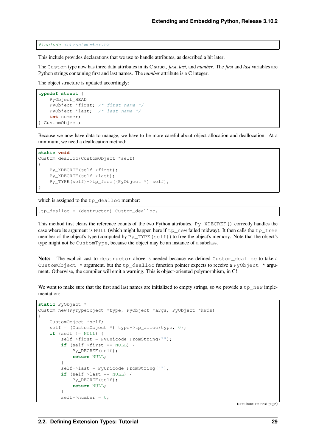*#include <structmember.h>*

This include provides declarations that we use to handle attributes, as described a bit later.

The Custom type now has three data attributes in its C struct, *first*, *last*, and *number*. The *first* and *last* variables are Python strings containing first and last names. The *number* attribute is a C integer.

The object structure is updated accordingly:

```
typedef struct {
   PyObject_HEAD
    PyObject *first; /* first name */
    PyObject *last; /* last name */
    int number;
} CustomObject;
```
Because we now have data to manage, we have to be more careful about object allocation and deallocation. At a minimum, we need a deallocation method:

#### **static void**

```
Custom_dealloc(CustomObject *self)
{
    Py_XDECREF(self->first);
    Py_XDECREF(self->last);
    Py_TYPE(self)->tp_free((PyObject *) self);
}
```
which is assigned to the tp\_dealloc member:

.tp\_dealloc = (destructor) Custom\_dealloc,

This method first clears the reference counts of the two Python attributes. Py\_XDECREF() correctly handles the case where its argument is NULL (which might happen here if  $tp$  new failed midway). It then calls the  $tp$  free member of the object's type (computed by  $Py$ <sup>TYPE</sup>(self)) to free the object's memory. Note that the object's type might not be CustomType, because the object may be an instance of a subclass.

**Note:** The explicit cast to destructor above is needed because we defined Custom\_dealloc to take a CustomObject  $*$  argument, but the tp\_dealloc function pointer expects to receive a PyObject  $*$  argument. Otherwise, the compiler will emit a warning. This is object-oriented polymorphism, in C!

We want to make sure that the first and last names are initialized to empty strings, so we provide a  $tp_new$  implementation:

```
static PyObject *
Custom_new(PyTypeObject *type, PyObject *args, PyObject *kwds)
{
    CustomObject *self;
    self = (Customer \cdot \cdot) type \rightarrow tp\_alloc(type, 0);if (self != NULL) { }self->first = PyUnicode_FromString("");
        if (self->first == NULL) {
            Py_DECREF(self);
            return NULL;
        }
        self->last = PyUnicode_FromString("");
        if (self->last == NULL) {
            Py_DECREF(self);
            return NULL;
        }
        self->number = 0:
```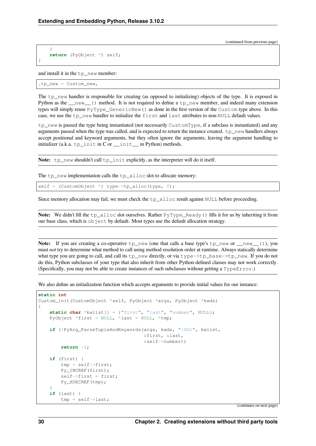(continued from previous page)

```
return (PyObject *) self;
}
```
and install it in the tp\_new member:

.tp\_new = Custom\_new,

}

The  $tp$  new handler is responsible for creating (as opposed to initializing) objects of the type. It is exposed in Python as the  $new$  () method. It is not required to define a  $tp_new$  member, and indeed many extension types will simply reuse PyType\_GenericNew() as done in the first version of the Custom type above. In this case, we use the tp\_new handler to initialize the first and last attributes to non-NULL default values.

tp\_new is passed the type being instantiated (not necessarily CustomType, if a subclass is instantiated) and any arguments passed when the type was called, and is expected to return the instance created. tp\_new handlers always accept positional and keyword arguments, but they often ignore the arguments, leaving the argument handling to initializer (a.k.a.  $tp$  init in C or  $^-$  init in Python) methods.

Note:  $tp_new$  shouldn't call  $tp\_init$  explicitly, as the interpreter will do it itself.

The  $tp_new$  implementation calls the  $tp_value$  slot to allocate memory:

 $self = (Customer \times) type - \times tp\_alloc(type, 0);$ 

Since memory allocation may fail, we must check the  $tp$  alloc result against NULL before proceeding.

**Note:** We didn't fill the tp\_alloc slot ourselves. Rather PyType\_Ready() fills it for us by inheriting it from our base class, which is  $\circ$ bject by default. Most types use the default allocation strategy.

**Note:** If you are creating a co-operative  $tp_new$  (one that calls a base type's  $tp_new$  or  $_new$  ()), you must *not* try to determine what method to call using method resolution order at runtime. Always statically determine what type you are going to call, and call its tp\_new directly, or via type->tp\_base->tp\_new. If you do not do this, Python subclasses of your type that also inherit from other Python-defined classes may not work correctly. (Specifically, you may not be able to create instances of such subclasses without getting a TypeError.)

We also define an initialization function which accepts arguments to provide initial values for our instance:

```
static int
Custom_init(CustomObject *self, PyObject *args, PyObject *kwds)
{
    static char *kwlist[] = {"first", "last", "number", NULL};
    PyObject *first = NULL, *last = NULL, *tmp;
    if (!PyArg_ParseTupleAndKeywords(args, kwds, "|OOi", kwlist,
                                      &first, &last,
                                      &self->number))
        return -1;
    if (first) {
        tmp = self->first;
        Py_INCREF(first);
        self->first = first;
        Py_XDECREF(tmp);
    }
    if (last) {
        tmp = self->last;
```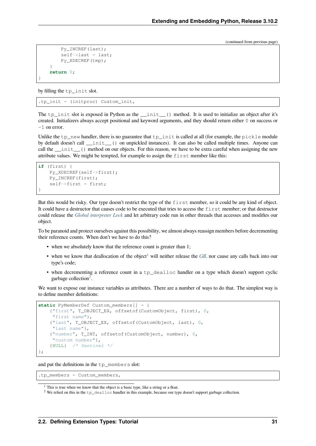```
Py_INCREF(last);
    self->last = last;
    Py_XDECREF(tmp);
}
return 0;
```
by filling the tp\_init slot.

}

```
.tp_init = (initproc) Custom_init,
```
The  $tp$  init slot is exposed in Python as the  $\overline{init}$  () method. It is used to initialize an object after it's created. Initializers always accept positional and keyword arguments, and they should return either 0 on success or -1 on error.

Unlike the  $tp_new$  handler, there is no guarantee that  $tp\_init$  is called at all (for example, the  $pickle$  module by default doesn't call \_\_init\_\_() on unpickled instances). It can also be called multiple times. Anyone can call the  $\text{init}$  () method on our objects. For this reason, we have to be extra careful when assigning the new attribute values. We might be tempted, for example to assign the  $f$ irst member like this:

```
if (first) {
   Py_XDECREF(self->first);
   Py_INCREF(first);
    self->first = first;
}
```
But this would be risky. Our type doesn't restrict the type of the first member, so it could be any kind of object. It could have a destructor that causes code to be executed that tries to access the first member; or that destructor could release the *Global interpreter Lock* and let arbitrary code run in other threads that accesses and modifies our object.

To be paranoid and protect ourselves against this possibility, we almost always reassign members before decrementing their reference co[unts. When don't we ha](#page-75-0)ve to do this?

- when we absolutely know that the reference count is greater than 1;
- when we know that deallocation of the object<sup>1</sup> will neither release the *GIL* nor cause any calls back into our type's code;
- when decrementing a reference count in a tp\_dealloc handler on a type which doesn't support cyclic garbage collection<sup>2</sup>.

We want to expose our instance variables as attributes. There are a number o[f wa](#page-75-0)ys to do that. The simplest way is to define member definitions:

```
static PyMemberDef Custom_members[] = {
    {"first", T_OBJECT_EX, offsetof(CustomObject, first), 0,
     "first name"},
    {"last", T_OBJECT_EX, offsetof(CustomObject, last), 0,
     "last name"},
    {"number", T_INT, offsetof(CustomObject, number), 0,
     "custom number"},
    {NULL} /* Sentinel */
};
```
and put the definitions in the tp\_members slot:

.tp\_members = Custom\_members,

 $1$  This is true when we know that the object is a basic type, like a string or a float.

<span id="page-34-0"></span><sup>&</sup>lt;sup>2</sup> We relied on this in the  $tp\_dead \log$  handler in this example, because our type doesn't support garbage collection.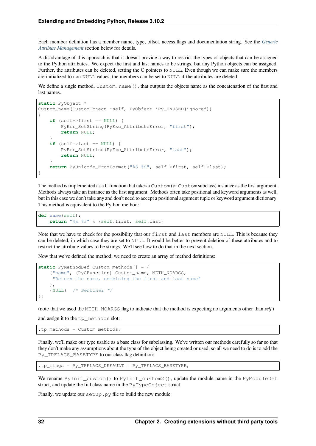Each member definition has a member name, type, offset, access flags and documentation string. See the *Generic Attribute Management* section below for details.

A disadvantage of this approach is that it doesn't provide a way to restrict the types of objects that can be assigned to the Python attributes. We expect the first and last names to be strings, but any Python objects can be assigned. Further, the attributes can be deleted, setting the C pointers to NULL. Even though we can make sure the [members](#page-53-0) [are initialized to non-](#page-53-0)NULL values, the members can be set to NULL if the attributes are deleted.

We define a single method, Custom.name(), that outputs the objects name as the concatenation of the first and last names.

```
static PyObject *
Custom_name(CustomObject *self, PyObject *Py_UNUSED(ignored))
{
    if (self->first == NULL) {
        PyErr_SetString(PyExc_AttributeError, "first");
        return NULL;
    }
    if (self->last == NULL) {
        PyErr_SetString(PyExc_AttributeError, "last");
        return NULL;
    }
    return PyUnicode_FromFormat("%S %S", self->first, self->last);
}
```
The method is implemented as a C function that takes a Custom (or Custom subclass) instance as the first argument. Methods always take an instance as the first argument. Methods often take positional and keyword arguments as well, but in this case we don't take any and don't need to accept a positional argument tuple or keyword argument dictionary. This method is equivalent to the Python method:

**def** name(self): **return** "*%s %s*" % (self.first, self.last)

Note that we have to check for the possibility that our first and last members are NULL. This is because they can be deleted, in which case they are set to NULL. It would be better to prevent deletion of these attributes and to restrict the attribute values to be strings. We'll see how to do that in the next section.

Now that we've defined the method, we need to create an array of method definitions:

```
static PyMethodDef Custom_methods[] = {
   {"name", (PyCFunction) Custom_name, METH_NOARGS,
    "Return the name, combining the first and last name"
   },
    {NULL} /* Sentinel */
};
```
(note that we used the METH\_NOARGS flag to indicate that the method is expecting no arguments other than *self*)

and assign it to the tp\_methods slot:

.tp\_methods = Custom\_methods,

Finally, we'll make our type usable as a base class for subclassing. We've written our methods carefully so far so that they don't make any assumptions about the type of the object being created or used, so all we need to do is to add the Py\_TPFLAGS\_BASETYPE to our class flag definition:

.tp\_flags = Py\_TPFLAGS\_DEFAULT | Py\_TPFLAGS\_BASETYPE,

We rename PyInit\_custom() to PyInit\_custom2(), update the module name in the PyModuleDef struct, and update the full class name in the PyTypeObject struct.

Finally, we update our setup.py file to build the new module: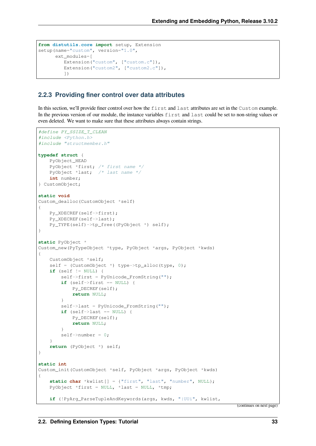```
from distutils.core import setup, Extension
setup(name="custom", version="1.0",
      ext_modules=[
         Extension("custom", ["custom.c"]),
         Extension("custom2", ["custom2.c"]),
         ])
```
### **2.2.3 Providing finer control over data attributes**

In this section, we'll provide finer control over how the first and last attributes are set in the Custom example. In the previous version of our module, the instance variables  $first$  and last could be set to non-string values or even deleted. We want to make sure that these attributes always contain strings.

```
#define PY_SSIZE_T_CLEAN
#include <Python.h>
#include "structmember.h"
typedef struct {
   PyObject_HEAD
    PyObject *first; /* first name */
   PyObject *last; /* last name */
    int number;
} CustomObject;
static void
Custom_dealloc(CustomObject *self)
{
    Py_XDECREF(self->first);
    Py_XDECREF(self->last);
    Py_TYPE(self)->tp_free((PyObject *) self);
}
static PyObject *
Custom_new(PyTypeObject *type, PyObject *args, PyObject *kwds)
{
    CustomObject *self;
    self = (CustomObject *) type->tp_alloc(type, 0);
    if (self != NULL) { }self->first = PyUnicode_FromString("");
        if (self->first == NULL) {
           Py_DECREF(self);
            return NULL;
        }
        self->last = PyUnicode_FromString("");
        if (self->last == NULL) {
            Py_DECREF(self);
            return NULL;
        }
        self->number = 0;\lambdareturn (PyObject *) self;
}
static int
Custom_init(CustomObject *self, PyObject *args, PyObject *kwds)
{
    static char *kwlist[] = {"first", "last", "number", NULL};
   PyObject *first = NULL, *last = NULL, *tmp;
    if (!PyArg_ParseTupleAndKeywords(args, kwds, "|UUi", kwlist,
```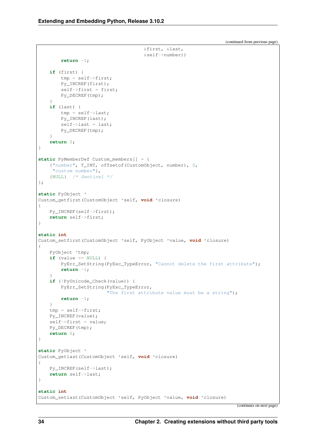```
&first, &last,
                                     &self->number))
        return -1;
    if (first) {
       tmp = self->first;
       Py_INCREF(first);
        self->first = first;
       Py_DECREF(tmp);
    }
    if (last) {
       tmp = self->last;
       Py_INCREF(last);
        self->last = last;
       Py_DECREF(tmp);
    }
   return 0;
}
static PyMemberDef Custom_members[] = {
   {"number", T_INT, offsetof(CustomObject, number), 0,
     "custom number"},
   {NULL} /* Sentinel */
};
static PyObject *
Custom_getfirst(CustomObject *self, void *closure)
{
   Py_INCREF(self->first);
   return self->first;
}
static int
Custom_setfirst(CustomObject *self, PyObject *value, void *closure)
{
    PyObject *tmp;
    if (value == NULL) {
       PyErr_SetString(PyExc_TypeError, "Cannot delete the first attribute");
       return -1;
    }
    if (!PyUnicode_Check(value)) {
       PyErr_SetString(PyExc_TypeError,
                        "The first attribute value must be a string");
       return -1;
    }
   tmp = self->first;Py_INCREF(value);
   self->first = value;
   Py_DECREF(tmp);
   return 0;
}
static PyObject *
Custom_getlast(CustomObject *self, void *closure)
{
   Py_INCREF(self->last);
   return self->last;
}
static int
Custom_setlast(CustomObject *self, PyObject *value, void *closure)
```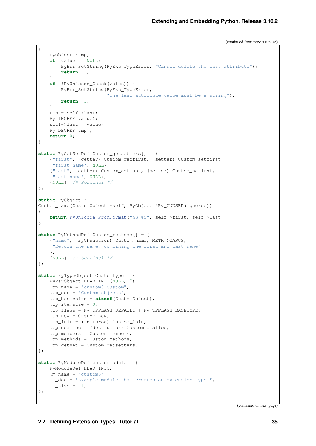```
(continued from previous page)
```

```
{
   PyObject *tmp;
    if (value == NULL) {
       PyErr_SetString(PyExc_TypeError, "Cannot delete the last attribute");
       return -1;
    }
   if (!PyUnicode_Check(value)) {
       PyErr_SetString(PyExc_TypeError,
                        "The last attribute value must be a string");
       return -1;
    }
    tmp = self->last;
   Py_INCREF(value);
    self->last = value;
   Py_DECREF(tmp);
   return 0;
}
static PyGetSetDef Custom_getsetters[] = {
   {"first", (getter) Custom_getfirst, (setter) Custom_setfirst,
     "first name", NULL},
    {"last", (getter) Custom_getlast, (setter) Custom_setlast,
     "last name", NULL},
    {NULL} /* Sentinel */
};
static PyObject *
Custom_name(CustomObject *self, PyObject *Py_UNUSED(ignored))
{
   return PyUnicode_FromFormat("%S %S", self->first, self->last);
}
static PyMethodDef Custom_methods[] = {
    {"name", (PyCFunction) Custom_name, METH_NOARGS,
    "Return the name, combining the first and last name"
    },
    {NULL} /* Sentinel */
};
static PyTypeObject CustomType = {
   PyVarObject_HEAD_INIT(NULL, 0)
    .tp_name = "custom3.Custom",
    .tp_doc = "Custom objects",
    .tp_basicsize = sizeof(CustomObject),
    .tp_itemsize = 0,.tp_flags = Py_TPFLAGS_DEFAULT | Py_TPFLAGS_BASETYPE,
    .tp_new = Custom_new,
    .tp_init = (initproc) Custom_init,
    .tp_dealloc = (destructor) Custom_dealloc,
    .tp_members = Customer.tp_methods = Custom_methods,
    .tp_getset = Custom_getsetters,
};
static PyModuleDef custommodule = {
   PyModuleDef_HEAD_INIT,
    .m\_name = "custom3",.m_doc = "Example module that creates an extension type.",
    .m\_size = -1,};
```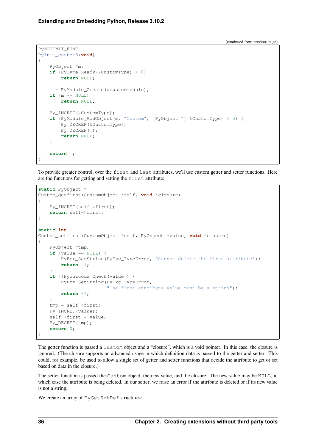```
PyMODINIT_FUNC
PyInit_custom3(void)
{
    PyObject *m;
    if (PyType_Ready(&CustomType) < 0)
       return NULL;
   m = PyModule_Create(&custommodule);
    if (m == NULL)
        return NULL;
   Py_INCREF(&CustomType);
    if (PyModule_AddObject(m, "Custom", (PyObject *) &CustomType) < 0) {
        Py_DECREF(&CustomType);
        Py_DECREF(m);
        return NULL;
    }
    return m;
}
```
To provide greater control, over the first and last attributes, we'll use custom getter and setter functions. Here are the functions for getting and setting the first attribute:

```
static PyObject *
Custom_getfirst(CustomObject *self, void *closure)
{
    Py_INCREF(self->first);
    return self->first;
}
static int
Custom_setfirst(CustomObject *self, PyObject *value, void *closure)
{
    PyObject *tmp;
    if (value == NULL) {
        PyErr_SetString(PyExc_TypeError, "Cannot delete the first attribute");
        return -1;
    }
    if (!PyUnicode_Check(value)) {
        PyErr_SetString(PyExc_TypeError,
                        "The first attribute value must be a string");
        return -1;
    }
    tmp = self->first;
    Py_INCREF(value);
    self->first = value;
   Py_DECREF(tmp):
    return 0;
}
```
The getter function is passed a Custom object and a "closure", which is a void pointer. In this case, the closure is ignored. (The closure supports an advanced usage in which definition data is passed to the getter and setter. This could, for example, be used to allow a single set of getter and setter functions that decide the attribute to get or set based on data in the closure.)

The setter function is passed the Custom object, the new value, and the closure. The new value may be NULL, in which case the attribute is being deleted. In our setter, we raise an error if the attribute is deleted or if its new value is not a string.

We create an array of PyGetSetDef structures: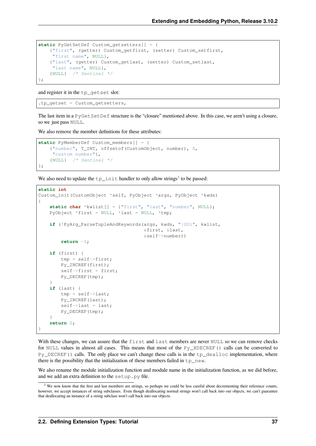```
static PyGetSetDef Custom_getsetters[] = {
    {"first", (getter) Custom_getfirst, (setter) Custom_setfirst,
     "first name", NULL},
    {"last", (getter) Custom_getlast, (setter) Custom_setlast,
    "last name", NULL},
    {NULL} /* Sentinel */
};
```
and register it in the tp\_getset slot:

```
.tp_getset = Custom_getsetters,
```
The last item in a PyGetSetDef structure is the "closure" mentioned above. In this case, we aren't using a closure, so we just pass NULL.

We also remove the member definitions for these attributes:

```
static PyMemberDef Custom_members[] = {
    {"number", T_INT, offsetof(CustomObject, number), 0,
     "custom number"},
    {NULL} /* Sentinel */
};
```
We also need to update the  $tp\_init$  handler to only allow strings<sup>3</sup> to be passed:

```
static int
Custom_init(CustomObject *self, PyObject *args, PyObject *kwds)
{
    static char *kwlist[] = {"first", "last", "number", NULL};
   PyObject *first = NULL, *last = NULL, *tmp;
    if (!PyArg_ParseTupleAndKeywords(args, kwds, "|UUi", kwlist,
                                      &first, &last,
                                      &self->number))
        return -1;
    if (first) {
        tmp = self->first;
        Py_INCREF(first);
        self->first = first;
        Py_DECREF(tmp);
    }
    if (last) {
        tmp = self->last;
        Py_INCREF(last);
        self->last = last;
        Py_DECREF(tmp);
    }
    return 0;
}
```
With these changes, we can assure that the first and last members are never NULL so we can remove checks for NULL values in almost all cases. This means that most of the  $Py\_XDECRE$  () calls can be converted to Py\_DECREF() calls. The only place we can't change these calls is in the tp\_dealloc implementation, where there is the possibility that the initialization of these members failed in  $tp_new$ .

We also rename the module initialization function and module name in the initialization function, as we did before, and we add an extra definition to the setup.py file.

<span id="page-40-0"></span><sup>&</sup>lt;sup>3</sup> We now know that the first and last members are strings, so perhaps we could be less careful about decrementing their reference counts, however, we accept instances of string subclasses. Even though deallocating normal strings won't call back into our objects, we can't guarantee that deallocating an instance of a string subclass won't call back into our objects.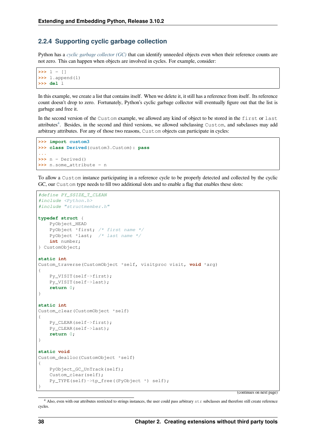### **2.2.4 Supporting cyclic garbage collection**

Python has a *cyclic garbage collector (GC)* that can identify unneeded objects even when their reference counts are not zero. This can happen when objects are involved in cycles. For example, consider:

```
>>> l = []
>>> l.append(l)
>>> del l
```
In this example, we create a list that contains itself. When we delete it, it still has a reference from itself. Its reference count doesn't drop to zero. Fortunately, Python's cyclic garbage collector will eventually figure out that the list is garbage and free it.

In the second version of the Custom example, we allowed any kind of object to be stored in the first or last attributes<sup>4</sup>. Besides, in the second and third versions, we allowed subclassing Custom, and subclasses may add arbitrary attributes. For any of those two reasons, Custom objects can participate in cycles:

```
>>> import custom3
>>> class Derived(custom3.Custom): pass
...
>>> n = Derived()
>>> n.some_attribute = n
```
To allow a Custom instance participating in a reference cycle to be properly detected and collected by the cyclic GC, our Custom type needs to fill two additional slots and to enable a flag that enables these slots:

```
#define PY_SSIZE_T_CLEAN
#include <Python.h>
#include "structmember.h"
typedef struct {
   PyObject_HEAD
   PyObject *first; /* first name */
   PyObject *last; /* last name */
    int number;
} CustomObject;
static int
Custom_traverse(CustomObject *self, visitproc visit, void *arg)
{
   Py_VISIT(self->first);
   Py_VISIT(self->last);
    return 0;
}
static int
Custom_clear(CustomObject *self)
{
   Py_CLEAR(self->first);
   Py_CLEAR(self->last);
    return 0;
}
static void
Custom_dealloc(CustomObject *self)
{
   PyObject_GC_UnTrack(self);
   Custom_clear(self);
   Py_TYPE(self)->tp_free((PyObject *) self);
}
```
<span id="page-41-0"></span> $4$  Also, even with our attributes restricted to strings instances, the user could pass arbitrary  $str$  subclasses and therefore still create reference cycles.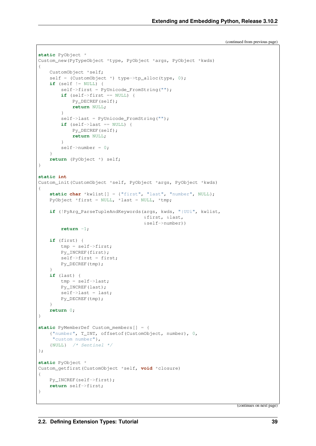```
(continued from previous page)
```

```
static PyObject *
Custom_new(PyTypeObject *type, PyObject *args, PyObject *kwds)
{
   CustomObject *self;
    self = (CustomObject *) type->tp_alloc(type, 0);
    if (self != NULL) {
       self->first = PyUnicode_FromString("");
        if (self->first == NULL) {
           Py_DECREF(self);
            return NULL;
        }
        self->last = PyUnicode_FromString("");
        if (self->last == NULL) {
           Py_DECREF(self);
            return NULL;
        }
        self->number = 0;
    }
   return (PyObject *) self;
}
static int
Custom_init(CustomObject *self, PyObject *args, PyObject *kwds)
{
    static char *kwlist[] = {"first", "last", "number", NULL};
   PyObject *first = NULL, *last = NULL, *tmp;
   if (!PyArg_ParseTupleAndKeywords(args, kwds, "|UUi", kwlist,
                                     &first, &last,
                                     &self->number))
        return -1;
    if (first) {
        tmp = self->first;
        Py_INCREF(first);
       self->first = first;
       Py_DECREF(tmp);
    }
    if (last) {
       tmp = self->last;Py_INCREF(last);
       self->last = last;
       Py_DECREF(tmp);
    }
   return 0;
}
static PyMemberDef Custom_members[] = {
   {"number", T_INT, offsetof(CustomObject, number), 0,
     "custom number"},
    {NULL} /* Sentinel */
};
static PyObject *
Custom_getfirst(CustomObject *self, void *closure)
{
   Py_INCREF(self->first);
   return self->first;
}
```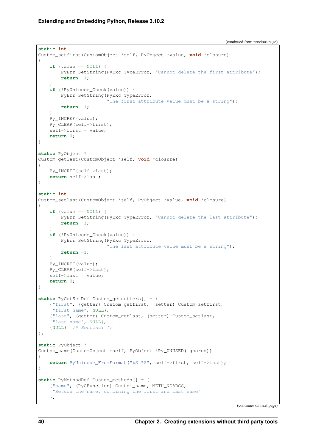```
(continued from previous page)
```

```
static int
Custom_setfirst(CustomObject *self, PyObject *value, void *closure)
{
    if (value == NULL) {
       PyErr_SetString(PyExc_TypeError, "Cannot delete the first attribute");
       return -1;
    }
    if (!PyUnicode_Check(value)) {
       PyErr_SetString(PyExc_TypeError,
                        "The first attribute value must be a string");
        return -1;
    }
   Py_INCREF(value);
   Py_CLEAR(self->first);
    self->first = value;
   return 0;
}
static PyObject *
Custom_getlast(CustomObject *self, void *closure)
{
   Py_INCREF(self->last);
   return self->last;
}
static int
Custom_setlast(CustomObject *self, PyObject *value, void *closure)
{
    if (value == NULL) {
       PyErr_SetString(PyExc_TypeError, "Cannot delete the last attribute");
       return -1;
    }
    if (!PyUnicode_Check(value)) {
        PyErr_SetString(PyExc_TypeError,
                        "The last attribute value must be a string");
        return -1;
    }
   Py_INCREF(value);
   Py_CLEAR(self->last);
   self->last = value;
   return 0;
}
static PyGetSetDef Custom_getsetters[] = {
    {"first", (getter) Custom_getfirst, (setter) Custom_setfirst,
    "first name", NULL},
    {"last", (getter) Custom_getlast, (setter) Custom_setlast,
     "last name", NULL},
    {NULL} /* Sentinel */
};
static PyObject *
Custom_name(CustomObject *self, PyObject *Py_UNUSED(ignored))
{
   return PyUnicode_FromFormat("%S %S", self->first, self->last);
}
static PyMethodDef Custom_methods[] = {
   {"name", (PyCFunction) Custom_name, METH_NOARGS,
     "Return the name, combining the first and last name"
    },
```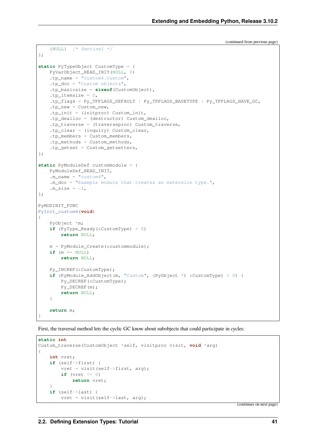```
(continued from previous page)
```

```
{NULL} /* Sentinel */
};
static PyTypeObject CustomType = {
   PyVarObject_HEAD_INIT(NULL, 0)
    .tp_name = "custom4.Custom",
    .tp_doc = "Custom objects",
    .tp_basicsize = sizeof(CustomObject),
    .tp_itemsize = 0,.tp_flags = Py_TPFLAGS_DEFAULT | Py_TPFLAGS_BASETYPE | Py_TPFLAGS_HAVE_GC,
    .tp_new = Custom_new,
    .tp_init = (initproc) Custom_init,
    .tp_dealloc = (destructor) Custom_dealloc,
    .tp_traverse = (traverseproc) Custom_traverse,
    .tp_clear = (inquiry) Custom_clear,
    .tp_members = Custom_members,
    .tp_methods = Custom_methods,
    .tp_getset = Custom_getsetters,
};
static PyModuleDef custommodule = {
   PyModuleDef_HEAD_INIT,
    .m\_name = "custom4",.m_doc = "Example module that creates an extension type.",
    .m\_size = -1,};
PyMODINIT_FUNC
PyInit_custom4(void)
{
    PyObject *m;
   if (PyType_Ready(&CustomType) < 0)
        return NULL;
   m = PyModule_Create(&custommodule);
    if (m == NULL)
        return NULL;
   Py_INCREF(&CustomType);
    if (PyModule_AddObject(m, "Custom", (PyObject *) &CustomType) < 0) {
       Py_DECREF(&CustomType);
       Py_DECREF(m);
       return NULL;
    }
    return m;
}
```
First, the traversal method lets the cyclic GC know about subobjects that could participate in cycles:

```
static int
Custom_traverse(CustomObject *self, visitproc visit, void *arg)
{
    int vret;
    if (self->first) {
        vret = visit(self->first, arg);if (vret != 0)return vret;
    }
    if (self->last) {
        vret = visit(self->last, arg);
```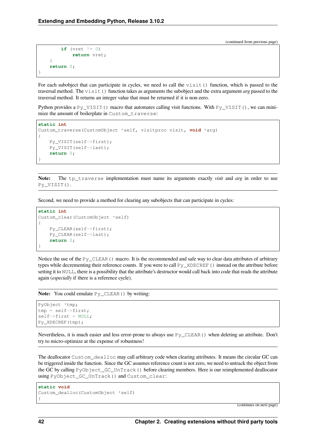```
if (vret != 0)return vret;
}
return 0;
```
}

For each subobject that can participate in cycles, we need to call the  $v$  is  $i$  () function, which is passed to the traversal method. The visit() function takes as arguments the subobject and the extra argument *arg* passed to the traversal method. It returns an integer value that must be returned if it is non-zero.

Python provides a Py\_VISIT() macro that automates calling visit functions. With Py\_VISIT(), we can minimize the amount of boilerplate in Custom\_traverse:

```
static int
Custom_traverse(CustomObject *self, visitproc visit, void *arg)
{
    Py_VISIT(self->first);
    Py_VISIT(self->last);
    return 0;
}
```
**Note:** The tp\_traverse implementation must name its arguments exactly *visit* and *arg* in order to use Py\_VISIT().

Second, we need to provide a method for clearing any subobjects that can participate in cycles:

```
static int
Custom_clear(CustomObject *self)
{
    Py_CLEAR(self->first);
    Py_CLEAR(self->last);
    return 0;
}
```
Notice the use of the Py\_CLEAR() macro. It is the recommended and safe way to clear data attributes of arbitrary types while decrementing their reference counts. If you were to call Py\_XDECREF() instead on the attribute before setting it to NULL, there is a possibility that the attribute's destructor would call back into code that reads the attribute again (*especially* if there is a reference cycle).

**Note:** You could emulate  $Py$ <sub>\_CLEAR</sub>() by writing:

```
PyObject *tmp;
tmp = self->first;
self->first = NULL;
Py_XDECREF(tmp);
```
Nevertheless, it is much easier and less error-prone to always use  $Py$  CLEAR() when deleting an attribute. Don't try to micro-optimize at the expense of robustness!

The deallocator Custom dealloc may call arbitrary code when clearing attributes. It means the circular GC can be triggered inside the function. Since the GC assumes reference count is not zero, we need to untrack the object from the GC by calling PyObject\_GC\_UnTrack() before clearing members. Here is our reimplemented deallocator using PyObject\_GC\_UnTrack() and Custom\_clear:

```
static void
Custom_dealloc(CustomObject *self)
{
```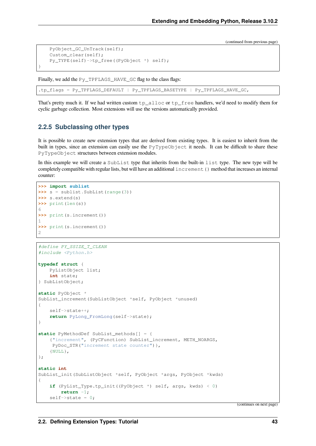```
PyObject_GC_UnTrack(self);
   Custom_clear(self);
   Py_TYPE(self)->tp_free((PyObject *) self);
}
```
Finally, we add the Py\_TPFLAGS\_HAVE\_GC flag to the class flags:

.tp\_flags = Py\_TPFLAGS\_DEFAULT | Py\_TPFLAGS\_BASETYPE | Py\_TPFLAGS\_HAVE\_GC,

That's pretty much it. If we had written custom  $tp\_alloc$  or  $tp\_free$  handlers, we'd need to modify them for cyclic garbage collection. Most extensions will use the versions automatically provided.

#### **2.2.5 Subclassing other types**

It is possible to create new extension types that are derived from existing types. It is easiest to inherit from the built in types, since an extension can easily use the PyTypeObject it needs. It can be difficult to share these PyTypeObject structures between extension modules.

In this example we will create a SubList type that inherits from the built-in list type. The new type will be completely compatible with regular lists, but will have an additional increment() method that increases an internal counter:

```
>>> import sublist
>>> s = sublist.SubList(range(3))
>>> s.extend(s)
>>> print(len(s))
6
>>> print(s.increment())
1
>>> print(s.increment())
\mathcal{L}
```

```
#define PY_SSIZE_T_CLEAN
#include <Python.h>
typedef struct {
    PyListObject list;
    int state;
} SubListObject;
static PyObject *
SubList_increment(SubListObject *self, PyObject *unused)
{
   self->state++;
   return PyLong_FromLong(self->state);
}
static PyMethodDef SubList_methods[] = {
   {"increment", (PyCFunction) SubList_increment, METH_NOARGS,
    PyDoc_STR("increment state counter")},
    {NULL},
};
static int
SubList_init(SubListObject *self, PyObject *args, PyObject *kwds)
{
    if (PyList_Type.tp_init((PyObject *) self, args, kwds) < 0)
        return -1;
    self \rightarrow state = 0;
```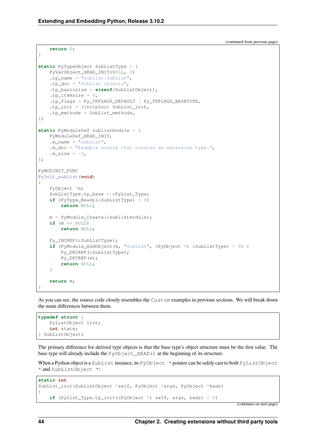**return** 0;

(continued from previous page)

```
}
static PyTypeObject SubListType = {
   PyVarObject_HEAD_INIT(NULL, 0)
    .tp_name = "sublist.SubList",
    .tp_doc = "SubList objects",
    .tp_basicsize = sizeof(SubListObject),
    .tp_itemsize = 0,.tp_flags = Py_TPFLAGS_DEFAULT | Py_TPFLAGS_BASETYPE,
    .tp_init = (initproc) SubList_init,
    .tp_methods = SubList_methods,
};
static PyModuleDef sublistmodule = {
   PyModuleDef_HEAD_INIT,
    .m\_name = "sublist",.m_doc = "Example module that creates an extension type.",
    .m\_size = -1,};
PyMODINIT_FUNC
PyInit_sublist(void)
{
    PyObject *m;
    SubListType.tp_base = &PyList_Type;
    if (PyType_Ready(&SubListType) < 0)
        return NULL;
   m = PyModule_Create(&sublistmodule);
   if (m == NULL)
        return NULL;
    Py_INCREF(&SubListType);
    if (PyModule_AddObject(m, "SubList", (PyObject *) &SubListType) < 0) {
        Py_DECREF(&SubListType);
        Py_DECREF(m);
        return NULL;
    }
    return m;
}
```
As you can see, the source code closely resembles the Custom examples in previous sections. We will break down the main differences between them.

**typedef struct** { PyListObject list; **int** state; } SubListObject;

The primary difference for derived type objects is that the base type's object structure must be the first value. The base type will already include the  $PyObject$  HEAD() at the beginning of its structure.

When a Python object is a SubList instance, its PyObject \* pointer can be safely cast to both PyListObject \* and SubListObject \*:

```
static int
SubList_init(SubListObject *self, PyObject *args, PyObject *kwds)
{
    if (PyList_Type.tp_init((PyObject *) self, args, kwds) < 0)
```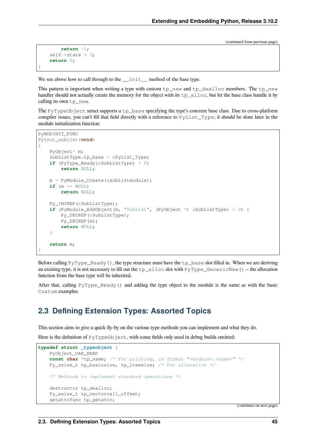```
return -1;
self->state = 0;
return 0;
```
}

We see above how to call through to the  $\__$  init  $\__$  method of the base type.

This pattern is important when writing a type with custom  $tp_new$  and  $tp_new$  and  $tp_new$  members. The  $tp_new$ handler should not actually create the memory for the object with its  $tp\_alloc$ , but let the base class handle it by calling its own tp\_new.

The PyTypeObject struct supports a tp\_base specifying the type's concrete base class. Due to cross-platform compiler issues, you can't fill that field directly with a reference to  $PyList$  Type; it should be done later in the module initialization function:

```
PyMODINIT_FUNC
PyInit_sublist(void)
{
    PyObject* m;
    SubListType.tp_base = &PyList_Type;
    if (PyType_Ready(&SubListType) < 0)
        return NULL;
   m = PyModule_Create(&sublistmodule);
   if (m == NULL)return NULL;
    Py_INCREF(&SubListType);
    if (PyModule_AddObject(m, "SubList", (PyObject *) &SubListType) < 0) {
        Py_DECREF(&SubListType);
       Py_DECREF(m);
        return NULL;
    }
    return m;
}
```
Before calling PyType\_Ready(), the type structure must have the tp\_base slot filled in. When we are deriving an existing type, it is not necessary to fill out the  $tp\_alloc$  slot with  $PyType\_Generator$  () – the allocation function from the base type will be inherited.

After that, calling PyType\_Ready() and adding the type object to the module is the same as with the basic Custom examples.

# **2.3 Defining Extension Types: Assorted Topics**

This section aims to give a quick fly-by on the various type methods you can implement and what they do.

Here is the definition of PyTypeObject, with some fields only used in debug builds omitted:

```
typedef struct _typeobject {
   PyObject_VAR_HEAD
   const char *tp_name; /* For printing, in format "<module>.<name>" */
   Py_ssize_t tp_basicsize, tp_itemsize; /* For allocation */
   /* Methods to implement standard operations */
   destructor tp_dealloc;
   Py_ssize_t tp_vectorcall_offset;
   getattrfunc tp_getattr;
```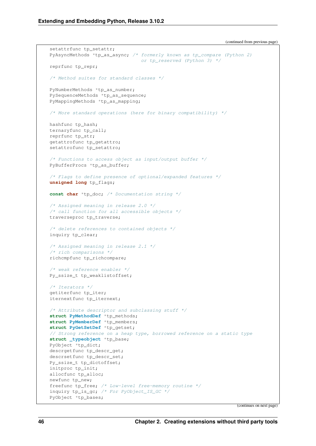```
(continued from previous page)
```

```
setattrfunc tp_setattr;
PyAsyncMethods *tp_as_async; /* formerly known as tp_compare (Python 2)
                                or tp_reserved (Python 3) */
reprfunc tp_repr;
/* Method suites for standard classes */
PyNumberMethods *tp_as_number;
PySequenceMethods *tp_as_sequence;
PyMappingMethods *tp_as_mapping;
/* More standard operations (here for binary compatibility) */
hashfunc tp_hash;
ternaryfunc tp_call;
reprfunc tp_str;
getattrofunc tp_getattro;
setattrofunc tp_setattro;
/* Functions to access object as input/output buffer */
PyBufferProcs *tp_as_buffer;
/* Flags to define presence of optional/expanded features */
unsigned long tp_flags;
const char *tp_doc; /* Documentation string */
/* Assigned meaning in release 2.0 */
/* call function for all accessible objects */
traverseproc tp_traverse;
/* delete references to contained objects */
inquiry tp_clear;
/* Assigned meaning in release 2.1 */
/* rich comparisons */
richcmpfunc tp_richcompare;
/* weak reference enabler */
Py_ssize_t tp_weaklistoffset;
/* Iterators */
getiterfunc tp_iter;
iternextfunc tp_iternext;
/* Attribute descriptor and subclassing stuff */
struct PyMethodDef *tp_methods;
struct PyMemberDef *tp_members;
struct PyGetSetDef *tp_getset;
// Strong reference on a heap type, borrowed reference on a static type
struct _typeobject *tp_base;
PyObject *tp_dict;
descrgetfunc tp_descr_get;
descrsetfunc tp_descr_set;
Py_ssize_t tp_dictoffset;
initproc tp_init;
allocfunc tp_alloc;
newfunc tp_new;
freefunc tp_free; /* Low-level free-memory routine */
inquiry tp_is_gc; /* For PyObject_IS_GC */
PyObject *tp_bases;
```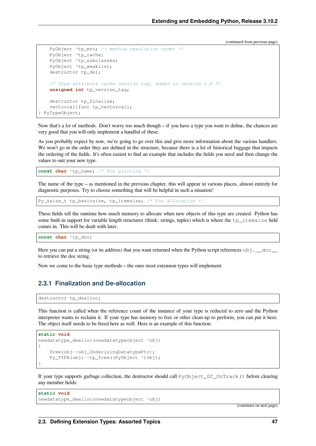```
PyObject *tp_mro; /* method resolution order */
  PyObject *tp_cache;
  PyObject *tp_subclasses;
  PyObject *tp_weaklist;
  destructor tp_del;
  /* Type attribute cache version tag. Added in version 2.6 */
  unsigned int tp_version_tag;
  destructor tp_finalize;
  vectorcallfunc tp_vectorcall;
PyTypeObject;
```
Now that's a *lot* of methods. Don't worry too much though – if you have a type you want to define, the chances are very good that you will only implement a handful of these.

As you probably expect by now, we're going to go over this and give more information about the various handlers. We won't go in the order they are defined in the structure, because there is a lot of historical baggage that impacts the ordering of the fields. It's often easiest to find an example that includes the fields you need and then change the values to suit your new type.

**const char** \*tp\_name; */\* For printing \*/*

The name of the type – as mentioned in the previous chapter, this will appear in various places, almost entirely for diagnostic purposes. Try to choose something that will be helpful in such a situation!

Py\_ssize\_t tp\_basicsize, tp\_itemsize; */\* For allocation \*/*

These fields tell the runtime how much memory to allocate when new objects of this type are created. Python has some built-in support for variable length structures (think: strings, tuples) which is where the tp\_itemsize field comes in. This will be dealt with later.

**const char** \*tp\_doc;

Here you can put a string (or its address) that you want returned when the Python script references  $\circ$ bj. \_\_doc\_\_ to retrieve the doc string.

Now we come to the basic type methods – the ones most extension types will implement.

## **2.3.1 Finalization and De-allocation**

destructor tp\_dealloc;

This function is called when the reference count of the instance of your type is reduced to zero and the Python interpreter wants to reclaim it. If your type has memory to free or other clean-up to perform, you can put it here. The object itself needs to be freed here as well. Here is an example of this function:

```
static void
newdatatype_dealloc(newdatatypeobject *obj)
{
    free(obj->obj_UnderlyingDatatypePtr);
    Py_TYPE(obj)->tp_free((PyObject *)obj);
}
```
If your type supports garbage collection, the destructor should call PyObject\_GC\_UnTrack() before clearing any member fields:

**static void** newdatatype\_dealloc(newdatatypeobject \*obj)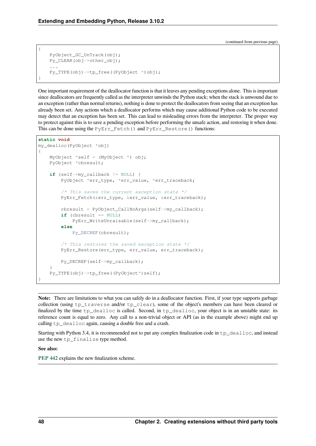```
PyObject_GC_UnTrack(obj);
Py_CLEAR(obj->other_obj);
...
Py_TYPE(obj)->tp_free((PyObject *)obj);
```
{

}

One important requirement of the deallocator function is that it leaves any pending exceptions alone. This is important since deallocators are frequently called as the interpreter unwinds the Python stack; when the stack is unwound due to an exception (rather than normal returns), nothing is done to protect the deallocators from seeing that an exception has already been set. Any actions which a deallocator performs which may cause additional Python code to be executed may detect that an exception has been set. This can lead to misleading errors from the interpreter. The proper way to protect against this is to save a pending exception before performing the unsafe action, and restoring it when done. This can be done using the PyErr\_Fetch() and PyErr\_Restore() functions:

```
static void
my_dealloc(PyObject *obj)
{
   MyObject *self = (MyObject *) obj;
   PyObject *cbresult;
    if (self->my\_callback != NULL) { }PyObject *err_type, *err_value, *err_traceback;
        /* This saves the current exception state */
        PyErr_Fetch(&err_type, &err_value, &err_traceback);
        cbresult = PyObject_CallNoArgs(self->my_callback);
        if (cbresult == NULL)
            PyErr_WriteUnraisable(self->my_callback);
        else
            Py_DECREF(cbresult);
        /* This restores the saved exception state */
        PyErr_Restore(err_type, err_value, err_traceback);
        Py_DECREF(self->my_callback);
    }
    Py_TYPE(obj)->tp_free((PyObject*)self);
}
```
**Note:** There are limitations to what you can safely do in a deallocator function. First, if your type supports garbage collection (using tp\_traverse and/or tp\_clear), some of the object's members can have been cleared or finalized by the time tp\_dealloc is called. Second, in tp\_dealloc, your object is in an unstable state: its reference count is equal to zero. Any call to a non-trivial object or API (as in the example above) might end up calling tp\_dealloc again, causing a double free and a crash.

Starting with Python 3.4, it is recommended not to put any complex finalization code in  $tp$ <sup>-dealloc</sup>, and instead use the new tp\_finalize type method.

**See also:**

**PEP 442** explains the new finalization scheme.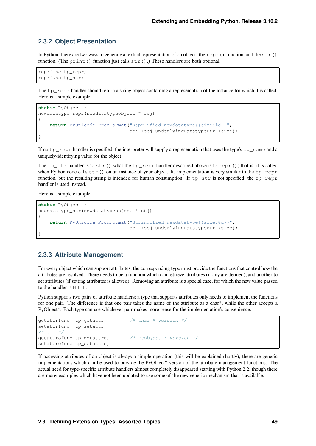### **2.3.2 Object Presentation**

In Python, there are two ways to generate a textual representation of an object: the repr() function, and the str() function. (The print () function just calls  $str()$ .) These handlers are both optional.

```
reprfunc tp_repr;
reprfunc tp_str;
```
The  $tp_{\text{top}}$  handler should return a string object containing a representation of the instance for which it is called. Here is a simple example:

```
static PyObject *
newdatatype_repr(newdatatypeobject * obj)
{
    return PyUnicode_FromFormat("Repr-ified_newdatatype{{size:%d}}",
                                obj->obj_UnderlyingDatatypePtr->size);
}
```
If no  $tp\_repr$  handler is specified, the interpreter will supply a representation that uses the type's  $tp\_name$  and a uniquely-identifying value for the object.

The  $tp\_str$  handler is to  $str()$  what the  $tp\_repr$  handler described above is to  $repr()$ ; that is, it is called when Python code calls  $str()$  on an instance of your object. Its implementation is very similar to the  $tp\_repr$ function, but the resulting string is intended for human consumption. If  $tp$  str is not specified, the tp repr handler is used instead.

Here is a simple example:

```
static PyObject *
newdatatype_str(newdatatypeobject * obj)
{
    return PyUnicode_FromFormat("Stringified_newdatatype{{size:%d}}",
                                obj->obj_UnderlyingDatatypePtr->size);
}
```
### **2.3.3 Attribute Management**

For every object which can support attributes, the corresponding type must provide the functions that control how the attributes are resolved. There needs to be a function which can retrieve attributes (if any are defined), and another to set attributes (if setting attributes is allowed). Removing an attribute is a special case, for which the new value passed to the handler is NULL.

Python supports two pairs of attribute handlers; a type that supports attributes only needs to implement the functions for one pair. The difference is that one pair takes the name of the attribute as a char\*, while the other accepts a PyObject\*. Each type can use whichever pair makes more sense for the implementation's convenience.

```
getattrfunc tp_getattr; /* char * version */
setattrfunc tp_setattr;
/* ... */
getattrofunc tp_getattro; /* PyObject * version */
setattrofunc tp_setattro;
```
If accessing attributes of an object is always a simple operation (this will be explained shortly), there are generic implementations which can be used to provide the PyObject\* version of the attribute management functions. The actual need for type-specific attribute handlers almost completely disappeared starting with Python 2.2, though there are many examples which have not been updated to use some of the new generic mechanism that is available.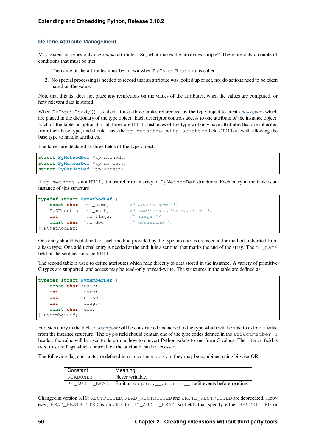#### **Generic Attribute Management**

Most extension types only use *simple* attributes. So, what makes the attributes simple? There are only a couple of conditions that must be met:

- 1. The name of the attributes must be known when  $PyType\_Ready()$  is called.
- 2. No special processing is needed to record that an attribute was looked up or set, nor do actions need to be taken based on the value.

Note that this list does not place any restrictions on the values of the attributes, when the values are computed, or how relevant data is stored.

When PyType\_Ready() is called, it uses three tables referenced by the type object to create *descriptors* which are placed in the dictionary of the type object. Each descriptor controls access to one attribute of the instance object. Each of the tables is optional; if all three are NULL, instances of the type will only have attributes that are inherited from their base type, and should leave the tp\_getattro and tp\_setattro fields NULL as well, allowing the base type to handle attributes.

The tables are declared as three fields of the type object:

```
struct PyMethodDef *tp_methods;
struct PyMemberDef *tp_members;
struct PyGetSetDef *tp_getset;
```
If tp\_methods is not NULL, it must refer to an array of PyMethodDef structures. Each entry in the table is an instance of this structure:

```
typedef struct PyMethodDef {
    const char *ml_name; /* method name */<br>PyCFunction ml_meth; /* implementation
                                    PyCFunction ml_meth; /* implementation function */
    int ml_flags; /* flags */
    const char *ml_doc; /* docstring */
} PyMethodDef;
```
One entry should be defined for each method provided by the type; no entries are needed for methods inherited from a base type. One additional entry is needed at the end; it is a sentinel that marks the end of the array. The ml\_name field of the sentinel must be NULL.

The second table is used to define attributes which map directly to data stored in the instance. A variety of primitive C types are supported, and access may be read-only or read-write. The structures in the table are defined as:

```
typedef struct PyMemberDef {
   const char *name;
   int type;
   int offset;
   int flags;
   const char *doc;
} PyMemberDef;
```
For each entry in the table, a *descriptor* will be constructed and added to the type which will be able to extract a value from the instance structure. The type field should contain one of the type codes defined in the structmember.h header; the value will be used to determine how to convert Python values to and from C values. The flags field is used to store flags which control how the attribute can be accessed.

The following flag constants [are defined](#page-73-0) in  $structure$  h; they may be combined using bitwise-OR.

| Constant | Meaning                                                                |
|----------|------------------------------------------------------------------------|
| READONLY | Never writable.                                                        |
|          | $PY_AUDIT_READ$   Emit an object. getattr audit events before reading. |

Changed in version 3.10: RESTRICTED, READ\_RESTRICTED and WRITE\_RESTRICTED are deprecated. However, READ\_RESTRICTED is an alias for PY\_AUDIT\_READ, so fields that specify either RESTRICTED or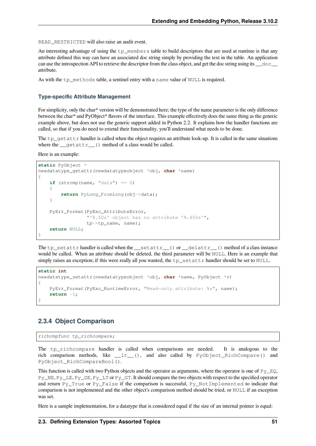READ\_RESTRICTED will also raise an audit event.

An interesting advantage of using the  $tp$  members table to build descriptors that are used at runtime is that any attribute defined this way can have an associated doc string simply by providing the text in the table. An application can use the introspection API to retrieve the descriptor from the class object, and get the doc string using its \_\_doc\_\_ attribute.

As with the tp\_methods table, a sentinel entry with a name value of NULL is required.

#### **Type-specific Attribute Management**

For simplicity, only the char\* version will be demonstrated here; the type of the name parameter is the only difference between the char\* and PyObject\* flavors of the interface. This example effectively does the same thing as the generic example above, but does not use the generic support added in Python 2.2. It explains how the handler functions are called, so that if you do need to extend their functionality, you'll understand what needs to be done.

The tp\_getattr handler is called when the object requires an attribute look-up. It is called in the same situations where the \_\_getattr\_\_() method of a class would be called.

Here is an example:

```
static PyObject *
newdatatype_getattr(newdatatypeobject *obj, char *name)
{
    if (strcmp(name, "data") == 0)
    {
        return PyLong_FromLong(obj->data);
    }
    PyErr_Format(PyExc_AttributeError,
                  "'%.50s' object has no attribute '%.400s'",
                 tp->tp_name, name);
    return NULL;
}
```
The  $tp\_setattr$  handler is called when the  $\_setattr$  () or  $\_delattr$  () method of a class instance would be called. When an attribute should be deleted, the third parameter will be NULL. Here is an example that simply raises an exception; if this were really all you wanted, the tp\_setattr handler should be set to NULL.

```
static int
newdatatype_setattr(newdatatypeobject *obj, char *name, PyObject *v)
{
    PyErr_Format(PyExc_RuntimeError, "Read-only attribute: %s", name);
    return -1;
}
```
### **2.3.4 Object Comparison**

richcmpfunc tp\_richcompare;

The tp\_richcompare handler is called when comparisons are needed. It is analogous to the rich comparison methods, like \_\_lt\_\_(), and also called by PyObject\_RichCompare() and PyObject\_RichCompareBool().

This function is called with two Python objects and the operator as arguments, where the operator is one of  $P_{V-EQ}$ , Py\_NE, Py\_LE, Py\_GE, Py\_LT or Py\_GT. It should compare the two objects with respect to the specified operator and return Py\_True or Py\_False if the comparison is successful, Py\_NotImplemented to indicate that comparison is not implemented and the other object's comparison method should be tried, or NULL if an exception was set.

Here is a sample implementation, for a datatype that is considered equal if the size of an internal pointer is equal: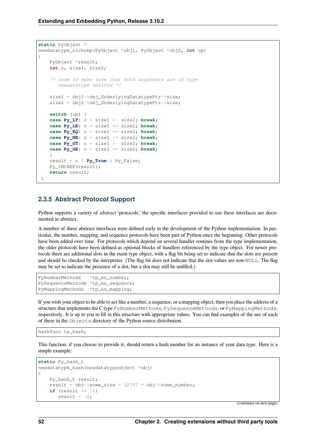```
static PyObject *
newdatatype_richcmp(PyObject *obj1, PyObject *obj2, int op)
{
    PyObject *result;
    int c, size1, size2;
    /* code to make sure that both arguments are of type
       newdatatype omitted */
    size1 = obj1->obj_UnderlyingDatatypePtr->size;
    size2 = obj2->obj UnderlyingDatatypePtr->size;
   switch (op) {
    case Py_LT: c = size1 < size2; break;
    case Py_LE: c = size1 <= size2; break;
    case Py_EQ: c = size1 == size2; break;
    case Py_NE: c = size1 != size2; break;
    case Py_GT: c = size1 > size2; break;
    case Py_GE: c = size1 >= size2; break;
    }
    result = c ? Py_True : Py_False;
    Py_INCREF(result);
    return result;
 }
```
### **2.3.5 Abstract Protocol Support**

Python supports a variety of *abstract* 'protocols;' the specific interfaces provided to use these interfaces are documented in abstract.

A number of these abstract interfaces were defined early in the development of the Python implementation. In particular, the number, mapping, and sequence protocols have been part of Python since the beginning. Other protocols have been added over time. For protocols which depend on several handler routines from the type implementation, the older protocols have been defined as optional blocks of handlers referenced by the type object. For newer protocols there are additional slots in the main type object, with a flag bit being set to indicate that the slots are present and should be checked by the interpreter. (The flag bit does not indicate that the slot values are non-NULL. The flag may be set to indicate the presence of a slot, but a slot may still be unfilled.)

```
PyNumberMethods *tp_as_number;
PySequenceMethods *tp_as_sequence;
PyMappingMethods *tp_as_mapping;
```
If you wish your object to be able to act like a number, a sequence, or a mapping object, then you place the address of a structure that implements the C type PyNumberMethods, PySequenceMethods, or PyMappingMethods, respectively. It is up to you to fill in this structure with appropriate values. You can find examples of the use of each of these in the Objects directory of the Python source distribution.

hashfunc tp\_hash;

This function, if you choose to provide it, should return a hash number for an instance of your data type. Here is a simple example:

```
static Py_hash_t
newdatatype_hash(newdatatypeobject *obj)
{
    Py_hash_t result;
    result = obj->some\_size + 32767 * obj->some\_number;if (result == -1)result = -2;
```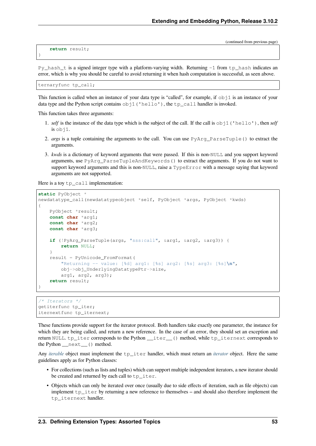Py\_hash\_t is a signed integer type with a platform-varying width. Returning -1 from tp\_hash indicates an error, which is why you should be careful to avoid returning it when hash computation is successful, as seen above.

ternaryfunc tp\_call;

}

This function is called when an instance of your data type is "called", for example, if  $\phi$  is an instance of your data type and the Python script contains obj1('hello'), the tp\_call handler is invoked.

This function takes three arguments:

- 1. *self* is the instance of the data type which is the subject of the call. If the call is obj1('hello'), then *self* is obj1.
- 2. *args* is a tuple containing the arguments to the call. You can use PyArg\_ParseTuple() to extract the arguments.
- 3. *kwds* is a dictionary of keyword arguments that were passed. If this is non-NULL and you support keyword arguments, use PyArg\_ParseTupleAndKeywords() to extract the arguments. If you do not want to support keyword arguments and this is non-NULL, raise a TypeError with a message saying that keyword arguments are not supported.

Here is a toy  $tp\_call$  implementation:

```
static PyObject *
newdatatype_call(newdatatypeobject *self, PyObject *args, PyObject *kwds)
{
   PyObject *result;
    const char *arg1;
    const char *arg2;
   const char *arg3;
    if (!PyArg_ParseTuple(args, "sss:call", &arg1, &arg2, &arg3)) {
        return NULL;
    }
    result = PyUnicode_FromFormat(
        "Returning -- value: [%d] arg1: [%s] arg2: [%s] arg3: [%s]\n",
        obj->obj_UnderlyingDatatypePtr->size,
        arg1, arg2, arg3);
    return result;
}
```
*/\* Iterators \*/* getiterfunc tp\_iter; iternextfunc tp\_iternext;

These functions provide support for the iterator protocol. Both handlers take exactly one parameter, the instance for which they are being called, and return a new reference. In the case of an error, they should set an exception and return NULL. tp\_iter corresponds to the Python \_\_iter\_\_() method, while tp\_iternext corresponds to the Python \_\_next\_\_() method.

Any *iterable* object must implement the tp\_iter handler, which must return an *iterator* object. Here the same guidelines apply as for Python classes:

- For collections (such as lists and tuples) which can support multiple independent iterators, a new iterator should [be cre](#page-76-0)ated and returned by each call to tp\_iter.
- Objects which can only be iterated over once (usually due to side effects of iteration, such as file objects) can implement tp\_iter by returning a new reference to themselves – and should also therefore implement the tp\_iternext handler.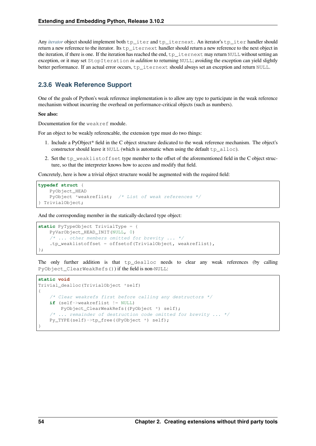Any *iterator* object should implement both tp\_iter and tp\_iternext. An iterator's tp\_iter handler should return a new reference to the iterator. Its tp\_iternext handler should return a new reference to the next object in the iteration, if there is one. If the iteration has reached the end, tp\_iternext may return NULL without setting an exception, or it may set StopIteration *in addition* to returning NULL; avoiding the exception can yield slightly bett[er perfor](#page-76-1)mance. If an actual error occurs,  $tp\_itemext$  should always set an exception and return NULL.

### **2.3.6 Weak Reference Support**

One of the goals of Python's weak reference implementation is to allow any type to participate in the weak reference mechanism without incurring the overhead on performance-critical objects (such as numbers).

#### **See also:**

Documentation for the weakref module.

For an object to be weakly referencable, the extension type must do two things:

- 1. Include a PyObject\* field in the C object structure dedicated to the weak reference mechanism. The object's constructor should leave it NULL (which is automatic when using the default  $tp\_alloc$ ).
- 2. Set the tp\_weaklistoffset type member to the offset of the aforementioned field in the C object structure, so that the interpreter knows how to access and modify that field.

Concretely, here is how a trivial object structure would be augmented with the required field:

```
typedef struct {
   PyObject_HEAD
    PyObject *weakreflist; /* List of weak references */
} TrivialObject;
```
And the corresponding member in the statically-declared type object:

```
static PyTypeObject TrivialType = {
   PyVarObject_HEAD_INIT(NULL, 0)
    /* ... other members omitted for brevity ... */
    .tp_weaklistoffset = offsetof(TrivialObject, weakreflist),
};
```
The only further addition is that tp\_dealloc needs to clear any weak references (by calling PyObject\_ClearWeakRefs()) if the field is non-NULL:

```
static void
Trivial_dealloc(TrivialObject *self)
{
    /* Clear weakrefs first before calling any destructors */
   if (self->weakreflist != NULL)
       PyObject_ClearWeakRefs((PyObject *) self);
    /* ... remainder of destruction code omitted for brevity ... */
   Py_TYPE(self)->tp_free((PyObject *) self);
}
```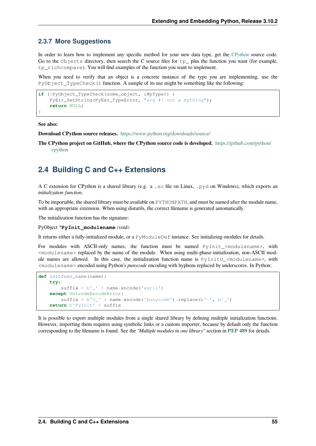# **2.3.7 More Suggestions**

In order to learn how to implement any specific method for your new data type, get the *CPython* source code. Go to the Objects directory, then search the C source files for  $tp$  plus the function you want (for example, tp\_richcompare). You will find examples of the function you want to implement.

When you need to verify that an object is a concrete instance of the type you are implementing, use the PyObject TypeCheck() function. A sample of its use might be something like the foll[owing:](#page-72-0)

```
if (!PyObject_TypeCheck(some_object, &MyType)) {
   PyErr_SetString(PyExc_TypeError, "arg #1 not a mything");
   return NULL;
}
```
**See also:**

**Download CPython source releases.** https://www.python.org/downloads/source/

**The CPython project on GitHub, where the CPython source code is developed.** https://github.com/python/ cpython

# **2.4 [Build](https://github.com/python/cpython)ing C and C++ Extensions**

A C extension for CPython is a shared library (e.g. a . so file on Linux, . pyd on Windows), which exports an *initialization function*.

To be importable, the shared library must be available on PYTHONPATH, and must be named after the module name, with an appropriate extension. When using distutils, the correct filename is generated automatically.

The initialization function has the signature:

PyObject \***PyInit\_modulename**(void)

It returns either a fully-initialized module, or a PyModuleDef instance. See initializing-modules for details.

For modules with ASCII-only names, the function must be named PyInit\_<modulename>, with <modulename> replaced by the name of the module. When using multi-phase-initialization, non-ASCII module names are allowed. In this case, the initialization function name is PyInitU\_<modulename>, with <modulename> encoded using Python's *punycode* encoding with hyphens replaced by underscores. In Python:

```
def initfunc_name(name):
   try:
       suffix = b'-' + name.encode('ascii')except UnicodeEncodeError:
       suffix = b'U' + name.encode('punycode').replace(b'-'', b'-'')return b'PyInit' + suffix
```
It is possible to export multiple modules from a single shared library by defining multiple initialization functions. However, importing them requires using symbolic links or a custom importer, because by default only the function corresponding to the filename is found. See the *"Multiple modules in one library"* section in **PEP 489** for details.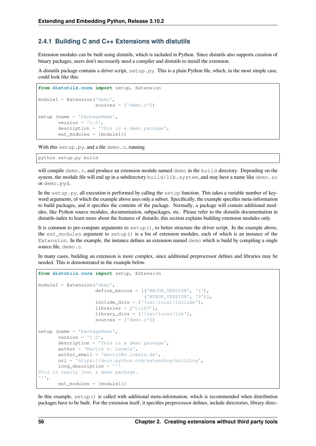#### **2.4.1 Building C and C++ Extensions with distutils**

Extension modules can be built using distutils, which is included in Python. Since distutils also supports creation of binary packages, users don't necessarily need a compiler and distutils to install the extension.

A distutils package contains a driver script,  $s_{\text{etup}}$ ,  $p_y$ . This is a plain Python file, which, in the most simple case, could look like this:

```
from distutils.core import setup, Extension
module1 = Extension('demo',
                    sources = [ 'demo.c'] )setup (name = 'PackageName',
      version = '1.0',
       description = 'This is a demo package',
       ext_modules = [module1])
```
With this setup.py, and a file demo.c, running

python setup.py build

will compile demo.c, and produce an extension module named demo in the build directory. Depending on the system, the module file will end up in a subdirectory build/lib.system, and may have a name like demo.so or demo.pyd.

In the setup.py, all execution is performed by calling the setup function. This takes a variable number of keyword arguments, of which the example above uses only a subset. Specifically, the example specifies meta-information to build packages, and it specifies the contents of the package. Normally, a package will contain additional modules, like Python source modules, documentation, subpackages, etc. Please refer to the distutils documentation in distutils-index to learn more about the features of distutils; this section explains building extension modules only.

It is common to pre-compute arguments to setup(), to better structure the driver script. In the example above, the ext\_modules argument to setup() is a list of extension modules, each of which is an instance of the Extension. In the example, the instance defines an extension named demo which is build by compiling a single source file, demo.c.

In many cases, building an extension is more complex, since additional preprocessor defines and libraries may be needed. This is demonstrated in the example below.

```
from distutils.core import setup, Extension
module1 = Extension('demo',
                    define_macros = [('MAJOR_VERSION', '1'),
                                      ('MINOR_VERSION', '0')],
                    include_dirs = ['/usr/local/include'],
                    libraries = ['tcl83'],
                    library_dirs = ['/usr/local/lib'],
                    sources = [\text{'demo.c'}]setup (name = 'PackageName',
      version = '1.0',
       description = 'This is a demo package',
       author = 'Martin v. Loewis',
       author_email = 'martin@v.loewis.de',
       url = 'https://docs.python.org/extending/building',
       long_description = '''
This is really just a demo package.
(\cdot,\cdot)ext_modules = [module1])
```
In this example, setup() is called with additional meta-information, which is recommended when distribution packages have to be built. For the extension itself, it specifies preprocessor defines, include directories, library direc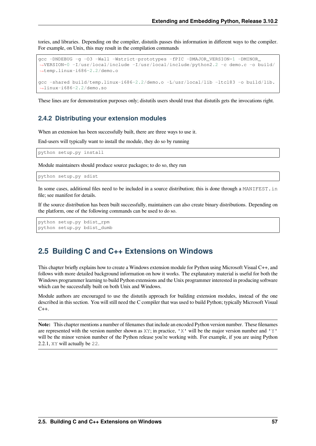tories, and libraries. Depending on the compiler, distutils passes this information in different ways to the compiler. For example, on Unix, this may result in the compilation commands

```
gcc -DNDEBUG -g -O3 -Wall -Wstrict-prototypes -fPIC -DMAJOR_VERSION=1 -DMINOR_
,→VERSION=0 -I/usr/local/include -I/usr/local/include/python2.2 -c demo.c -o build/
,→temp.linux-i686-2.2/demo.o
gcc -shared build/temp.linux-i686-2.2/demo.o -L/usr/local/lib -ltcl83 -o build/lib.
,→linux-i686-2.2/demo.so
```
These lines are for demonstration purposes only; distutils users should trust that distutils gets the invocations right.

#### **2.4.2 Distributing your extension modules**

When an extension has been successfully built, there are three ways to use it.

End-users will typically want to install the module, they do so by running

```
python setup.py install
```
Module maintainers should produce source packages; to do so, they run

```
python setup.py sdist
```
In some cases, additional files need to be included in a source distribution; this is done through a MANIFEST. in file; see manifest for details.

If the source distribution has been built successfully, maintainers can also create binary distributions. Depending on the platform, one of the following commands can be used to do so.

```
python setup.py bdist_rpm
python setup.py bdist_dumb
```
# **2.5 Building C and C++ Extensions on Windows**

This chapter briefly explains how to create a Windows extension module for Python using Microsoft Visual C++, and follows with more detailed background information on how it works. The explanatory material is useful for both the Windows programmer learning to build Python extensions and the Unix programmer interested in producing software which can be successfully built on both Unix and Windows.

Module authors are encouraged to use the distutils approach for building extension modules, instead of the one described in this section. You will still need the C compiler that was used to build Python; typically Microsoft Visual C++.

**Note:** This chapter mentions a number of filenames that include an encoded Python version number. These filenames are represented with the version number shown as  $XY$ ; in practice, 'X' will be the major version number and 'Y' will be the minor version number of the Python release you're working with. For example, if you are using Python 2.2.1, XY will actually be 22.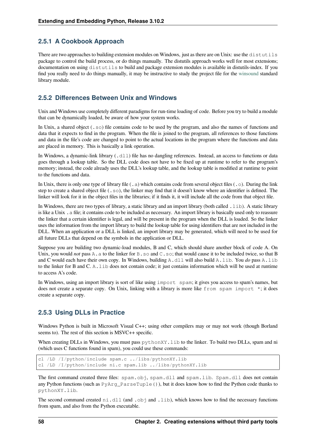### **2.5.1 A Cookbook Approach**

There are two approaches to building extension modules on Windows, just as there are on Unix: use the distutils package to control the build process, or do things manually. The distutils approach works well for most extensions; documentation on using distutils to build and package extension modules is available in distutils-index. If you find you really need to do things manually, it may be instructive to study the project file for the winsound standard library module.

## **2.5.2 Differences Between Unix and Windows**

Unix and Windows use completely different paradigms for run-time loading of code. Before you try to build a module that can be dynamically loaded, be aware of how your system works.

In Unix, a shared object (.so) file contains code to be used by the program, and also the names of functions and data that it expects to find in the program. When the file is joined to the program, all references to those functions and data in the file's code are changed to point to the actual locations in the program where the functions and data are placed in memory. This is basically a link operation.

In Windows, a dynamic-link library (.dll) file has no dangling references. Instead, an access to functions or data goes through a lookup table. So the DLL code does not have to be fixed up at runtime to refer to the program's memory; instead, the code already uses the DLL's lookup table, and the lookup table is modified at runtime to point to the functions and data.

In Unix, there is only one type of library file  $(.a)$  which contains code from several object files  $(.o)$ . During the link step to create a shared object file  $(. \text{ so})$ , the linker may find that it doesn't know where an identifier is defined. The linker will look for it in the object files in the libraries; if it finds it, it will include all the code from that object file.

In Windows, there are two types of library, a static library and an import library (both called . lib). A static library is like a Unix .a file; it contains code to be included as necessary. An import library is basically used only to reassure the linker that a certain identifier is legal, and will be present in the program when the DLL is loaded. So the linker uses the information from the import library to build the lookup table for using identifiers that are not included in the DLL. When an application or a DLL is linked, an import library may be generated, which will need to be used for all future DLLs that depend on the symbols in the application or DLL.

Suppose you are building two dynamic-load modules, B and C, which should share another block of code A. On Unix, you would *not* pass A. a to the linker for B. so and C. so; that would cause it to be included twice, so that B and C would each have their own copy. In Windows, building A.dll will also build A.lib. You *do* pass A.lib to the linker for B and C. A.lib does not contain code; it just contains information which will be used at runtime to access A's code.

In Windows, using an import library is sort of like using import spam; it gives you access to spam's names, but does not create a separate copy. On Unix, linking with a library is more like from spam import  $\star$ ; it does create a separate copy.

# **2.5.3 Using DLLs in Practice**

Windows Python is built in Microsoft Visual C++; using other compilers may or may not work (though Borland seems to). The rest of this section is MSVC++ specific.

When creating DLLs in Windows, you must pass  $pythonXY$ . Lib to the linker. To build two DLLs, spam and ni (which uses C functions found in spam), you could use these commands:

```
cl /LD /I/python/include spam.c ../libs/pythonXY.lib
cl /LD /I/python/include ni.c spam.lib ../libs/pythonXY.lib
```
The first command created three files: spam.obj, spam.dll and spam.lib. Spam.dll does not contain any Python functions (such as PyArg\_ParseTuple()), but it does know how to find the Python code thanks to pythonXY.lib.

The second command created  $ni$   $cdot$   $dl$   $i$  (and  $i$  obj and  $i$  lib), which knows how to find the necessary functions from spam, and also from the Python executable.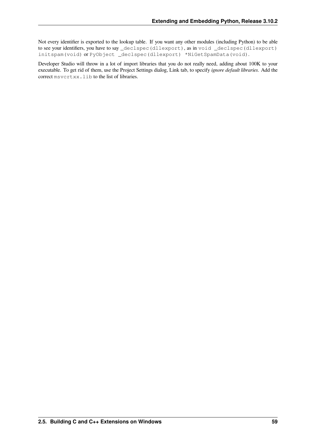Not every identifier is exported to the lookup table. If you want any other modules (including Python) to be able to see your identifiers, you have to say \_declspec(dllexport), as in void \_declspec(dllexport) initspam(void) or PyObject \_declspec(dllexport) \*NiGetSpamData(void).

Developer Studio will throw in a lot of import libraries that you do not really need, adding about 100K to your executable. To get rid of them, use the Project Settings dialog, Link tab, to specify *ignore default libraries*. Add the correct msvcrtxx.lib to the list of libraries.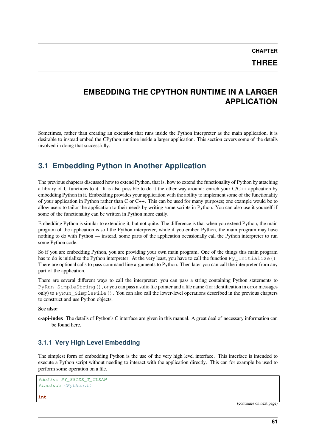# **EMBEDDING THE CPYTHON RUNTIME IN A LARGER APPLICATION**

Sometimes, rather than creating an extension that runs inside the Python interpreter as the main application, it is desirable to instead embed the CPython runtime inside a larger application. This section covers some of the details involved in doing that successfully.

# **3.1 Embedding Python in Another Application**

The previous chapters discussed how to extend Python, that is, how to extend the functionality of Python by attaching a library of C functions to it. It is also possible to do it the other way around: enrich your C/C++ application by embedding Python in it. Embedding provides your application with the ability to implement some of the functionality of your application in Python rather than C or C++. This can be used for many purposes; one example would be to allow users to tailor the application to their needs by writing some scripts in Python. You can also use it yourself if some of the functionality can be written in Python more easily.

Embedding Python is similar to extending it, but not quite. The difference is that when you extend Python, the main program of the application is still the Python interpreter, while if you embed Python, the main program may have nothing to do with Python — instead, some parts of the application occasionally call the Python interpreter to run some Python code.

So if you are embedding Python, you are providing your own main program. One of the things this main program has to do is initialize the Python interpreter. At the very least, you have to call the function  $Py$  Initialize(). There are optional calls to pass command line arguments to Python. Then later you can call the interpreter from any part of the application.

There are several different ways to call the interpreter: you can pass a string containing Python statements to PyRun SimpleString(), or you can pass a stdio file pointer and a file name (for identification in error messages only) to PyRun  $SimpleFile()$ . You can also call the lower-level operations described in the previous chapters to construct and use Python objects.

#### **See also:**

**c-api-index** The details of Python's C interface are given in this manual. A great deal of necessary information can be found here.

### **3.1.1 Very High Level Embedding**

The simplest form of embedding Python is the use of the very high level interface. This interface is intended to execute a Python script without needing to interact with the application directly. This can for example be used to perform some operation on a file.

```
#define PY_SSIZE_T_CLEAN
#include <Python.h>
```
**int**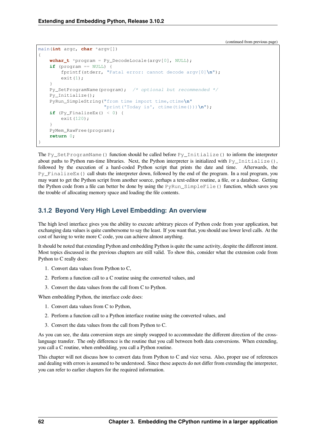```
main(int argc, char *argv[])
{
    wchar_t *program = Py_DecodeLocale(argv[0], NULL);
    if (program == NULL) {
        fprintf(stderr, "Fatal error: cannot decode argv[0]\n");
        exit(1);
    }
    Py_SetProgramName(program); /* optional but recommended */
    Py_Initialize();
    PyRun_SimpleString("from time import time,ctime\n"
                       "print('Today is', ctime(time()))\n");
    if (Py_FinalizeEx() < 0) {
        exit(120);
    }
    PyMem_RawFree(program);
    return 0;
}
```
The Py\_SetProgramName() function should be called before  $Py_$ Initialize() to inform the interpreter about paths to Python run-time libraries. Next, the Python interpreter is initialized with Py\_Initialize(), followed by the execution of a hard-coded Python script that prints the date and time. Afterwards, the Py FinalizeEx() call shuts the interpreter down, followed by the end of the program. In a real program, you may want to get the Python script from another source, perhaps a text-editor routine, a file, or a database. Getting the Python code from a file can better be done by using the PyRun\_SimpleFile() function, which saves you the trouble of allocating memory space and loading the file contents.

### **3.1.2 Beyond Very High Level Embedding: An overview**

The high level interface gives you the ability to execute arbitrary pieces of Python code from your application, but exchanging data values is quite cumbersome to say the least. If you want that, you should use lower level calls. At the cost of having to write more C code, you can achieve almost anything.

It should be noted that extending Python and embedding Python is quite the same activity, despite the different intent. Most topics discussed in the previous chapters are still valid. To show this, consider what the extension code from Python to C really does:

- 1. Convert data values from Python to C,
- 2. Perform a function call to a C routine using the converted values, and
- 3. Convert the data values from the call from C to Python.

When embedding Python, the interface code does:

- 1. Convert data values from C to Python,
- 2. Perform a function call to a Python interface routine using the converted values, and
- 3. Convert the data values from the call from Python to C.

As you can see, the data conversion steps are simply swapped to accommodate the different direction of the crosslanguage transfer. The only difference is the routine that you call between both data conversions. When extending, you call a C routine, when embedding, you call a Python routine.

This chapter will not discuss how to convert data from Python to C and vice versa. Also, proper use of references and dealing with errors is assumed to be understood. Since these aspects do not differ from extending the interpreter, you can refer to earlier chapters for the required information.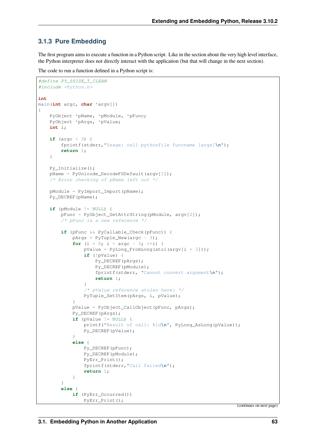### **3.1.3 Pure Embedding**

The first program aims to execute a function in a Python script. Like in the section about the very high level interface, the Python interpreter does not directly interact with the application (but that will change in the next section).

The code to run a function defined in a Python script is:

```
#define PY_SSIZE_T_CLEAN
#include <Python.h>
int
main(int argc, char *argv[])
{
    PyObject *pName, *pModule, *pFunc;
    PyObject *pArgs, *pValue;
    int i;
    if (argc \leq 3) {
        fprintf(stderr,"Usage: call pythonfile funcname [args]\n");
        return 1;
    }
   Py_Initialize();
   pName = PyUnicode_DecodeFSDefault(argv[1]);
   /* Error checking of pName left out */
    pModule = PyImport_Import(pName);
   Py_DECREF(pName);
    if (pModule != NULL) {
        pFunc = PyObject_GetAttrString(pModule, argv[2]);
        /* pFunc is a new reference */
        if (pFunc && PyCallable_Check(pFunc)) {
            pArgs = PyTuple\_New(argc - 3);for (i = 0; i < argc - 3; ++i) {
                pValue = PyLong_FromLong(atoi(argv[i + 3]));
                if (!pValue) {
                    Py_DECREF(pArgs);
                    Py_DECREF(pModule);
                    fprintf(stderr, "Cannot convert argument\n");
                    return 1;
                }
                /* pValue reference stolen here: */
                PyTuple_SetItem(pArgs, i, pValue);
            }
            pValue = PyObject_CallObject(pFunc, pArgs);
            Py_DECREF(pArgs);
            if (pValue != NULL) {
                printf("Result of call: %ld\n", PyLong_AsLong(pValue));
                Py_DECREF(pValue);
            }
            else {
                Py_DECREF(pFunc);
                Py_DECREF(pModule);
                PyErr_Print();
                fprintf(stderr,"Call failed\n");
                return 1;
            }
        }
        else {
            if (PyErr_Occurred())
                PyErr_Print();
```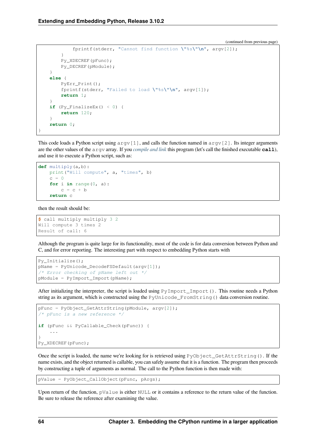```
fprintf(stderr, "Cannot find function \"%s\"\n", argv[2]);
    }
    Py_XDECREF(pFunc);
    Py_DECREF(pModule);
}
else {
    PyErr_Print();
    fprintf(stderr, "Failed to load \"%s\"\n", argv[1]);
    return 1;
}
if (Py_FinalizeEx() < 0) {
    return 120;
}
return 0;
```
This code loads a Python script using  $\arg \nu[1]$ , and calls the function named in  $\arg \nu[2]$ . Its integer arguments are the other values of the argv array. If you *compile and link* this program (let's call the finished executable **call**), and use it to execute a Python script, such as:

```
def multiply(a,b):
   print("Will compute", a, "times", b)
   c = 0for i in range(0, a):
       c = c + breturn c
```
then the result should be:

}

```
$ call multiply multiply 3 2
Will compute 3 times 2
Result of call: 6
```
Although the program is quite large for its functionality, most of the code is for data conversion between Python and C, and for error reporting. The interesting part with respect to embedding Python starts with

```
Py_Initialize();
pName = PyUnicode_DecodeFSDefault(argv[1]);
/* Error checking of pName left out */
pModule = PyImport_Import(pName);
```
After initializing the interpreter, the script is loaded using PyImport\_Import(). This routine needs a Python string as its argument, which is constructed using the PyUnicode\_FromString() data conversion routine.

```
pFunc = PyObject_GetAttrString(pModule, argv[2]);
/* pFunc is a new reference */
if (pFunc && PyCallable_Check(pFunc)) {
    ...
}
Py_XDECREF(pFunc);
```
Once the script is loaded, the name we're looking for is retrieved using PyObject\_GetAttrString(). If the name exists, and the object returned is callable, you can safely assume that it is a function. The program then proceeds by constructing a tuple of arguments as normal. The call to the Python function is then made with:

pValue = PyObject\_CallObject(pFunc, pArgs);

Upon return of the function,  $pValue$  is either NULL or it contains a reference to the return value of the function. Be sure to release the reference after examining the value.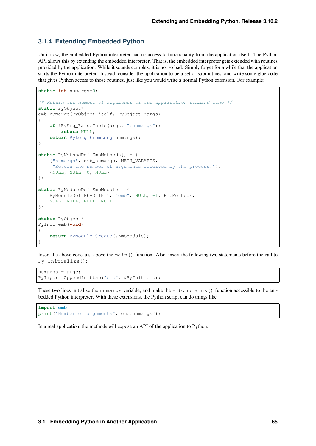#### **3.1.4 Extending Embedded Python**

Until now, the embedded Python interpreter had no access to functionality from the application itself. The Python API allows this by extending the embedded interpreter. That is, the embedded interpreter gets extended with routines provided by the application. While it sounds complex, it is not so bad. Simply forget for a while that the application starts the Python interpreter. Instead, consider the application to be a set of subroutines, and write some glue code that gives Python access to those routines, just like you would write a normal Python extension. For example:

```
static int numargs=0;
/* Return the number of arguments of the application command line */
static PyObject*
emb numargs(PyObject *self, PyObject *args)
{
    if(!PyArg_ParseTuple(args, ":numargs"))
       return NULL;
    return PyLong_FromLong(numargs);
}
static PyMethodDef EmbMethods[] = {
   {"numargs", emb_numargs, METH_VARARGS,
     "Return the number of arguments received by the process."},
    {NULL, NULL, 0, NULL}
};
static PyModuleDef EmbModule = {
   PyModuleDef_HEAD_INIT, "emb", NULL, -1, EmbMethods,
   NULL, NULL, NULL, NULL
};
static PyObject*
PyInit_emb(void)
{
    return PyModule_Create(&EmbModule);
}
```
Insert the above code just above the main() function. Also, insert the following two statements before the call to Py\_Initialize():

numargs =  $\arcc$ : PyImport\_AppendInittab("emb", &PyInit\_emb);

These two lines initialize the numargs variable, and make the emb.numargs() function accessible to the embedded Python interpreter. With these extensions, the Python script can do things like

```
import emb
print("Number of arguments", emb.numargs())
```
In a real application, the methods will expose an API of the application to Python.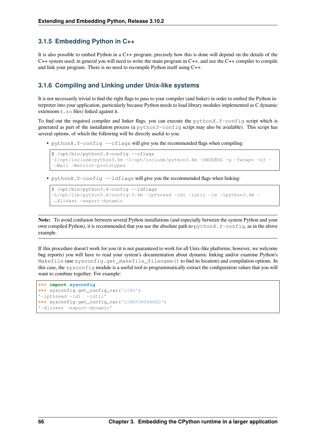### **3.1.5 Embedding Python in C++**

It is also possible to embed Python in a C++ program; precisely how this is done will depend on the details of the C++ system used; in general you will need to write the main program in C++, and use the C++ compiler to compile and link your program. There is no need to recompile Python itself using C++.

### <span id="page-69-0"></span>**3.1.6 Compiling and Linking under Unix-like systems**

It is not necessarily trivial to find the right flags to pass to your compiler (and linker) in order to embed the Python interpreter into your application, particularly because Python needs to load library modules implemented as C dynamic extensions (.so files) linked against it.

To find out the required compiler and linker flags, you can execute the python*X.Y*-config script which is generated as part of the installation process (a python3-config script may also be available). This script has several options, of which the following will be directly useful to you:

• pythonX.Y-config --cflags will give you the recommended flags when compiling:

```
$ /opt/bin/python3.4-config --cflags
-I/opt/include/python3.4m -I/opt/include/python3.4m -DNDEBUG -g -fwrapv -O3 -
,→Wall -Wstrict-prototypes
```
• pythonX.Y-config --ldflags will give you the recommended flags when linking:

```
$ /opt/bin/python3.4-config --ldflags
-L/opt/lib/python3.4/config-3.4m -lpthread -ldl -lutil -lm -lpython3.4m -
,→Xlinker -export-dynamic
```
**Note:** To avoid confusion between several Python installations (and especially between the system Python and your own compiled Python), it is recommended that you use the absolute path to python*X.Y*-config, as in the above example.

If this procedure doesn't work for you (it is not guaranteed to work for all Unix-like platforms; however, we welcome bug reports) you will have to read your system's documentation about dynamic linking and/or examine Python's Makefile (use sysconfig.get\_makefile\_filename() to find its location) and compilation options. In this case, the sysconfig module is a useful tool to programmatically extract the configuration values that you will want to combine together. For example:

```
>>> import sysconfig
>>> sysconfig.get_config_var('LIBS')
'-lpthread -ldl -lutil'
>>> sysconfig.get_config_var('LINKFORSHARED')
'-Xlinker -export-dynamic'
```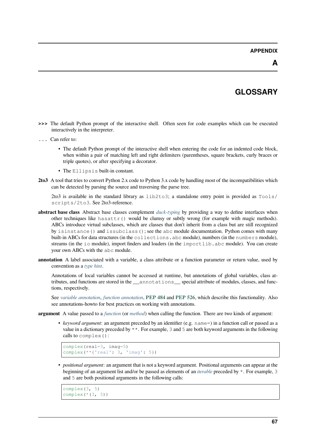**A**

# **GLOSSARY**

- **>>>** The default Python prompt of the interactive shell. Often seen for code examples which can be executed interactively in the interpreter.
- **...** Can refer to:
	- The default Python prompt of the interactive shell when entering the code for an indented code block, when within a pair of matching left and right delimiters (parentheses, square brackets, curly braces or triple quotes), or after specifying a decorator.
	- The Ellipsis built-in constant.
- **2to3** A tool that tries to convert Python 2.x code to Python 3.x code by handling most of the incompatibilities which can be detected by parsing the source and traversing the parse tree.

2to3 is available in the standard library as lib2to3; a standalone entry point is provided as Tools/ scripts/2to3. See 2to3-reference.

- **abstract base class** Abstract base classes complement *duck-typing* by providing a way to define interfaces when other techniques like hasattr() would be clumsy or subtly wrong (for example with magic methods). ABCs introduce virtual subclasses, which are classes that don't inherit from a class but are still recognized by isinstance() and issubclass(); see the abc module documentation. Python comes with many built-in ABCs for data structures (in the collec[tions.abc](#page-73-1) module), numbers (in the numbers module), streams (in the io module), import finders and loaders (in the importlib.abc module). You can create your own ABCs with the abc module.
- **annotation** A label associated with a variable, a class attribute or a function parameter or return value, used by convention as a *type hint*.

Annotations of local variables cannot be accessed at runtime, but annotations of global variables, class attributes, and functions are stored in the \_\_annotations\_\_ special attribute of modules, classes, and functions, respectiv[ely.](#page-81-0)

See *variable annotation*, *function annotation*, **PEP 484** and **PEP 526**, which describe this functionality. Also see annotations-howto for best practices on working with annotations.

**argument** A value passed to a *function* (or *method*) when calling the function. There are two kinds of argument:

• *[keyword argument](#page-82-0)*: [an argument preced](#page-74-1)[ed by an id](https://www.python.org/dev/peps/pep-0484)enti[fier \(e.g.](https://www.python.org/dev/peps/pep-0526) name=) in a function call or passed as a value in a dictionary preceded by  $*$ . For example, 3 and 5 are both keyword arguments in the following calls to complex[\(\)](#page-74-2):

```
complex(real=3, imag=5)
complex(**{'real': 3, 'imag': 5})
```
• *positional argument*: an argument that is not a keyword argument. Positional arguments can appear at the beginning of an argument list and/or be passed as elements of an *iterable* preceded by \*. For example, 3 and 5 are both positional arguments in the following calls:

```
complex(3, 5)
complex(*(3, 5))
```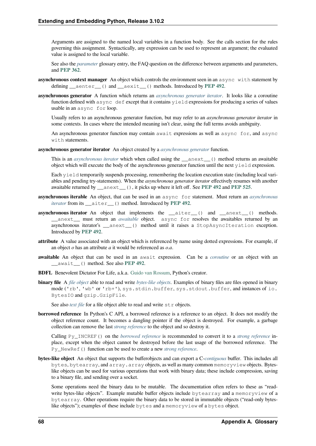Arguments are assigned to the named local variables in a function body. See the calls section for the rules governing this assignment. Syntactically, any expression can be used to represent an argument; the evaluated value is assigned to the local variable.

See also the *parameter* glossary entry, the FAQ question on the difference between arguments and parameters, and **PEP 362**.

- **asynchronous context manager** An object which controls the environment seen in an async with statement by defining \_\_[aenter\\_](#page-78-0)\_() and \_\_aexit\_\_() methods. Introduced by **PEP 492**.
- **asynchro[nous gene](https://www.python.org/dev/peps/pep-0362)rator** A function which returns an *asynchronous generator iterator*. It looks like a coroutine function defined with async def except that it contains yield expressions for producing a series of values usable in an async for loop.

<span id="page-71-1"></span>Usually refers to an asynchronous generator function, but may refer to an *[asynchro](https://www.python.org/dev/peps/pep-0492)nous generator iterator* in some contexts. In cases where the intended meani[ng isn't clear, using the full terms](#page-71-0) avoids ambiguity.

An asynchronous generator function may contain await expressions as well as async for, and async with statements.

**asynchronous generator iterator** An object created by a *asynchronous generator* function.

This is an *asynchronous iterator* which when called using the \_\_anext\_\_() method returns an awaitable object which will execute the body of the asynchronous generator function until the next yield expression.

<span id="page-71-0"></span>Each yield temporarily suspends processing, reme[mbering the location exe](#page-71-1)cution state (including local variables and [pending try-statements](#page-71-2)). When the *asynchronous generator iterator* effectively resumes with another awaitable returned by \_\_anext\_\_(), it picks up where it left off. See **PEP 492** and **PEP 525**.

- **asynchronous iterable** An object, that can be used in an async for statement. Must return an *asynchronous iterator* from its \_\_aiter\_\_() method. Introduced by **PEP 492**.
- **asynchronous iterator** An object that implements the \_\_aiter\_() [and](https://www.python.org/dev/peps/pep-0492) \_\_anext\_() methods. \_\_anext\_\_ must return an *awaitable* object. async for resolves the awaitables returned by an asynchronous iterator's \_\_anext\_\_() method until [it raises](https://www.python.org/dev/peps/pep-0492) a StopAsyncIteration [exception.](#page-71-2) [Introdu](#page-71-2)ced by **PEP 492**.
- <span id="page-71-2"></span>**attribute** A value associated with an object which is referenced by name using dotted expressions. For example, if an object *o* has an attribute *a* it [would be r](#page-71-3)eferenced as *o.a*.
- **awaitable** An obje[ct that can](https://www.python.org/dev/peps/pep-0492) be used in an await expression. Can be a *coroutine* or an object with an \_\_await\_\_() method. See also **PEP 492**.
- **BDFL** Benevolent Dictator For Life, a.k.a. Guido van Rossum, Python's creator.
- <span id="page-71-3"></span>**binary file** A *file object* able to read and write *bytes-like objects*. Examples of bina[ry files ar](#page-72-1)e files opened in binary mode ('rb', 'wb' or 'rb+'), [sys.std](https://www.python.org/dev/peps/pep-0492)in.buffer, sys.stdout.buffer, and instances of io. BytesIO and gzip.GzipFile.

Seealso *[text file](#page-73-2)* for a file object able to r[ead and write](#page-71-4)  $str$  objects.

**borrowed reference** In Python's C API, a borrowed reference is a reference to an object. It does not modify the object reference count. It becomes a dangling pointer if the object is destroyed. For example, a garbage collectio[n can re](#page-81-1)move the last *strong reference* to the object and so destroy it.

<span id="page-71-5"></span>Calling Py\_INCREF() on the *borrowed reference* is recommended to convert it to a *strong reference* inplace, except when the object cannot be destroyed before the last usage of the borrowed reference. The Py\_NewRef() function can [be used to creat](#page-81-2)e a new *strong reference*.

**bytes-like object** An object that supports the bufferobjects and can export a C-*contiguous* buffer. This includes all bytes, bytearray, and array. array objects, as well as many common memoryview [objects. By](#page-81-2)teslike objects can be used for various operations that w[ork with binary d](#page-81-2)ata; these include compression, saving to a binary file, and sending over a socket.

<span id="page-71-4"></span>Some operations need the binary data to be mutable. The documentat[ion often r](#page-72-2)efers to these as "readwrite bytes-like objects". Example mutable buffer objects include bytearray and a memoryview of a bytearray. Other operations require the binary data to be stored in immutable objects ("read-only byteslike objects"); examples of these include bytes and a memoryview of a bytes object.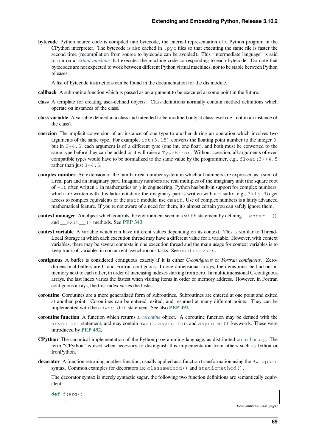<span id="page-72-2"></span>**bytecode** Python source code is compiled into bytecode, the internal representation of a Python program in the CPython interpreter. The bytecode is also cached in  $.pyc$  files so that executing the same file is faster the second time (recompilation from source to bytecode can be avoided). This "intermediate language" is said to run on a *virtual machine* that executes the machine code corresponding to each bytecode. Do note that bytecodes are not expected to work between different Python virtual machines, nor to be stable between Python releases.

<span id="page-72-1"></span>A list of byt[ecode instruction](#page-82-0)s can be found in the documentation for the dis module.

- **callback** A subroutine function which is passed as an argument to be executed at some point in the future.
- **class** A template for creating user-defined objects. Class definitions normally contain method definitions which operate on instances of the class.
- **class variable** A variable defined in a class and intended to be modified only at class level (i.e., not in an instance of the class).
- **coercion** The implicit conversion of an instance of one type to another during an operation which involves two arguments of the same type. For example, int (3.15) converts the floating point number to the integer 3, but in 3+4.5, each argument is of a different type (one int, one float), and both must be converted to the same type before they can be added or it will raise a TypeError. Without coercion, all arguments of even compatible types would have to be normalized to the same value by the programmer, e.g.,  $f$ loat (3)+4.5 rather than just  $3+4$ . 5.
- **complex number** An extension of the familiar real number system in which all numbers are expressed as a sum of a real part and an imaginary part. Imaginary numbers are real multiples of the imaginary unit (the square root of  $-1$ ), often written i in mathematics or  $\dot{\tau}$  in engineering. Python has built-in support for complex numbers, which are written with this latter notation; the imaginary part is written with a j suffix, e.g.,  $3+1$ j. To get access to complex equivalents of the math module, use cmath. Use of complex numbers is a fairly advanced mathematical feature. If you're not aware of a need for them, it's almost certain you can safely ignore them.
- **context manager** An object which controls the environment seen in a with statement by defining \_\_enter\_\_() and \_\_exit\_\_() methods. See **PEP 343**.
- **context variable** A variable which can have different values depending on its context. This is similar to Thread-Local Storage in which each execution thread may have a different value for a variable. However, with context variables, there may be several contexts in one execution thread and the main usage for context variables is to keep track of variables in concurr[ent asynch](https://www.python.org/dev/peps/pep-0343)ronous tasks. See contextvars.
- **contiguous** A buffer is considered contiguous exactly if it is either *C-contiguous* or *Fortran contiguous*. Zerodimensional buffers are C and Fortran contiguous. In one-dimensional arrays, the items must be laid out in memory next to each other, in order of increasing indexes starting from zero. In multidimensional C-contiguous arrays, the last index varies the fastest when visiting items in order of memory address. However, in Fortran contiguous arrays, the first index varies the fastest.
- **coroutine** Coroutines are a more generalized form of subroutines. Subroutines are entered at one point and exited at another point. Coroutines can be entered, exited, and resumed at many different points. They can be implemented with the async def statement. See also **PEP 492**.
- <span id="page-72-0"></span>**coroutine function** A function which returns a *coroutine* object. A coroutine function may be defined with the async def statement, and may contain await, async for, and async with keywords. These were introduced by **PEP 492**.
- **CPython** The canonical implementation of the Python progr[amming la](https://www.python.org/dev/peps/pep-0492)nguage, as distributed on python.org. The term "CPython" is used when necessaryt[o distingu](#page-72-0)ish this implementation from others such as Jython or IronPython.
- **decorator** A functi[on returnin](https://www.python.org/dev/peps/pep-0492)g another function, usually applied as a function transformation using the [@wrap](https://www.python.org)per syntax. Common examples for decorators are classmethod() and staticmethod().

The decorator syntax is merely syntactic sugar, the following two function definitions are semantically equivalent:

**def** f(arg): ...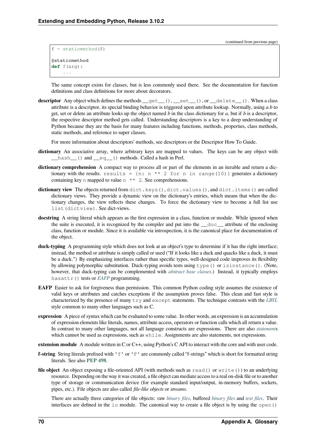```
f =staticmethod(f)
@staticmethod
def f(arg):
    ...
```
The same concept exists for classes, but is less commonly used there. See the documentation for function definitions and class definitions for more about decorators.

descriptor Any object which defines the methods \_get\_(), \_set\_(), or \_delete\_(). When a class attribute is a descriptor, its special binding behavior is triggered upon attribute lookup. Normally, using *a.b* to get, set or delete an attribute looks up the object named *b* in the class dictionary for *a*, but if *b* is a descriptor, the respective descriptor method gets called. Understanding descriptors is a key to a deep understanding of Python because they are the basis for many features including functions, methods, properties, class methods, static methods, and reference to super classes.

For more information about descriptors' methods, see descriptors or the Descriptor How To Guide.

- **dictionary** An associative array, where arbitrary keys are mapped to values. The keys can be any object with \_\_hash\_\_() and \_\_eq\_\_() methods. Called a hash in Perl.
- **dictionary comprehension** A compact way to process all or part of the elements in an iterable and return a dictionary with the results. results =  $\{n: n * * 2 \text{ for } n \text{ in } range(10)\}$  generates a dictionary containing key n mapped to value  $n \times 2$ . See comprehensions.
- dictionary view The objects returned from dict.keys(), dict.values(), and dict.items() are called dictionary views. They provide a dynamic view on the dictionary's entries, which means that when the dictionary changes, the view reflects these changes. To force the dictionary view to become a full list use list(dictview). See dict-views.
- **docstring** A string literal which appears as the first expression in a class, function or module. While ignored when the suite is executed, it is recognized by the compiler and put into the  $\_\text{doc}\_\text{attribute}$  attribute of the enclosing class, function or module. Since it is available via introspection, it is the canonical place for documentation of the object.
- **duck-typing** A programming style which does not look at an object's type to determine if it has the right interface; instead, the method or attribute is simply called or used ("If it looks like a duck and quacks like a duck, it must be a duck.") By emphasizing interfaces rather than specific types, well-designed code improves its flexibility by allowing polymorphic substitution. Duck-typing avoids tests using type() or isinstance(). (Note, however, that duck-typing can be complemented with *abstract base classes*.) Instead, it typically employs hasattr() tests or *EAFP* programming.
- **EAFP** Easier to ask for forgiveness than permission. This common Python coding style assumes the existence of valid keys or attributes and catches exceptions if the assumption proves false. This clean and fast style is characterized by the presence of many try and except [statements. The tec](#page-70-0)hnique contrasts with the *LBYL* style common to man[y other](#page-73-0) languages such as C.
- <span id="page-73-0"></span>**expression** A piece of syntax which can be evaluated to some value. In other words, an expression is an accumulation of expression elements like literals, names, attribute access, operators or function calls which all return a value. In contrast to many other languages, not all language constructs are expressions. There are also *state[ment](#page-77-0)*s which cannot be used as expressions, such as while. Assignments are also statements, not expressions.

<span id="page-73-2"></span>**extension module** A module written in C or C++, using Python's C API to interact with the core and with user code.

- **f-string** String literals prefixed with 'f' or 'F' are commonly called "f-strings" which is short for form[atted string](#page-81-0) literals. See also **PEP 498**.
- **file object** An object exposing a file-oriented API (with methods such as read() or write()) to an underlying resource. Depending on the way it was created, a file object can mediate access to a real on-disk file or to another type of storage or communication device (for example standard input/output, in-memory buffers, sockets, pipes, etc.). File [objects ar](https://www.python.org/dev/peps/pep-0498)e also called *file-like objects* or *streams*.

<span id="page-73-1"></span>There are actually three categories of file objects: raw *binary files*, buffered *binary files* and *text files*. Their interfaces are defined in the io module. The canonical way to create a file object is by using the open ()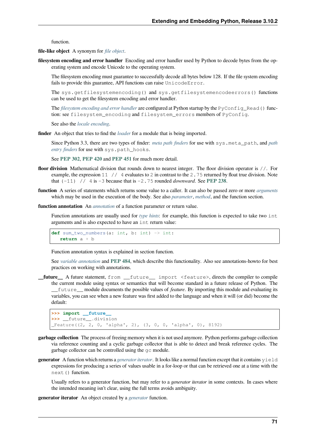function.

#### <span id="page-74-7"></span>**file-like object** A synonym for *file object*.

**filesystem encoding and error handler** Encoding and error handler used by Python to decode bytes from the operating system and encode Unicode to the operating system.

The filesystem encoding [must guara](#page-73-1)ntee to successfully decode all bytes below 128. If the file system encoding fails to provide this guarantee, API functions can raise UnicodeError.

<span id="page-74-0"></span>The sys.getfilesystemencoding() and sys.getfilesystemencodeerrors() functions can be used to get the filesystem encoding and error handler.

The *filesystem encoding and error handler* are configured at Python startup by the PyConfig\_Read() function: see filesystem\_encoding and filesystem\_errors members of PyConfig.

See also the *locale encoding*.

**finder** An [object that tries to find the](#page-74-0) *loader* for a module that is being imported.

Since Python 3.3, there are two types of finder: *meta path finders* for use with sys.meta\_path, and *path entry finders* [for use with](#page-77-1) sys.path\_hooks.

<span id="page-74-2"></span>See **PEP 302**, **PEP 420** and **P[EP 451](#page-77-2)** for much more detail.

- **floor division** Mathematical division that rounds dow[n to nearest integ](#page-77-3)er. The floor division operator is //. [For](#page-79-0) [example, the](#page-79-0) expression 11 // 4 evaluates to 2 in contrast to the 2.75 returned by float true division. Note that  $(-11)$  [// 4](https://www.python.org/dev/peps/pep-0420) is  $-3$  be[cause that](https://www.python.org/dev/peps/pep-0451) is  $-2.75$  rounded *downward*. See PEP 238.
- **function** A series of statements which returns some value to a caller. It can also be passed zero or more *arguments* which may be used in the execution of the body. See also *parameter*, *method*, and the function section.
- **function annotation** An *annotation* of a function parameter or return value.

<span id="page-74-5"></span>Function annotations are usually used for *type hints*: for example, this function is expected to tak[e two](#page-70-1) int arguments and is also expected to have an int return val[ue:](#page-78-0)

<span id="page-74-6"></span>**def** sum\_two\_nu[mbers\(a:](#page-70-2) int, b: int) -> int: **return** a + b

Function annotation syntax is explained in section function.

See *variable annotation* and **PEP 484**, which describe this functionality. Also see annotations-howto for best practices on working with annotations.

**\_\_future\_\_** A future statement, from \_\_future\_\_ import <feature>, directs the compiler to compile the current module using syntax or semantics that will become standard in a future release of Python. The \_\_[future\\_\\_](#page-82-1) module doc[uments the](https://www.python.org/dev/peps/pep-0484) possible values of *feature*. By importing this module and evaluating its variables, you can see when a new feature was first added to the language and when it will (or did) become the default:

```
>>> import future
>>> __future__.division
_Feature((2, 2, 0, 'alpha', 2), (3, 0, 0, 'alpha', 0), 8192)
```
- **garbage collection** The process of freeing memory when it is not used anymore. Python performs garbage collection via reference counting and a cyclic garbage collector that is able to detect and break reference cycles. The garbage collector can be controlled using the gc module.
- **generator** A function which returns a *generator iterator*. It looks like a normal function except that it contains yield expressions for producing a series of values usable in a for-loop or that can be retrieved one at a time with the next() function.

<span id="page-74-4"></span><span id="page-74-3"></span>Usually refers to a generator function, but may refer to a *generator iterator* in some contexts. In cases where the intended meaning isn't clear[, using the full ter](#page-74-1)ms avoids ambiguity.

<span id="page-74-1"></span>**generator iterator** An object created by a *generator* function.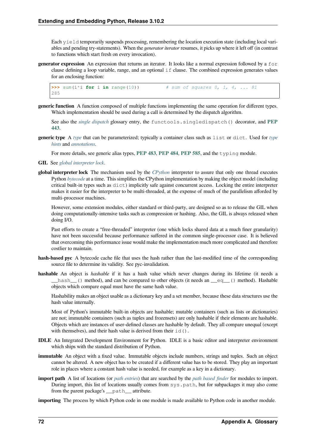<span id="page-75-4"></span>Each yield temporarily suspends processing, remembering the location execution state (including local variables and pending try-statements). When the *generator iterator* resumes, it picks up where it left off (in contrast to functions which start fresh on every invocation).

**generator expression** An expression that returns an iterator. It looks like a normal expression followed by a for clause defining a loop variable, range, and an optional if clause. The combined expression generates values for an enclosing function:

**>>>** sum(i\*i **for** i **in** range(10)) *# sum of squares 0, 1, 4, ... 81* 285

**generic function** A function composed of multiple functions implementing the same operation for different types. Which implementation should be used during a call is determined by the dispatch algorithm.

<span id="page-75-3"></span>See also the *single dispatch* glossary entry, the functools.singledispatch() decorator, and **PEP 443**.

**generic type** A *type* that can be parameterized; typically a container class such as list or dict. Used for *type hints* and *an[notations](#page-81-2)*.

[For](https://www.python.org/dev/peps/pep-0443) more details, see generic alias types, **PEP 483**, **PEP 484**, **PEP 585**, and the typing module.

- **GIL** See *global [inter](#page-81-3)preter lock*.
- **globa[l inte](#page-81-4)rpr[eter lock](#page-70-2)** The mechanism used by the *CPython* interpreter to assure that only one thread executes Python *bytecode* at a time. This simplifie[s the CPyt](https://www.python.org/dev/peps/pep-0483)[hon implem](https://www.python.org/dev/peps/pep-0484)[entation b](https://www.python.org/dev/peps/pep-0585)y making the object model (including critical built-in types such as dict) implicitly safe against concurrent access. Locking the entire interpreter ma[kes it easier for the int](#page-75-0)erpreter to be multi-threaded, at the expense of much of the parallelism afforded by multi-processor machines.

<span id="page-75-0"></span>Howev[er, some e](#page-72-1)xtension modules, either standard or third-party, are designed so as to release the GIL when doing computationally-intensive tasks such as compression or hashing. Also, the GIL is always released when doing I/O.

Past efforts to create a "free-threaded" interpreter (one which locks shared data at a much finer granularity) have not been successful because performance suffered in the common single-processor case. It is believed that overcoming this performance issue would make the implementation much more complicated and therefore costlier to maintain.

- **hash-based pyc** A bytecode cache file that uses the hash rather than the last-modified time of the corresponding source file to determine its validity. See pyc-invalidation.
- **hashable** An object is *hashable* if it has a hash value which never changes during its lifetime (it needs a  $_{\text{hash}}$  () method), and can be compared to other objects (it needs an  $_{\text{seq}}$  () method). Hashable objects which compare equal must have the same hash value.

Hashability makes an object usable as a dictionary key and a set member, because these data structures use the hash value internally.

Most of Python's immutable built-in objects are hashable; mutable containers (such as lists or dictionaries) are not; immutable containers (such as tuples and frozensets) are only hashable if their elements are hashable. Objects which are instances of user-defined classes are hashable by default. They all compare unequal (except with themselves), and their hash value is derived from their  $id()$ .

- **IDLE** An Integrated Development Environment for Python. IDLE is a basic editor and interpreter environment which ships with the standard distribution of Python.
- **immutable** An object with a fixed value. Immutable objects include numbers, strings and tuples. Such an object cannot be altered. A new object has to be created if a different value has to be stored. They play an important role in places where a constant hash value is needed, for example as a key in a dictionary.
- <span id="page-75-1"></span>**import path** A list of locations (or *path entries*) that are searched by the *path based finder* for modules to import. During import, this list of locations usually comes from sys.path, but for subpackages it may also come from the parent package's \_\_path\_\_ attribute.
- <span id="page-75-2"></span>**importing** The process by which P[ython code i](#page-79-1)n one module is made ava[ilable to Python co](#page-79-2)de in another module.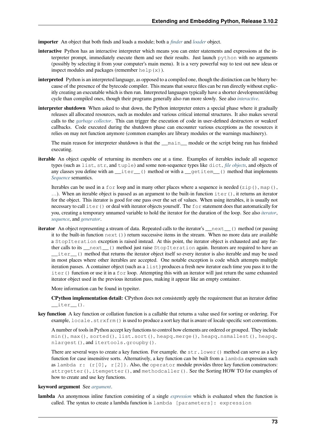<span id="page-76-3"></span>**importer** An object that both finds and loads a module; both a *finder* and *loader* object.

- **interactive** Python has an interactive interpreter which means you can enter statements and expressions at the interpreter prompt, immediately execute them and see their results. Just launch python with no arguments (possibly by selecting it from your computer's main men[u\). It i](#page-74-2)s av[ery pow](#page-77-2)erful way to test out new ideas or inspect modules and packages (remember help $(x)$ ).
- <span id="page-76-0"></span>**interpreted** Python is an interpreted language, as opposed to a compiled one, though the distinction can be blurry because of the presence of the bytecode compiler. This means that source files can be run directly without explicitly creating an executable which is then run. Interpreted languages typically have a shorter development/debug cycle than compiled ones, though their programs generally also run more slowly. See also *interactive*.
- **interpreter shutdown** When asked to shut down, the Python interpreter enters a special phase where it gradually releases all allocated resources, such as modules and various critical internal structures. It also makes several calls to the *garbage collector*. This can trigger the execution of code in user-defined destructors or weakref callbacks. Code executed during the shutdown phase can encounter various exceptions [as the res](#page-76-0)ources it relies on may not function anymore (common examples are library modules or the warnings machinery).

Themain r[eason for interpret](#page-74-3)er shutdown is that the \_\_main\_\_ module or the script being run has finished executing.

**iterable** An object capable of returning its members one at a time. Examples of iterables include all sequence types (such as list, str, and tuple) and some non-sequence types like dict, *file objects*, and objects of any classes you define with an \_\_iter\_\_() method or with a \_\_getitem\_\_() method that implements *Sequence* semantics.

<span id="page-76-2"></span>Iterables can be used in a for loop and in many other places where a sequence is needed ( $z$ ip(), map(), ...). When an iterable object is passed as an argument to the built-in function  $\text{iter}($ )[, it ret](#page-73-1)urns an iterator for the object. This iterator is good for one pass over the set of values. When using iterables, it is usually not [necessary](#page-80-0) to call iter() or deal with iterator objects yourself. The for statement does that automatically for you, creating a temporary unnamed variable to hold the iterator for the duration of the loop. See also *iterator*, *sequence*, and *generator*.

<span id="page-76-1"></span>**iterator** An object representing a stream of data. Repeated calls to the iterator's \_next\_() method (or passing it to the built-in function  $next()$  return successive items in the stream. When no more data are available a StopIteration exception is raised instead. At this point, the iterator object is exhausted and [any fur](#page-76-1)[ther calls](#page-80-0) to its [\\_\\_next](#page-74-4)\_\_() method just raise StopIteration again. Iterators are required to have an \_\_iter\_\_() method that returns the iterator object itself so every iterator is also iterable and may be used in most places where other iterables are accepted. One notable exception is code which attempts multiple iteration passes. A container object (such as a list) produces a fresh new iterator each time you pass it to the iter() function or use it in a for loop. Attempting this with an iterator will just return the same exhausted iterator object used in the previous iteration pass, making it appear like an empty container.

More information can be found in typeiter.

**CPython implementation detail:** CPython does not consistently apply the requirement that an iterator define iter ().

**key function** A key function or collation function is a callable that returns a value used for sorting or ordering. For example,  $locale.strxfrm()$  is used to produce a sort key that is aware of locale specific sort conventions.

A number of tools in Python accept key functions to control how elements are ordered or grouped. They include min(), max(), sorted(), list.sort(), heapq.merge(), heapq.nsmallest(), heapq. nlargest(), and itertools.groupby().

There are several ways to create a key function. For example, the  $str. lower$  () method can serve as a key function for case insensitive sorts. Alternatively, a key function can be built from a lambda expression such as lambda r:  $(r[0], r[2])$ . Also, the operator module provides three key function constructors: attrgetter(), itemgetter(), and methodcaller(). See the Sorting HOW TO for examples of how to create and use key functions.

#### **keyword argument** See *argument*.

**lambda** An anonymous inline function consisting of a single *expression* which is evaluated when the function is called. The syntax to create a lambda function is lambda [parameters]: expression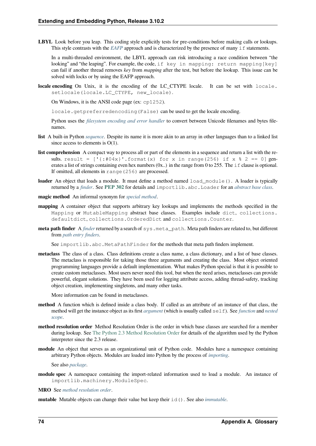<span id="page-77-5"></span>**LBYL** Look before you leap. This coding style explicitly tests for pre-conditions before making calls or lookups. This style contrasts with the *EAFP* approach and is characterized by the presence of many if statements.

<span id="page-77-0"></span>In a multi-threaded environment, the LBYL approach can risk introducing a race condition between "the looking" and "the leaping". For example, the code, if key in mapping: return mapping [key] can fail if another thread removes *key* from *mapping* after the test, but before the lookup. This issue can be solved with locks or by usin[g the E](#page-73-0)AFP approach.

**locale encoding** On Unix, it is the encoding of the LC CTYPE locale. It can be set with locale. setlocale(locale.LC\_CTYPE, new\_locale).

On Windows, it is the ANSI code page (ex: cp1252).

<span id="page-77-1"></span>locale.getpreferredencoding(False) can be used to get the locale encoding.

Python uses the *filesystem encoding and error handler* to convert between Unicode filenames and bytes filenames.

- **list** A built-in Python *sequence*. Despite its name it is more akin to an array in other languages than to a linked list sinceaccess to elements is  $O(1)$ .
- **list comprehension** A compact way to process all or part of the elements in a sequence and return a list with the results. result =  $['{\cdot}; #04x]'$ . format(x) for x in range(256) if x  $\frac{1}{6}$  2 == 0] generates a list of st[rings cont](#page-80-0)aining even hex numbers  $(0x.)$  in the range from 0 to 255. The  $\pm$  f clause is optional. If omitted, all elements in range(256) are processed.
- **loader** An object that loads a module. It must define a method named load\_module(). A loader is typically returned by a *finder*. See **PEP 302** for details and importlib.abc.Loader for an *abstract base class*.
- **magic method** An informal synonym for *special method*.
- <span id="page-77-2"></span>**mapping** A container object that supports arbitrary key lookups and implements the methods specified in the Mapping or [Mut](#page-74-2)abl[eMappin](https://www.python.org/dev/peps/pep-0302)g abstract base classes. Examples include dict, [collections](#page-70-0). defaultdict, collections[.OrderedDic](#page-81-5)t and collections.Counter.
- **meta path finder** A *finder* returned by a search of sys.meta\_path. Meta path finders are related to, but different from *path entry finders*.

<span id="page-77-3"></span>See importlib.abc.MetaPathFinder for the methods that meta path finders implement.

**metaclass** The class [of a c](#page-74-2)lass. Class definitions create a class name, a class dictionary, and a list of base classes. The [metaclass is respo](#page-79-0)nsible for taking those three arguments and creating the class. Most object oriented programming languages provide a default implementation. What makes Python special is that it is possible to create custom metaclasses. Most users never need this tool, but when the need arises, metaclasses can provide powerful, elegant solutions. They have been used for logging attribute access, adding thread-safety, tracking object creation, implementing singletons, and many other tasks.

More information can be found in metaclasses.

- **method** A function which is defined inside a class body. If called as an attribute of an instance of that class, the method will get the instance object as its first *argument* (which is usually called self). See *function* and *nested scope*.
- **method resolution order** Method Resolution Order is the order in which base classes are searched for a member during lookup. See The Python 2.3 Method [Resolutio](#page-70-1)n Order for details of the algorithm [used by t](#page-74-5)he [Python](#page-78-1) [interp](#page-78-1)reter since the 2.3 release.
- **module** An object that serves as an organizational unit of Python code. Modules have a namespace containing arbitrary Python ob[jects. Modules are loaded into Python by t](https://www.python.org/download/releases/2.3/mro/)he process of *importing*.

<span id="page-77-4"></span>See also *package*.

**module spec** A namespace containing the import-related information used to load a module. An instance of importlib.machinery.ModuleSpec.

**MRO** See *me[thod reso](#page-78-2)lution order*.

**mutable** Mutable objects can change their value but keep their id(). See also *immutable*.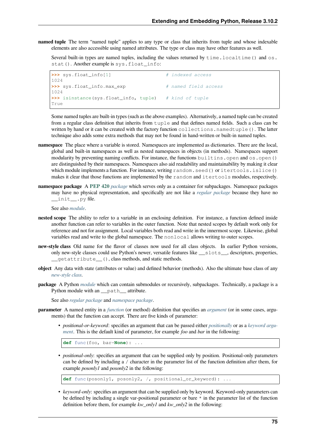<span id="page-78-5"></span>**named tuple** The term "named tuple" applies to any type or class that inherits from tuple and whose indexable elements are also accessible using named attributes. The type or class may have other features as well.

Several built-in types are named tuples, including the values returned by time.localtime() and os. stat(). Another example is sys.float\_info:

| $\rightarrow \rightarrow$ sys.float_info[1]<br>  1024                                 | # indexed access     |
|---------------------------------------------------------------------------------------|----------------------|
|                                                                                       |                      |
| >>> sys.float_info.max_exp                                                            | # named field access |
| 1024                                                                                  |                      |
| $\rightarrow\rightarrow\rightarrow$ isinstance(sys.float_info, tuple) # kind of tuple |                      |
| l True                                                                                |                      |
|                                                                                       |                      |

Some named tuples are built-in types (such as the above examples). Alternatively, a named tuple can be created from a regular class definition that inherits from tuple and that defines named fields. Such a class can be written by hand or it can be created with the factory function collections.namedtuple(). The latter technique also adds some extra methods that may not be found in hand-written or built-in named tuples.

- **namespace** The place where a variable is stored. Namespaces are implemented as dictionaries. There are the local, global and built-in namespaces as well as nested namespaces in objects (in methods). Namespaces support modularity by preventing naming conflicts. For instance, the functions builtins.open and os.open() are distinguished by their namespaces. Namespaces also aid readability and maintainability by making it clear which module implements a function. For instance, writing random.seed() or itertools.islice() makes it clear that those functions are implemented by the random and itertools modules, respectively.
- **namespace package** A **PEP 420** *package* which serves only as a container for subpackages. Namespace packages may have no physical representation, and specifically are not like a *regular package* because they have no \_\_init\_\_.py file.

<span id="page-78-4"></span>See also *module*.

- **nested scope** The abilit[y to refer](https://www.python.org/dev/peps/pep-0420) [to a var](#page-78-2)iable in an enclosing definition. [For instance, a f](#page-80-1)unction defined inside another function can refer to variables in the outer function. Note that nested scopes by default work only for reference and not for assignment. Local variables both read and write in the innermost scope. Likewise, global variable[s read an](#page-77-4)d write to the global namespace. The nonlocal allows writing to outer scopes.
- <span id="page-78-1"></span>**new-style class** Old name for the flavor of classes now used for all class objects. In earlier Python versions, only new-style classes could use Python's newer, versatile features like \_\_slots\_\_, descriptors, properties, \_\_getattribute\_\_(), class methods, and static methods.
- <span id="page-78-3"></span>**object** Any data with state (attributes or value) and defined behavior (methods). Also the ultimate base class of any *new-style class*.
- **package** A Python *module* which can contain submodules or recursively, subpackages. Technically, a package is a Python module with an \_\_path\_\_ attribute.

<span id="page-78-2"></span>[See also](#page-78-3) *regular package* and *namespace package*.

- **parameter** A nam[ed entity](#page-77-4) in a *function* (or method) definition that specifies an *argument* (or in some cases, arguments) that the function can accept. There are five kinds of parameter:
	- *po[sitional-or-keywo](#page-80-1)rd*: [specifies an argumen](#page-78-4)t that can be passed either *positionally* or as a *keyword argument*. This is the def[ault kind](#page-74-5) of parameter, for example *foo* and *bar* [in the follo](#page-70-1)wing:

<span id="page-78-0"></span>**def** func(foo, bar=**None**): ...

• *[positi](#page-70-1)onal-only*: specifies an argument that can be supplied only by po[sition. Posit](#page-70-1)ional-o[nly parameters](#page-70-1) can be defined by including a / character in the parameter list of the function definition after them, for example *posonly1* and *posonly2* in the following:

**def** func(posonly1, posonly2, /, positional\_or\_keyword): ...

• *keyword-only*: specifies an argument that can be supplied only by keyword. Keyword-only parameters can be defined by including a single var-positional parameter or bare  $*$  in the parameter list of the function definition before them, for example *kw\_only1* and *kw\_only2* in the following: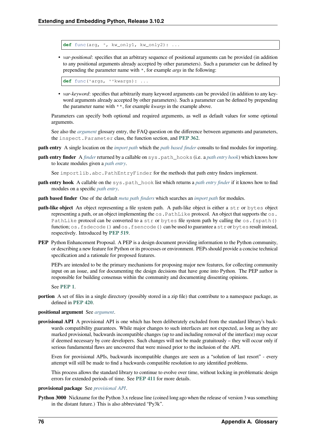```
def func(arg, *, kw_only1, kw_only2): ...
```
<span id="page-79-4"></span>• *var-positional*: specifies that an arbitrary sequence of positional arguments can be provided (in addition to any positional arguments already accepted by other parameters). Such a parameter can be defined by prepending the parameter name with \*, for example *args* in the following:

```
def func(*args, **kwargs): ...
```
• *var-keyword*: specifies that arbitrarily many keyword arguments can be provided (in addition to any keyword arguments already accepted by other parameters). Such a parameter can be defined by prepending the parameter name with \*\*, for example *kwargs* in the example above.

Parameters can specify both optional and required arguments, as well as default values for some optional arguments.

See also the *argument* glossary entry, the FAQ question on the difference between arguments and parameters, the inspect.Parameter class, the function section, and **PEP 362**.

- **path entry** A single location on the *import path* which the *path based finder* consults to find modules for importing.
- **path entry [finder](#page-70-1)** A *finder* returned by a callable on sys.path\_hooks (i.e. a *path entry hook*) which knows how to locate modules given a *path entry*.

<span id="page-79-1"></span><span id="page-79-0"></span>See importlib.abc.Pa[thEntryFi](#page-75-2)nder for [the methods that](#page-79-2) path entry finders implement.

- **path entry hook** A [callable](#page-74-2) on the sys.path\_hook list which returns a *path [entry finder](#page-79-3)* if it knows how to find modules on a specific *pat[h entry](#page-79-1)*.
- **path based finder** One of the default *meta path finders* which searches an *import path* for modules.
- <span id="page-79-3"></span><span id="page-79-2"></span>**path-likeobject** An object representing a file system path. A path-like o[bject is either a](#page-79-0) str or bytes object representing a path, o[r an object](#page-79-1) implementing the  $\circ s$ . PathLike protocol. An object that supports the  $\circ s$ . PathLike protocol can be converted to a str or bytes file system path by calling the  $\circ s$ . fspath() function;  $\circ s$ . fsdecode() and  $\circ s$ . fsencode() can be used to [guarantee a](#page-75-2) str or bytes result instead, respectively. Introduced by **PEP 519**.
- **PEP** Python Enhancement Proposal. A PEP is a design document providing information to the Python community, or describing a new feature for Python or its processes or environment. PEPs should provide a concise technical specification and a rational[e for propo](https://www.python.org/dev/peps/pep-0519)sed features.

PEPs are intended to be the primary mechanisms for proposing major new features, for collecting community input on an issue, and for documenting the design decisions that have gone into Python. The PEP author is responsible for building consensus within the community and documenting dissenting opinions.

See **PEP 1**.

**portion** A set of files in a single directory (possibly stored in a zip file) that contribute to a namespace package, as defined in **PEP 420**.

#### **positional [argum](https://www.python.org/dev/peps/pep-0001)ent** See *argument*.

**provisional API** A provisional API is one which has been deliberately excluded from the standard library's backwards co[mpatibility](https://www.python.org/dev/peps/pep-0420) guarantees. While major changes to such interfaces are not expected, as long as they are marked provisional, backwards incompatible changes (up to and including removal of the interface) may occur if deemed necessary [by core d](#page-70-1)evelopers. Such changes will not be made gratuitously – they will occur only if serious fundamental flaws are uncovered that were missed prior to the inclusion of the API.

Even for provisional APIs, backwards incompatible changes are seen as a "solution of last resort" - every attempt will still be made to find a backwards compatible resolution to any identified problems.

This process allows the standard library to continue to evolve over time, without locking in problematic design errors for extended periods of time. See **PEP 411** for more details.

#### **provisional package** See *provisional API*.

**Python 3000** Nickname for the Python 3.x release line (coined long ago when the release of version 3 was something in the distant future.) This is also abbrev[iated "Py3](https://www.python.org/dev/peps/pep-0411)k".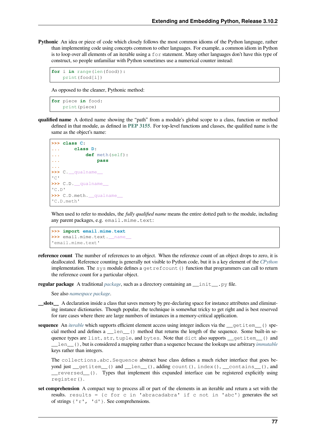<span id="page-80-2"></span>**Pythonic** An idea or piece of code which closely follows the most common idioms of the Python language, rather than implementing code using concepts common to other languages. For example, a common idiom in Python is to loop over all elements of an iterable using a  $f \circ r$  statement. Many other languages don't have this type of construct, so people unfamiliar with Python sometimes use a numerical counter instead:

```
for i in range(len(food)):
    print(food[i])
```
As opposed to the cleaner, Pythonic method:

```
for piece in food:
    print(piece)
```
**qualified name** A dotted name showing the "path" from a module's global scope to a class, function or method defined in that module, as defined in **PEP 3155**. For top-level functions and classes, the qualified name is the same as the object's name:

```
>>> class C:
... class D:
... def meth(self):
... pass
...
>>> C.__qualname__
C<sub>1</sub>>>> C.D.__qualname__
'C.D'
>>> C.D.meth.__qualname__
'C.D.meth'
```
When used to refer to modules, the *fully qualified name* means the entire dotted path to the module, including any parent packages, e.g. email.mime.text:

```
>>> import email.mime.text
>>> email.mime.text.__name__
'email.mime.text'
```
- **reference count** The number of references to an object. When the reference count of an object drops to zero, it is deallocated. Reference counting is generally not visible to Python code, but it is a key element of the *CPython* implementation. The sys module defines a  $q$ etrefcount() function that programmers can call to return the reference count for a particular object.
- **regular package** A traditional *package*, such as a directory containing an *\_\_init\_\_.py* file.

<span id="page-80-1"></span>See also *namespace package*.

- **\_\_slots\_\_** A declaration inside a class that saves memory by pre-declaring space for instance attributes and eliminating instance dictionaries. [Though](#page-78-2) popular, the technique is somewhat tricky to get right and is best reserved for rare [cases where there ar](#page-78-4)e large numbers of instances in a memory-critical application.
- **sequence** An *iterable* which supports efficient element access using integer indices via the \_\_getitem\_() special method and defines a \_\_len\_\_() method that returns the length of the sequence. Some built-in sequence types are list, str, tuple, and bytes. Note that dict also supports \_\_getitem\_\_() and \_\_len\_\_(), but is considered a mapping rather than a sequence because the lookups use arbitrary *immutable* keys rat[her than](#page-76-2) integers.

<span id="page-80-0"></span>The collections.abc.Sequence abstract base class defines a much richer interface that goes beyond just \_\_getitem\_() and \_\_len\_(), adding count(), index(), \_\_contains\_(), and \_\_reversed\_\_(). Types that implement this expanded interface can be registered expli[citly using](#page-75-1) register().

**set comprehension** A compact way to process all or part of the elements in an iterable and return a set with the results. results =  ${c$  for c in 'abracadabra' if c not in 'abc'} generates the set of strings {'r', 'd'}. See comprehensions.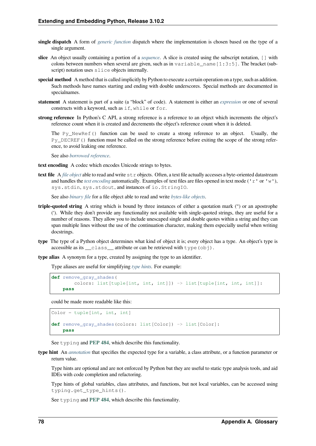- <span id="page-81-7"></span>**single dispatch** A form of *generic function* dispatch where the implementation is chosen based on the type of a single argument.
- <span id="page-81-2"></span>**slice** An object usually containing a portion of a *sequence*. A slice is created using the subscript notation, [] with colons between numbers when several are given, such as in  $variable_name[1:3:5]$ . The bracket (subscript) notation uses slice [objects in](#page-75-3)ternally.
- **special method** A method that is called implicitly by Python to execute a certain operation on a type, such as addition. Such methods have names starting and end[ing with](#page-80-0) double underscores. Special methods are documented in specialnames.
- <span id="page-81-5"></span>**statement** A statement is part of a suite (a "block" of code). A statement is either an *expression* or one of several constructs with a keyword, such as if, while or for.
- **strong reference** In Python's C API, a strong reference is a reference to an object which increments the object's reference count when it is created and decrements the object's reference count w[hen it is del](#page-73-2)eted.

<span id="page-81-0"></span>The Py\_NewRef() function can be used to create a strong reference to an object. Usually, the Py\_DECREF() function must be called on the strong reference before exiting the scope of the strong reference, to avoid leaking one reference.

See also *borrowed reference*.

**text encoding** A codec which encodes Unicode strings to bytes.

**text file** A *file object* able to read and write str objects. Often, a text file actually accesses a byte-oriented datastream and handles the *[text encoding](#page-71-1)* automatically. Examples of text files are files opened in text mode ( $'r'$  or  $'w'$ ), sys.stdin, sys.stdout, and instances of io.StringIO.

<span id="page-81-6"></span><span id="page-81-1"></span>See also *[binary](#page-73-1) file* for a file object able to read and write *bytes-like objects*.

- **triple-quoted string** [A string whi](#page-81-6)ch is bound by three instances of either a quotation mark (") or an apostrophe ('). While they don't provide any functionality not available with single-quoted strings, they are useful for a number of reasons. They allow you to include unescaped single and double quotes within a string and they can span mu[ltiple lines](#page-71-0) without the use of the continuation ch[aracter, making t](#page-71-2)hem especially useful when writing docstrings.
- **type** The type of a Python object determines what kind of object it is; every object has a type. An object's type is accessible as its \_\_class\_\_ attribute or can be retrieved with type (obj).

**type alias** A synonym for a type, created by assigning the type to an identifier.

<span id="page-81-3"></span>Type aliases are useful for simplifying *type hints*. For example:

```
def remove_gray_shades(
       colors: list[tuple[int, int, int]]) -> list[tuple[int, int, int]]:
   pass
```
could be made more readable like this:

```
Color = tuple(int, int, int]def remove_gray_shades(colors: list[Color]) -> list[Color]:
   pass
```
See typing and **PEP 484**, which describe this functionality.

**type hint** An *annotation* that specifies the expected type for a variable, a class attribute, or a function parameter or return value.

Type hints are opt[ional and](https://www.python.org/dev/peps/pep-0484) are not enforced by Python but they are useful to static type analysis tools, and aid IDEs w[ith code com](#page-70-2)pletion and refactoring.

<span id="page-81-4"></span>Type hints of global variables, class attributes, and functions, but not local variables, can be accessed using typing.get\_type\_hints().

See typing and **PEP 484**, which describe this functionality.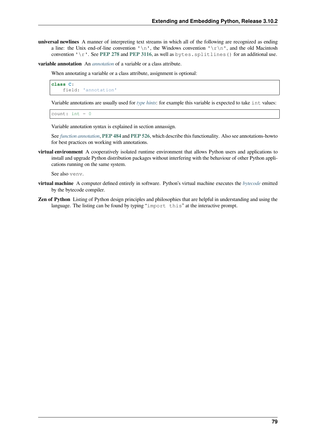<span id="page-82-2"></span>**universal newlines** A manner of interpreting text streams in which all of the following are recognized as ending a line: the Unix end-of-line convention '\n', the Windows convention '\n\n', and the old Macintosh convention '\r'. See **PEP 278** and **PEP 3116**, as well as bytes.splitlines() for an additional use.

**variable annotation** An *annotation* of a variable or a class attribute.

When annotating a variable or a class attribute, assignment is optional:

```
class C:
    field: 'annotation'
```
Variable annotations are usually used for *type hints*: for example this variable is expected to take int values:

count:  $int = 0$ 

Variable annotation syntax is explained i[n section a](#page-81-4)nnassign.

See *function annotation*, **PEP 484** and **PEP 526**, which describe this functionality. Also see annotations-howto for best practices on working with annotations.

**virtual environment** A cooperatively isolated runtime environment that allows Python users and applications to install and upgrade Python distributio[n packages](https://www.python.org/dev/peps/pep-0526) without interfering with the behaviour of other Python applicati[ons running on the s](#page-74-6)[ame system](https://www.python.org/dev/peps/pep-0484).

See also venv.

- **virtual machine** A computer defined entirely in software. Python's virtual machine executes the *bytecode* emitted by the bytecode compiler.
- <span id="page-82-0"></span>**Zen of Python** Listing of Python design principles and philosophies that are helpful in understanding and using the language. The listing can be found by typing "import this" at the interactive prompt.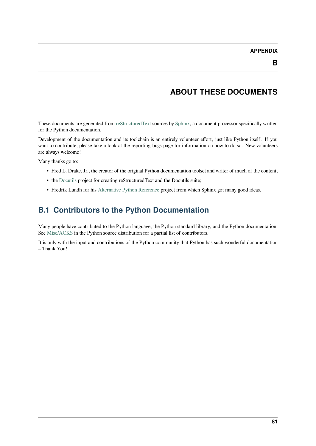**B**

### **ABOUT THESE DOCUMENTS**

These documents are generated from reStructuredText sources by Sphinx, a document processor specifically written for the Python documentation.

Development of the documentation and its toolchain is an entirely volunteer effort, just like Python itself. If you want to contribute, please take a loo[k at the reporting-](http://docutils.sourceforge.net/rst.html)bugs page [for info](http://sphinx-doc.org/)rmation on how to do so. New volunteers are always welcome!

Many thanks go to:

- Fred L. Drake, Jr., the creator of the original Python documentation toolset and writer of much of the content;
- the Docutils project for creating reStructuredText and the Docutils suite;
- Fredrik Lundh for his Alternative Python Reference project from which Sphinx got many good ideas.

## **B.1 C[ontrib](http://docutils.sourceforge.net/)utor[s to the Python Do](http://effbot.org/zone/pyref.htm)cumentation**

Many people have contributed to the Python language, the Python standard library, and the Python documentation. See Misc/ACKS in the Python source distribution for a partial list of contributors.

It is only with the input and contributions of the Python community that Python has such wonderful documentation – Thank You!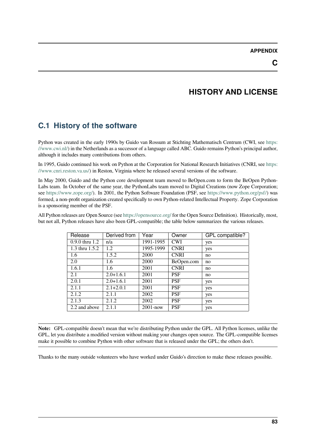**C**

### **HISTORY AND LICENSE**

### **C.1 History of the software**

Python was created in the early 1990s by Guido van Rossum at Stichting Mathematisch Centrum (CWI, see https: //www.cwi.nl/) in the Netherlands as a successor of a language called ABC. Guido remains Python's principal author, although it includes many contributions from others.

In 1995, Guido continued his work on Python at the Corporation for National Research Initiatives (CNRI, see [https:](https://www.cwi.nl/) [//www.cnri.res](https://www.cwi.nl/)ton.va.us/) in Reston, Virginia where he released several versions of the software.

In May 2000, Guido and the Python core development team moved to BeOpen.com to form the BeOpen Python-Labs team. In October of the same year, the PythonLabs team moved to Digital Creations (now Zope Corporation; see https://www.zope.org/). In 2001, the Python Software Foundation (PSF, see https://www.python.org/psf[/\) was](https://www.cnri.reston.va.us/) [formed, a non-profit orga](https://www.cnri.reston.va.us/)nization created specifically to own Python-related Intellectual Property. Zope Corporation is a sponsoring member of the PSF.

All Python releases are Open Source (see https://opensource.org/ for the Open Source Definition). Historically, most, but [not all, Python releases](https://www.zope.org/) have also been GPL-compatible; the table below sum[marizes the various releases.](https://www.python.org/psf/)

| Release            | Derived from  | Year         | Owner       | GPL compatible? |
|--------------------|---------------|--------------|-------------|-----------------|
| $0.9.0$ thru $1.2$ | n/a           | 1991-1995    | <b>CWI</b>  | yes             |
| 1.3 thru 1.5.2     | 1.2           | 1995-1999    | <b>CNRI</b> | yes             |
| 1.6                | 1.5.2         | 2000         | <b>CNRI</b> | no              |
| 2.0                | 1.6           | 2000         | BeOpen.com  | no              |
| 1.6.1              | 1.6           | 2001         | <b>CNRI</b> | no              |
| 2.1                | $2.0 + 1.6.1$ | 2001         | <b>PSF</b>  | no              |
| 2.0.1              | $2.0 + 1.6.1$ | 2001         | <b>PSF</b>  | yes             |
| 2.1.1              | $2.1 + 2.0.1$ | 2001         | <b>PSF</b>  | yes             |
| 2.1.2              | 2.1.1         | 2002         | <b>PSF</b>  | yes             |
| 2.1.3              | 2.1.2         | 2002         | <b>PSF</b>  | yes             |
| 2.2 and above      | 2.1.1         | $2001 - now$ | <b>PSF</b>  | yes             |

**Note:** GPL-compatible doesn't mean that we're distributing Python under the GPL. All Python licenses, unlike the GPL, let you distribute a modified version without making your changes open source. The GPL-compatible licenses make it possible to combine Python with other software that is released under the GPL; the others don't.

Thanks to the many outside volunteers who have worked under Guido's direction to make these releases possible.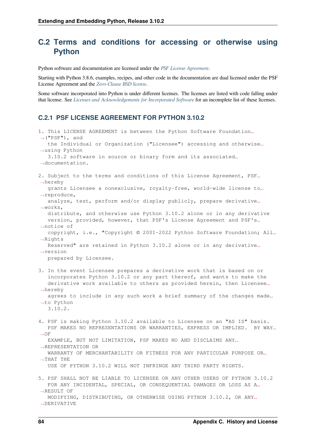## **C.2 Terms and conditions for accessing or otherwise using Python**

Python software and documentation are licensed under the *PSF License Agreement*.

Starting with Python 3.8.6, examples, recipes, and other code in the documentation are dual licensed under the PSF License Agreement and the *Zero-Clause BSD license*.

Some software incorporated into Python is under different [licenses. The licenses](#page-87-0) are listed with code falling under that license. See *Licenses and Acknowledgements for Incorporated Software* for an incomplete list of these licenses.

#### **C.2.1 PSF LICENSE AGREEMENT FOR PYTHON 3.10.2**

<span id="page-87-0"></span>1. This LIC[ENSE AGREEMENT is between the Python So](#page-91-0)ftware Foundation␣ *,→*("PSF"), and the Individual or Organization ("Licensee") accessing and otherwise␣ *,→*using Python 3.10.2 software in source or binary form and its associated␣ *,→*documentation. 2. Subject to the terms and conditions of this License Agreement, PSF␣ *,→*hereby grants Licensee a nonexclusive, royalty-free, world-wide license to␣ *,→*reproduce, analyze, test, perform and/or display publicly, prepare derivative. *,→*works, distribute, and otherwise use Python 3.10.2 alone or in any derivative version, provided, however, that PSF's License Agreement and PSF's\_ *,→*notice of copyright, i.e., "Copyright © 2001-2022 Python Software Foundation; All\_ *,→*Rights Reserved" are retained in Python 3.10.2 alone or in any derivative␣ *,→*version prepared by Licensee. 3. In the event Licensee prepares a derivative work that is based on or incorporates Python 3.10.2 or any part thereof, and wants to make the derivative work available to others as provided herein, then Licensee␣ *,→*hereby agrees to include in any such work a brief summary of the changes made␣ *,→*to Python 3.10.2. 4. PSF is making Python 3.10.2 available to Licensee on an "AS IS" basis. PSF MAKES NO REPRESENTATIONS OR WARRANTIES, EXPRESS OR IMPLIED. BY WAY. *,→*OF EXAMPLE, BUT NOT LIMITATION, PSF MAKES NO AND DISCLAIMS ANY␣ *,→*REPRESENTATION OR WARRANTY OF MERCHANTABILITY OR FITNESS FOR ANY PARTICULAR PURPOSE OR␣ *,→*THAT THE USE OF PYTHON 3.10.2 WILL NOT INFRINGE ANY THIRD PARTY RIGHTS. 5. PSF SHALL NOT BE LIABLE TO LICENSEE OR ANY OTHER USERS OF PYTHON 3.10.2 FOR ANY INCIDENTAL, SPECIAL, OR CONSEQUENTIAL DAMAGES OR LOSS AS A␣ *,→*RESULT OF MODIFYING, DISTRIBUTING, OR OTHERWISE USING PYTHON 3.10.2, OR ANY␣

*,→*DERIVATIVE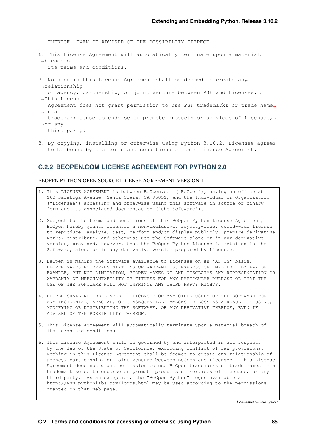THEREOF, EVEN IF ADVISED OF THE POSSIBILITY THEREOF.

6. This License Agreement will automatically terminate upon a material␣ *,→*breach of its terms and conditions. 7. Nothing in this License Agreement shall be deemed to create any␣ *,→*relationship of agency, partnership, or joint venture between PSF and Licensee. ␣ *,→*This License Agreement does not grant permission to use PSF trademarks or trade name␣ *,→*in a trademark sense to endorse or promote products or services of Licensee, \_ *,→*or any third party.

8. By copying, installing or otherwise using Python 3.10.2, Licensee agrees to be bound by the terms and conditions of this License Agreement.

#### **C.2.2 BEOPEN.COM LICENSE AGREEMENT FOR PYTHON 2.0**

#### BEOPEN PYTHON OPEN SOURCE LICENSE AGREEMENT VERSION 1

- 1. This LICENSE AGREEMENT is between BeOpen.com ("BeOpen"), having an office at 160 Saratoga Avenue, Santa Clara, CA 95051, and the Individual or Organization ("Licensee") accessing and otherwise using this software in source or binary form and its associated documentation ("the Software").
- 2. Subject to the terms and conditions of this BeOpen Python License Agreement, BeOpen hereby grants Licensee a non-exclusive, royalty-free, world-wide license to reproduce, analyze, test, perform and/or display publicly, prepare derivative works, distribute, and otherwise use the Software alone or in any derivative version, provided, however, that the BeOpen Python License is retained in the Software, alone or in any derivative version prepared by Licensee.
- 3. BeOpen is making the Software available to Licensee on an "AS IS" basis. BEOPEN MAKES NO REPRESENTATIONS OR WARRANTIES, EXPRESS OR IMPLIED. BY WAY OF EXAMPLE, BUT NOT LIMITATION, BEOPEN MAKES NO AND DISCLAIMS ANY REPRESENTATION OR WARRANTY OF MERCHANTABILITY OR FITNESS FOR ANY PARTICULAR PURPOSE OR THAT THE USE OF THE SOFTWARE WILL NOT INFRINGE ANY THIRD PARTY RIGHTS.
- 4. BEOPEN SHALL NOT BE LIABLE TO LICENSEE OR ANY OTHER USERS OF THE SOFTWARE FOR ANY INCIDENTAL, SPECIAL, OR CONSEQUENTIAL DAMAGES OR LOSS AS A RESULT OF USING, MODIFYING OR DISTRIBUTING THE SOFTWARE, OR ANY DERIVATIVE THEREOF, EVEN IF ADVISED OF THE POSSIBILITY THEREOF.
- 5. This License Agreement will automatically terminate upon a material breach of its terms and conditions.
- 6. This License Agreement shall be governed by and interpreted in all respects by the law of the State of California, excluding conflict of law provisions. Nothing in this License Agreement shall be deemed to create any relationship of agency, partnership, or joint venture between BeOpen and Licensee. This License Agreement does not grant permission to use BeOpen trademarks or trade names in a trademark sense to endorse or promote products or services of Licensee, or any third party. As an exception, the "BeOpen Python" logos available at http://www.pythonlabs.com/logos.html may be used according to the permissions granted on that web page.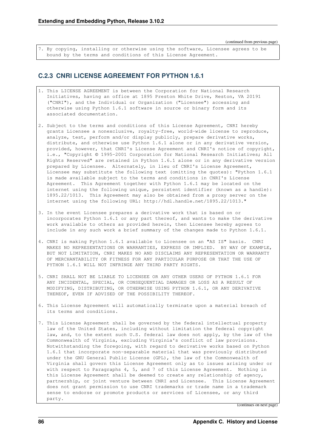7. By copying, installing or otherwise using the software, Licensee agrees to be bound by the terms and conditions of this License Agreement.

### **C.2.3 CNRI LICENSE AGREEMENT FOR PYTHON 1.6.1**

- 1. This LICENSE AGREEMENT is between the Corporation for National Research Initiatives, having an office at 1895 Preston White Drive, Reston, VA 20191 ("CNRI"), and the Individual or Organization ("Licensee") accessing and otherwise using Python 1.6.1 software in source or binary form and its associated documentation.
- 2. Subject to the terms and conditions of this License Agreement, CNRI hereby grants Licensee a nonexclusive, royalty-free, world-wide license to reproduce, analyze, test, perform and/or display publicly, prepare derivative works, distribute, and otherwise use Python 1.6.1 alone or in any derivative version, provided, however, that CNRI's License Agreement and CNRI's notice of copyright, i.e., "Copyright © 1995-2001 Corporation for National Research Initiatives; All Rights Reserved" are retained in Python 1.6.1 alone or in any derivative version prepared by Licensee. Alternately, in lieu of CNRI's License Agreement, Licensee may substitute the following text (omitting the quotes): "Python 1.6.1 is made available subject to the terms and conditions in CNRI's License Agreement. This Agreement together with Python 1.6.1 may be located on the internet using the following unique, persistent identifier (known as a handle): 1895.22/1013. This Agreement may also be obtained from a proxy server on the internet using the following URL: http://hdl.handle.net/1895.22/1013."
- 3. In the event Licensee prepares a derivative work that is based on or incorporates Python 1.6.1 or any part thereof, and wants to make the derivative work available to others as provided herein, then Licensee hereby agrees to include in any such work a brief summary of the changes made to Python 1.6.1.
- 4. CNRI is making Python 1.6.1 available to Licensee on an "AS IS" basis. CNRI MAKES NO REPRESENTATIONS OR WARRANTIES, EXPRESS OR IMPLIED. BY WAY OF EXAMPLE, BUT NOT LIMITATION, CNRI MAKES NO AND DISCLAIMS ANY REPRESENTATION OR WARRANTY OF MERCHANTABILITY OR FITNESS FOR ANY PARTICULAR PURPOSE OR THAT THE USE OF PYTHON 1.6.1 WILL NOT INFRINGE ANY THIRD PARTY RIGHTS.
- 5. CNRI SHALL NOT BE LIABLE TO LICENSEE OR ANY OTHER USERS OF PYTHON 1.6.1 FOR ANY INCIDENTAL, SPECIAL, OR CONSEQUENTIAL DAMAGES OR LOSS AS A RESULT OF MODIFYING, DISTRIBUTING, OR OTHERWISE USING PYTHON 1.6.1, OR ANY DERIVATIVE THEREOF, EVEN IF ADVISED OF THE POSSIBILITY THEREOF.
- 6. This License Agreement will automatically terminate upon a material breach of its terms and conditions.
- 7. This License Agreement shall be governed by the federal intellectual property law of the United States, including without limitation the federal copyright law, and, to the extent such U.S. federal law does not apply, by the law of the Commonwealth of Virginia, excluding Virginia's conflict of law provisions. Notwithstanding the foregoing, with regard to derivative works based on Python 1.6.1 that incorporate non-separable material that was previously distributed under the GNU General Public License (GPL), the law of the Commonwealth of Virginia shall govern this License Agreement only as to issues arising under or with respect to Paragraphs 4, 5, and 7 of this License Agreement. Nothing in this License Agreement shall be deemed to create any relationship of agency, partnership, or joint venture between CNRI and Licensee. This License Agreement does not grant permission to use CNRI trademarks or trade name in a trademark sense to endorse or promote products or services of Licensee, or any third party.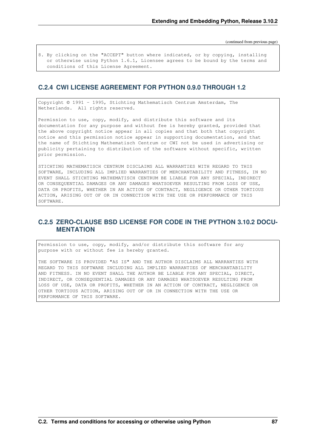8. By clicking on the "ACCEPT" button where indicated, or by copying, installing or otherwise using Python 1.6.1, Licensee agrees to be bound by the terms and conditions of this License Agreement.

### **C.2.4 CWI LICENSE AGREEMENT FOR PYTHON 0.9.0 THROUGH 1.2**

Copyright © 1991 - 1995, Stichting Mathematisch Centrum Amsterdam, The Netherlands. All rights reserved.

Permission to use, copy, modify, and distribute this software and its documentation for any purpose and without fee is hereby granted, provided that the above copyright notice appear in all copies and that both that copyright notice and this permission notice appear in supporting documentation, and that the name of Stichting Mathematisch Centrum or CWI not be used in advertising or publicity pertaining to distribution of the software without specific, written prior permission.

STICHTING MATHEMATISCH CENTRUM DISCLAIMS ALL WARRANTIES WITH REGARD TO THIS SOFTWARE, INCLUDING ALL IMPLIED WARRANTIES OF MERCHANTABILITY AND FITNESS, IN NO EVENT SHALL STICHTING MATHEMATISCH CENTRUM BE LIABLE FOR ANY SPECIAL, INDIRECT OR CONSEQUENTIAL DAMAGES OR ANY DAMAGES WHATSOEVER RESULTING FROM LOSS OF USE, DATA OR PROFITS, WHETHER IN AN ACTION OF CONTRACT, NEGLIGENCE OR OTHER TORTIOUS ACTION, ARISING OUT OF OR IN CONNECTION WITH THE USE OR PERFORMANCE OF THIS SOFTWARE.

### **C.2.5 ZERO-CLAUSE BSD LICENSE FOR CODE IN THE PYTHON 3.10.2 DOCU-MENTATION**

Permission to use, copy, modify, and/or distribute this software for any purpose with or without fee is hereby granted.

THE SOFTWARE IS PROVIDED "AS IS" AND THE AUTHOR DISCLAIMS ALL WARRANTIES WITH REGARD TO THIS SOFTWARE INCLUDING ALL IMPLIED WARRANTIES OF MERCHANTABILITY AND FITNESS. IN NO EVENT SHALL THE AUTHOR BE LIABLE FOR ANY SPECIAL, DIRECT, INDIRECT, OR CONSEQUENTIAL DAMAGES OR ANY DAMAGES WHATSOEVER RESULTING FROM LOSS OF USE, DATA OR PROFITS, WHETHER IN AN ACTION OF CONTRACT, NEGLIGENCE OR OTHER TORTIOUS ACTION, ARISING OUT OF OR IN CONNECTION WITH THE USE OR PERFORMANCE OF THIS SOFTWARE.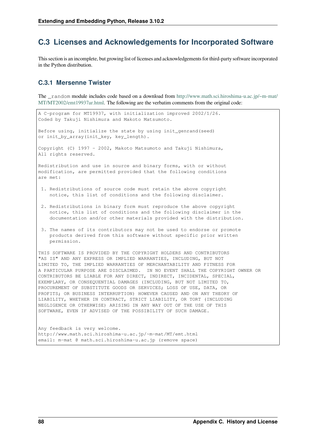# **C.3 Licenses and Acknowledgements for Incorporated Software**

<span id="page-91-0"></span>This section is an incomplete, but growing list of licenses and acknowledgements for third-party software incorporated in the Python distribution.

### **C.3.1 Mersenne Twister**

The random module includes code based on a download from http://www.math.sci.hiroshima-u.ac.jp/~m-mat/ MT/MT2002/emt19937ar.html. The following are the verbatim comments from the original code:

```
A C-program for MT19937, with initialization improved 2002/1/26.
Coded by Takuji Nishimura and Makoto Matsumoto.
Before using, initialize the state by using init_genrand(seed)
or init_by_array(init_key, key_length).
Copyright (C) 1997 - 2002, Makoto Matsumoto and Takuji Nishimura,
All rights reserved.
Redistribution and use in source and binary forms, with or without
modification, are permitted provided that the following conditions
are met:
1. Redistributions of source code must retain the above copyright
   notice, this list of conditions and the following disclaimer.
 2. Redistributions in binary form must reproduce the above copyright
   notice, this list of conditions and the following disclaimer in the
   documentation and/or other materials provided with the distribution.
3. The names of its contributors may not be used to endorse or promote
    products derived from this software without specific prior written
   permission.
THIS SOFTWARE IS PROVIDED BY THE COPYRIGHT HOLDERS AND CONTRIBUTORS
"AS IS" AND ANY EXPRESS OR IMPLIED WARRANTIES, INCLUDING, BUT NOT
LIMITED TO, THE IMPLIED WARRANTIES OF MERCHANTABILITY AND FITNESS FOR
A PARTICULAR PURPOSE ARE DISCLAIMED. IN NO EVENT SHALL THE COPYRIGHT OWNER OR
CONTRIBUTORS BE LIABLE FOR ANY DIRECT, INDIRECT, INCIDENTAL, SPECIAL,
EXEMPLARY, OR CONSEQUENTIAL DAMAGES (INCLUDING, BUT NOT LIMITED TO,
PROCUREMENT OF SUBSTITUTE GOODS OR SERVICES; LOSS OF USE, DATA, OR
PROFITS; OR BUSINESS INTERRUPTION) HOWEVER CAUSED AND ON ANY THEORY OF
LIABILITY, WHETHER IN CONTRACT, STRICT LIABILITY, OR TORT (INCLUDING
NEGLIGENCE OR OTHERWISE) ARISING IN ANY WAY OUT OF THE USE OF THIS
SOFTWARE, EVEN IF ADVISED OF THE POSSIBILITY OF SUCH DAMAGE.
Any feedback is very welcome.
http://www.math.sci.hiroshima-u.ac.jp/~m-mat/MT/emt.html
```
email: m-mat @ math.sci.hiroshima-u.ac.jp (remove space)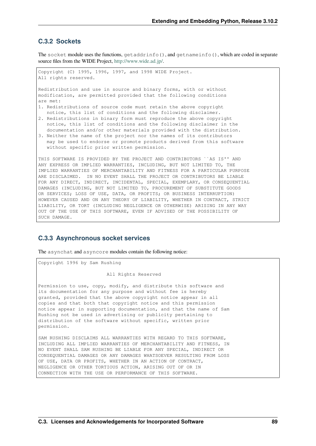### **C.3.2 Sockets**

The socket module uses the functions, getaddrinfo(), and getnameinfo(), which are coded in separate source files from the WIDE Project, http://www.wide.ad.jp/.

```
Copyright (C) 1995, 1996, 1997, and 1998 WIDE Project.
All rights reserved.
Redistribution and use in source and binary forms, with or without
modification, are permitted provided that the following conditions
are met:
1. Redistributions of source code must retain the above copyright
   notice, this list of conditions and the following disclaimer.
2. Redistributions in binary form must reproduce the above copyright
  notice, this list of conditions and the following disclaimer in the
  documentation and/or other materials provided with the distribution.
3. Neither the name of the project nor the names of its contributors
  may be used to endorse or promote products derived from this software
  without specific prior written permission.
THIS SOFTWARE IS PROVIDED BY THE PROJECT AND CONTRIBUTORS ``AS IS'' AND
ANY EXPRESS OR IMPLIED WARRANTIES, INCLUDING, BUT NOT LIMITED TO, THE
IMPLIED WARRANTIES OF MERCHANTABILITY AND FITNESS FOR A PARTICULAR PURPOSE
ARE DISCLAIMED. IN NO EVENT SHALL THE PROJECT OR CONTRIBUTORS BE LIABLE
FOR ANY DIRECT, INDIRECT, INCIDENTAL, SPECIAL, EXEMPLARY, OR CONSEQUENTIAL
DAMAGES (INCLUDING, BUT NOT LIMITED TO, PROCUREMENT OF SUBSTITUTE GOODS
OR SERVICES; LOSS OF USE, DATA, OR PROFITS; OR BUSINESS INTERRUPTION)
HOWEVER CAUSED AND ON ANY THEORY OF LIABILITY, WHETHER IN CONTRACT, STRICT
LIABILITY, OR TORT (INCLUDING NEGLIGENCE OR OTHERWISE) ARISING IN ANY WAY
OUT OF THE USE OF THIS SOFTWARE, EVEN IF ADVISED OF THE POSSIBILITY OF
SUCH DAMAGE.
```
#### **C.3.3 Asynchronous socket services**

The asynchat and asyncore modules contain the following notice:

Copyright 1996 by Sam Rushing

All Rights Reserved

Permission to use, copy, modify, and distribute this software and its documentation for any purpose and without fee is hereby granted, provided that the above copyright notice appear in all copies and that both that copyright notice and this permission notice appear in supporting documentation, and that the name of Sam Rushing not be used in advertising or publicity pertaining to distribution of the software without specific, written prior permission.

SAM RUSHING DISCLAIMS ALL WARRANTIES WITH REGARD TO THIS SOFTWARE, INCLUDING ALL IMPLIED WARRANTIES OF MERCHANTABILITY AND FITNESS, IN NO EVENT SHALL SAM RUSHING BE LIABLE FOR ANY SPECIAL, INDIRECT OR CONSEQUENTIAL DAMAGES OR ANY DAMAGES WHATSOEVER RESULTING FROM LOSS OF USE, DATA OR PROFITS, WHETHER IN AN ACTION OF CONTRACT, NEGLIGENCE OR OTHER TORTIOUS ACTION, ARISING OUT OF OR IN CONNECTION WITH THE USE OR PERFORMANCE OF THIS SOFTWARE.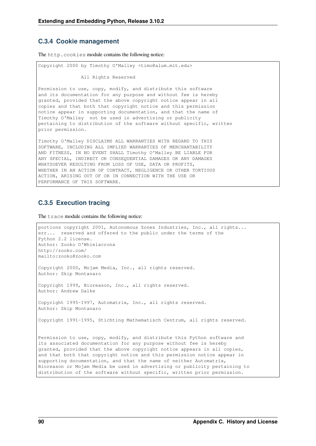#### **C.3.4 Cookie management**

The http.cookies module contains the following notice:

```
Copyright 2000 by Timothy O'Malley <timo@alum.mit.edu>
               All Rights Reserved
Permission to use, copy, modify, and distribute this software
and its documentation for any purpose and without fee is hereby
granted, provided that the above copyright notice appear in all
copies and that both that copyright notice and this permission
notice appear in supporting documentation, and that the name of
Timothy O'Malley not be used in advertising or publicity
pertaining to distribution of the software without specific, written
prior permission.
Timothy O'Malley DISCLAIMS ALL WARRANTIES WITH REGARD TO THIS
SOFTWARE, INCLUDING ALL IMPLIED WARRANTIES OF MERCHANTABILITY
AND FITNESS, IN NO EVENT SHALL Timothy O'Malley BE LIABLE FOR
ANY SPECIAL, INDIRECT OR CONSEQUENTIAL DAMAGES OR ANY DAMAGES
WHATSOEVER RESULTING FROM LOSS OF USE, DATA OR PROFITS,
WHETHER IN AN ACTION OF CONTRACT, NEGLIGENCE OR OTHER TORTIOUS
ACTION, ARISING OUT OF OR IN CONNECTION WITH THE USE OR
PERFORMANCE OF THIS SOFTWARE.
```
#### **C.3.5 Execution tracing**

The trace module contains the following notice:

```
portions copyright 2001, Autonomous Zones Industries, Inc., all rights...
err... reserved and offered to the public under the terms of the
Python 2.2 license.
Author: Zooko O'Whielacronx
http://zooko.com/
mailto:zooko@zooko.com
Copyright 2000, Mojam Media, Inc., all rights reserved.
Author: Skip Montanaro
Copyright 1999, Bioreason, Inc., all rights reserved.
Author: Andrew Dalke
Copyright 1995-1997, Automatrix, Inc., all rights reserved.
Author: Skip Montanaro
Copyright 1991-1995, Stichting Mathematisch Centrum, all rights reserved.
Permission to use, copy, modify, and distribute this Python software and
its associated documentation for any purpose without fee is hereby
granted, provided that the above copyright notice appears in all copies,
and that both that copyright notice and this permission notice appear in
supporting documentation, and that the name of neither Automatrix,
Bioreason or Mojam Media be used in advertising or publicity pertaining to
distribution of the software without specific, written prior permission.
```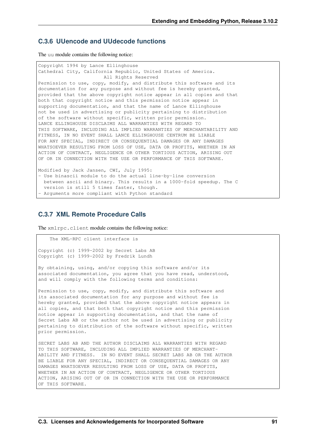#### **C.3.6 UUencode and UUdecode functions**

The uu module contains the following notice:

```
Copyright 1994 by Lance Ellinghouse
Cathedral City, California Republic, United States of America.
                       All Rights Reserved
Permission to use, copy, modify, and distribute this software and its
documentation for any purpose and without fee is hereby granted,
provided that the above copyright notice appear in all copies and that
both that copyright notice and this permission notice appear in
supporting documentation, and that the name of Lance Ellinghouse
not be used in advertising or publicity pertaining to distribution
of the software without specific, written prior permission.
LANCE ELLINGHOUSE DISCLAIMS ALL WARRANTIES WITH REGARD TO
THIS SOFTWARE, INCLUDING ALL IMPLIED WARRANTIES OF MERCHANTABILITY AND
FITNESS, IN NO EVENT SHALL LANCE ELLINGHOUSE CENTRUM BE LIABLE
FOR ANY SPECIAL, INDIRECT OR CONSEQUENTIAL DAMAGES OR ANY DAMAGES
WHATSOEVER RESULTING FROM LOSS OF USE, DATA OR PROFITS, WHETHER IN AN
ACTION OF CONTRACT, NEGLIGENCE OR OTHER TORTIOUS ACTION, ARISING OUT
OF OR IN CONNECTION WITH THE USE OR PERFORMANCE OF THIS SOFTWARE.
Modified by Jack Jansen, CWI, July 1995:
- Use binascii module to do the actual line-by-line conversion
 between ascii and binary. This results in a 1000-fold speedup. The C
 version is still 5 times faster, though.
- Arguments more compliant with Python standard
```
### **C.3.7 XML Remote Procedure Calls**

The xmlrpc.client module contains the following notice:

The XML-RPC client interface is

Copyright (c) 1999-2002 by Secret Labs AB Copyright (c) 1999-2002 by Fredrik Lundh

By obtaining, using, and/or copying this software and/or its associated documentation, you agree that you have read, understood, and will comply with the following terms and conditions:

Permission to use, copy, modify, and distribute this software and its associated documentation for any purpose and without fee is hereby granted, provided that the above copyright notice appears in all copies, and that both that copyright notice and this permission notice appear in supporting documentation, and that the name of Secret Labs AB or the author not be used in advertising or publicity pertaining to distribution of the software without specific, written prior permission.

SECRET LABS AB AND THE AUTHOR DISCLAIMS ALL WARRANTIES WITH REGARD TO THIS SOFTWARE, INCLUDING ALL IMPLIED WARRANTIES OF MERCHANT-ABILITY AND FITNESS. IN NO EVENT SHALL SECRET LABS AB OR THE AUTHOR BE LIABLE FOR ANY SPECIAL, INDIRECT OR CONSEQUENTIAL DAMAGES OR ANY DAMAGES WHATSOEVER RESULTING FROM LOSS OF USE, DATA OR PROFITS, WHETHER IN AN ACTION OF CONTRACT, NEGLIGENCE OR OTHER TORTIOUS ACTION, ARISING OUT OF OR IN CONNECTION WITH THE USE OR PERFORMANCE OF THIS SOFTWARE.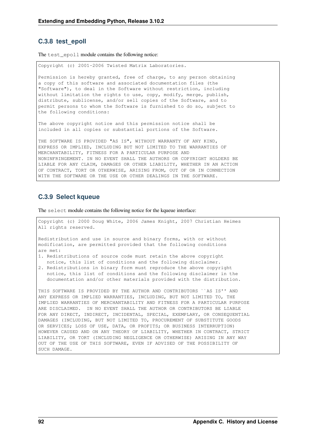#### **C.3.8 test\_epoll**

The test\_epoll module contains the following notice:

Copyright (c) 2001-2006 Twisted Matrix Laboratories.

Permission is hereby granted, free of charge, to any person obtaining a copy of this software and associated documentation files (the "Software"), to deal in the Software without restriction, including without limitation the rights to use, copy, modify, merge, publish, distribute, sublicense, and/or sell copies of the Software, and to permit persons to whom the Software is furnished to do so, subject to the following conditions:

The above copyright notice and this permission notice shall be included in all copies or substantial portions of the Software.

THE SOFTWARE IS PROVIDED "AS IS", WITHOUT WARRANTY OF ANY KIND, EXPRESS OR IMPLIED, INCLUDING BUT NOT LIMITED TO THE WARRANTIES OF MERCHANTABILITY, FITNESS FOR A PARTICULAR PURPOSE AND NONINFRINGEMENT. IN NO EVENT SHALL THE AUTHORS OR COPYRIGHT HOLDERS BE LIABLE FOR ANY CLAIM, DAMAGES OR OTHER LIABILITY, WHETHER IN AN ACTION OF CONTRACT, TORT OR OTHERWISE, ARISING FROM, OUT OF OR IN CONNECTION WITH THE SOFTWARE OR THE USE OR OTHER DEALINGS IN THE SOFTWARE.

#### **C.3.9 Select kqueue**

The select module contains the following notice for the kqueue interface:

Copyright (c) 2000 Doug White, 2006 James Knight, 2007 Christian Heimes All rights reserved.

Redistribution and use in source and binary forms, with or without modification, are permitted provided that the following conditions are met:

- 1. Redistributions of source code must retain the above copyright notice, this list of conditions and the following disclaimer.
- 2. Redistributions in binary form must reproduce the above copyright notice, this list of conditions and the following disclaimer in the documentation and/or other materials provided with the distribution.

THIS SOFTWARE IS PROVIDED BY THE AUTHOR AND CONTRIBUTORS ``AS IS'' AND ANY EXPRESS OR IMPLIED WARRANTIES, INCLUDING, BUT NOT LIMITED TO, THE IMPLIED WARRANTIES OF MERCHANTABILITY AND FITNESS FOR A PARTICULAR PURPOSE ARE DISCLAIMED. IN NO EVENT SHALL THE AUTHOR OR CONTRIBUTORS BE LIABLE FOR ANY DIRECT, INDIRECT, INCIDENTAL, SPECIAL, EXEMPLARY, OR CONSEQUENTIAL DAMAGES (INCLUDING, BUT NOT LIMITED TO, PROCUREMENT OF SUBSTITUTE GOODS OR SERVICES; LOSS OF USE, DATA, OR PROFITS; OR BUSINESS INTERRUPTION) HOWEVER CAUSED AND ON ANY THEORY OF LIABILITY, WHETHER IN CONTRACT, STRICT LIABILITY, OR TORT (INCLUDING NEGLIGENCE OR OTHERWISE) ARISING IN ANY WAY OUT OF THE USE OF THIS SOFTWARE, EVEN IF ADVISED OF THE POSSIBILITY OF SUCH DAMAGE.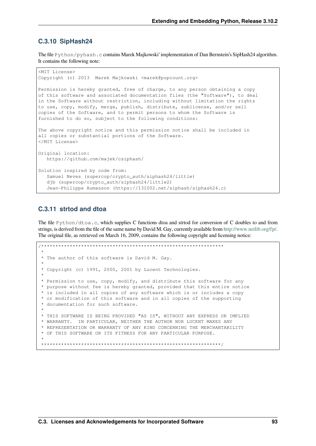### **C.3.10 SipHash24**

The file Python/pyhash.c contains Marek Majkowski' implementation of Dan Bernstein's SipHash24 algorithm. It contains the following note:

```
<MIT License>
Copyright (c) 2013 Marek Majkowski <marek@popcount.org>
Permission is hereby granted, free of charge, to any person obtaining a copy
of this software and associated documentation files (the "Software"), to deal
in the Software without restriction, including without limitation the rights
to use, copy, modify, merge, publish, distribute, sublicense, and/or sell
copies of the Software, and to permit persons to whom the Software is
furnished to do so, subject to the following conditions:
The above copyright notice and this permission notice shall be included in
all copies or substantial portions of the Software.
</MIT License>
Original location:
  https://github.com/majek/csiphash/
Solution inspired by code from:
  Samuel Neves (supercop/crypto_auth/siphash24/little)
  djb (supercop/crypto_auth/siphash24/little2)
  Jean-Philippe Aumasson (https://131002.net/siphash/siphash24.c)
```
#### **C.3.11 strtod and dtoa**

The file Python/dtoa.c, which supplies C functions dtoa and strtod for conversion of C doubles to and from strings, is derived from the file of the same name by David M. Gay, currently available from http://www.netlib.org/fp/. The original file, as retrieved on March 16, 2009, contains the following copyright and licensing notice:

```
/****************************************************************
 *
* The author of this software is David M. Gay.
 *
* Copyright (c) 1991, 2000, 2001 by Lucent Technologies.
 *
* Permission to use, copy, modify, and distribute this software for any
* purpose without fee is hereby granted, provided that this entire notice
* is included in all copies of any software which is or includes a copy
* or modification of this software and in all copies of the supporting
* documentation for such software.
 *
* THIS SOFTWARE IS BEING PROVIDED "AS IS", WITHOUT ANY EXPRESS OR IMPLIED
* WARRANTY. IN PARTICULAR, NEITHER THE AUTHOR NOR LUCENT MAKES ANY
* REPRESENTATION OR WARRANTY OF ANY KIND CONCERNING THE MERCHANTABILITY
* OF THIS SOFTWARE OR ITS FITNESS FOR ANY PARTICULAR PURPOSE.
 *
 ***************************************************************/
```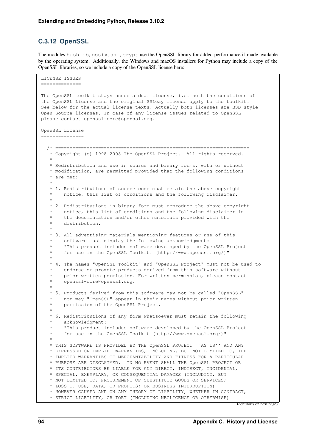#### **C.3.12 OpenSSL**

The modules hashlib, posix, ssl, crypt use the OpenSSL library for added performance if made available by the operating system. Additionally, the Windows and macOS installers for Python may include a copy of the OpenSSL libraries, so we include a copy of the OpenSSL license here:

```
LICENSE ISSUES
==============
The OpenSSL toolkit stays under a dual license, i.e. both the conditions of
the OpenSSL License and the original SSLeay license apply to the toolkit.
See below for the actual license texts. Actually both licenses are BSD-style
Open Source licenses. In case of any license issues related to OpenSSL
please contact openssl-core@openssl.org.
OpenSSL License
---------------
  /* ====================================================================
   * Copyright (c) 1998-2008 The OpenSSL Project. All rights reserved.
   *
   * Redistribution and use in source and binary forms, with or without
   * modification, are permitted provided that the following conditions
   * are met:
   *
   * 1. Redistributions of source code must retain the above copyright
       notice, this list of conditions and the following disclaimer.
   *
   * 2. Redistributions in binary form must reproduce the above copyright
        notice, this list of conditions and the following disclaimer in
        the documentation and/or other materials provided with the
        distribution.
   *
    3. All advertising materials mentioning features or use of this
        software must display the following acknowledgment:
        "This product includes software developed by the OpenSSL Project
        for use in the OpenSSL Toolkit. (http://www.openssl.org/)"
   *
   * 4. The names "OpenSSL Toolkit" and "OpenSSL Project" must not be used to
        endorse or promote products derived from this software without
        prior written permission. For written permission, please contact
        openssl-core@openssl.org.
   *
   * 5. Products derived from this software may not be called "OpenSSL"
        nor may "OpenSSL" appear in their names without prior written
        permission of the OpenSSL Project.
   *
   * 6. Redistributions of any form whatsoever must retain the following
       acknowledgment:
        * "This product includes software developed by the OpenSSL Project
        for use in the OpenSSL Toolkit (http://www.openssl.org/)"
   *
   * THIS SOFTWARE IS PROVIDED BY THE OpenSSL PROJECT ``AS IS'' AND ANY
   * EXPRESSED OR IMPLIED WARRANTIES, INCLUDING, BUT NOT LIMITED TO, THE
   * IMPLIED WARRANTIES OF MERCHANTABILITY AND FITNESS FOR A PARTICULAR
   * PURPOSE ARE DISCLAIMED. IN NO EVENT SHALL THE OpenSSL PROJECT OR
   * ITS CONTRIBUTORS BE LIABLE FOR ANY DIRECT, INDIRECT, INCIDENTAL,
   * SPECIAL, EXEMPLARY, OR CONSEQUENTIAL DAMAGES (INCLUDING, BUT
   * NOT LIMITED TO, PROCUREMENT OF SUBSTITUTE GOODS OR SERVICES;
   * LOSS OF USE, DATA, OR PROFITS; OR BUSINESS INTERRUPTION)
   * HOWEVER CAUSED AND ON ANY THEORY OF LIABILITY, WHETHER IN CONTRACT,
   * STRICT LIABILITY, OR TORT (INCLUDING NEGLIGENCE OR OTHERWISE)
```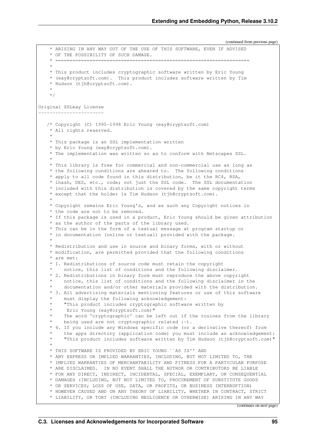\* ARISING IN ANY WAY OUT OF THE USE OF THIS SOFTWARE, EVEN IF ADVISED \* OF THE POSSIBILITY OF SUCH DAMAGE. \* ==================================================================== \* \* This product includes cryptographic software written by Eric Young \* (eay@cryptsoft.com). This product includes software written by Tim \* Hudson (tjh@cryptsoft.com). \* \*/ Original SSLeay License ----------------------- /\* Copyright (C) 1995-1998 Eric Young (eay@cryptsoft.com) \* All rights reserved. \* \* This package is an SSL implementation written \* by Eric Young (eay@cryptsoft.com). \* The implementation was written so as to conform with Netscapes SSL. \* \* This library is free for commercial and non-commercial use as long as \* the following conditions are aheared to. The following conditions \* apply to all code found in this distribution, be it the RC4, RSA, \* lhash, DES, etc., code; not just the SSL code. The SSL documentation \* included with this distribution is covered by the same copyright terms \* except that the holder is Tim Hudson (tjh@cryptsoft.com). \* \* Copyright remains Eric Young's, and as such any Copyright notices in \* the code are not to be removed. \* If this package is used in a product, Eric Young should be given attribution \* as the author of the parts of the library used. \* This can be in the form of a textual message at program startup or \* in documentation (online or textual) provided with the package. \* \* Redistribution and use in source and binary forms, with or without \* modification, are permitted provided that the following conditions \* are met: \* 1. Redistributions of source code must retain the copyright notice, this list of conditions and the following disclaimer. \* 2. Redistributions in binary form must reproduce the above copyright notice, this list of conditions and the following disclaimer in the documentation and/or other materials provided with the distribution. \* 3. All advertising materials mentioning features or use of this software must display the following acknowledgement: "This product includes cryptographic software written by Eric Young (eay@cryptsoft.com)" The word 'cryptographic' can be left out if the rouines from the library being used are not cryptographic related  $:-)$ . \* 4. If you include any Windows specific code (or a derivative thereof) from the apps directory (application code) you must include an acknowledgement: \* "This product includes software written by Tim Hudson (tjh@cryptsoft.com)" \* \* THIS SOFTWARE IS PROVIDED BY ERIC YOUNG ``AS IS'' AND \* ANY EXPRESS OR IMPLIED WARRANTIES, INCLUDING, BUT NOT LIMITED TO, THE \* IMPLIED WARRANTIES OF MERCHANTABILITY AND FITNESS FOR A PARTICULAR PURPOSE \* ARE DISCLAIMED. IN NO EVENT SHALL THE AUTHOR OR CONTRIBUTORS BE LIABLE \* FOR ANY DIRECT, INDIRECT, INCIDENTAL, SPECIAL, EXEMPLARY, OR CONSEQUENTIAL \* DAMAGES (INCLUDING, BUT NOT LIMITED TO, PROCUREMENT OF SUBSTITUTE GOODS \* OR SERVICES; LOSS OF USE, DATA, OR PROFITS; OR BUSINESS INTERRUPTION) \* HOWEVER CAUSED AND ON ANY THEORY OF LIABILITY, WHETHER IN CONTRACT, STRICT \* LIABILITY, OR TORT (INCLUDING NEGLIGENCE OR OTHERWISE) ARISING IN ANY WAY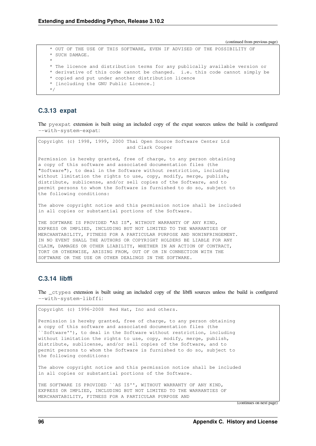```
* OUT OF THE USE OF THIS SOFTWARE, EVEN IF ADVISED OF THE POSSIBILITY OF
* SUCH DAMAGE.
*
* The licence and distribution terms for any publically available version or
* derivative of this code cannot be changed. i.e. this code cannot simply be
* copied and put under another distribution licence
* [including the GNU Public Licence.]
*/
```
#### **C.3.13 expat**

The pyexpat extension is built using an included copy of the expat sources unless the build is configured --with-system-expat:

Copyright (c) 1998, 1999, 2000 Thai Open Source Software Center Ltd and Clark Cooper Permission is hereby granted, free of charge, to any person obtaining a copy of this software and associated documentation files (the "Software"), to deal in the Software without restriction, including without limitation the rights to use, copy, modify, merge, publish,

distribute, sublicense, and/or sell copies of the Software, and to permit persons to whom the Software is furnished to do so, subject to the following conditions:

The above copyright notice and this permission notice shall be included in all copies or substantial portions of the Software.

THE SOFTWARE IS PROVIDED "AS IS", WITHOUT WARRANTY OF ANY KIND, EXPRESS OR IMPLIED, INCLUDING BUT NOT LIMITED TO THE WARRANTIES OF MERCHANTABILITY, FITNESS FOR A PARTICULAR PURPOSE AND NONINFRINGEMENT. IN NO EVENT SHALL THE AUTHORS OR COPYRIGHT HOLDERS BE LIABLE FOR ANY CLAIM, DAMAGES OR OTHER LIABILITY, WHETHER IN AN ACTION OF CONTRACT, TORT OR OTHERWISE, ARISING FROM, OUT OF OR IN CONNECTION WITH THE SOFTWARE OR THE USE OR OTHER DEALINGS IN THE SOFTWARE.

#### **C.3.14 libffi**

The \_ctypes extension is built using an included copy of the libffi sources unless the build is configured --with-system-libffi:

Copyright (c) 1996-2008 Red Hat, Inc and others.

Permission is hereby granted, free of charge, to any person obtaining a copy of this software and associated documentation files (the ``Software''), to deal in the Software without restriction, including without limitation the rights to use, copy, modify, merge, publish, distribute, sublicense, and/or sell copies of the Software, and to permit persons to whom the Software is furnished to do so, subject to the following conditions:

The above copyright notice and this permission notice shall be included in all copies or substantial portions of the Software.

THE SOFTWARE IS PROVIDED ``AS IS'', WITHOUT WARRANTY OF ANY KIND, EXPRESS OR IMPLIED, INCLUDING BUT NOT LIMITED TO THE WARRANTIES OF MERCHANTABILITY, FITNESS FOR A PARTICULAR PURPOSE AND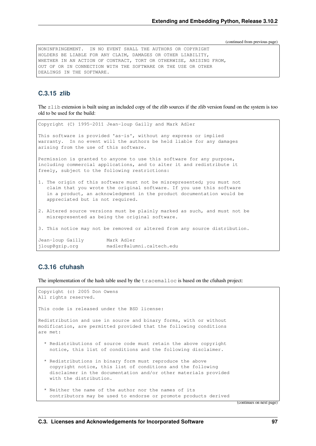```
NONINFRINGEMENT. IN NO EVENT SHALL THE AUTHORS OR COPYRIGHT
HOLDERS BE LIABLE FOR ANY CLAIM, DAMAGES OR OTHER LIABILITY,
WHETHER IN AN ACTION OF CONTRACT, TORT OR OTHERWISE, ARISING FROM,
OUT OF OR IN CONNECTION WITH THE SOFTWARE OR THE USE OR OTHER
DEALINGS IN THE SOFTWARE.
```
#### **C.3.15 zlib**

The zlib extension is built using an included copy of the zlib sources if the zlib version found on the system is too old to be used for the build:

```
Copyright (C) 1995-2011 Jean-loup Gailly and Mark Adler
This software is provided 'as-is', without any express or implied
warranty. In no event will the authors be held liable for any damages
arising from the use of this software.
Permission is granted to anyone to use this software for any purpose,
including commercial applications, and to alter it and redistribute it
freely, subject to the following restrictions:
1. The origin of this software must not be misrepresented; you must not
  claim that you wrote the original software. If you use this software
  in a product, an acknowledgment in the product documentation would be
  appreciated but is not required.
2. Altered source versions must be plainly marked as such, and must not be
  misrepresented as being the original software.
3. This notice may not be removed or altered from any source distribution.
Jean-loup Gailly Mark Adler
jloup@gzip.org madler@alumni.caltech.edu
```
#### **C.3.16 cfuhash**

The implementation of the hash table used by the tracemalloc is based on the cfuhash project:

```
Copyright (c) 2005 Don Owens
All rights reserved.
This code is released under the BSD license:
Redistribution and use in source and binary forms, with or without
modification, are permitted provided that the following conditions
are met:
  * Redistributions of source code must retain the above copyright
   notice, this list of conditions and the following disclaimer.
  * Redistributions in binary form must reproduce the above
   copyright notice, this list of conditions and the following
    disclaimer in the documentation and/or other materials provided
   with the distribution.
  * Neither the name of the author nor the names of its
    contributors may be used to endorse or promote products derived
```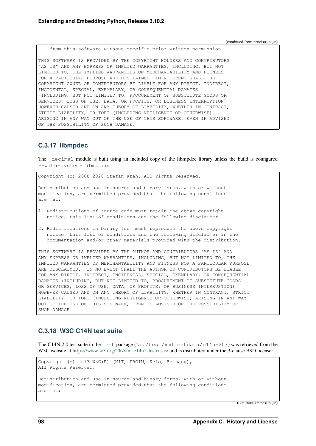from this software without specific prior written permission. THIS SOFTWARE IS PROVIDED BY THE COPYRIGHT HOLDERS AND CONTRIBUTORS "AS IS" AND ANY EXPRESS OR IMPLIED WARRANTIES, INCLUDING, BUT NOT LIMITED TO, THE IMPLIED WARRANTIES OF MERCHANTABILITY AND FITNESS FOR A PARTICULAR PURPOSE ARE DISCLAIMED. IN NO EVENT SHALL THE COPYRIGHT OWNER OR CONTRIBUTORS BE LIABLE FOR ANY DIRECT, INDIRECT, INCIDENTAL, SPECIAL, EXEMPLARY, OR CONSEQUENTIAL DAMAGES (INCLUDING, BUT NOT LIMITED TO, PROCUREMENT OF SUBSTITUTE GOODS OR SERVICES; LOSS OF USE, DATA, OR PROFITS; OR BUSINESS INTERRUPTION) HOWEVER CAUSED AND ON ANY THEORY OF LIABILITY, WHETHER IN CONTRACT, STRICT LIABILITY, OR TORT (INCLUDING NEGLIGENCE OR OTHERWISE) ARISING IN ANY WAY OUT OF THE USE OF THIS SOFTWARE, EVEN IF ADVISED OF THE POSSIBILITY OF SUCH DAMAGE.

### **C.3.17 libmpdec**

The decimal module is built using an included copy of the libmpdec library unless the build is configured --with-system-libmpdec:

Copyright (c) 2008-2020 Stefan Krah. All rights reserved.

Redistribution and use in source and binary forms, with or without modification, are permitted provided that the following conditions are met:

- 1. Redistributions of source code must retain the above copyright notice, this list of conditions and the following disclaimer.
- 2. Redistributions in binary form must reproduce the above copyright notice, this list of conditions and the following disclaimer in the documentation and/or other materials provided with the distribution.

THIS SOFTWARE IS PROVIDED BY THE AUTHOR AND CONTRIBUTORS "AS IS" AND ANY EXPRESS OR IMPLIED WARRANTIES, INCLUDING, BUT NOT LIMITED TO, THE IMPLIED WARRANTIES OF MERCHANTABILITY AND FITNESS FOR A PARTICULAR PURPOSE ARE DISCLAIMED. IN NO EVENT SHALL THE AUTHOR OR CONTRIBUTORS BE LIABLE FOR ANY DIRECT, INDIRECT, INCIDENTAL, SPECIAL, EXEMPLARY, OR CONSEQUENTIAL DAMAGES (INCLUDING, BUT NOT LIMITED TO, PROCUREMENT OF SUBSTITUTE GOODS OR SERVICES; LOSS OF USE, DATA, OR PROFITS; OR BUSINESS INTERRUPTION) HOWEVER CAUSED AND ON ANY THEORY OF LIABILITY, WHETHER IN CONTRACT, STRICT LIABILITY, OR TORT (INCLUDING NEGLIGENCE OR OTHERWISE) ARISING IN ANY WAY OUT OF THE USE OF THIS SOFTWARE, EVEN IF ADVISED OF THE POSSIBILITY OF SUCH DAMAGE.

#### **C.3.18 W3C C14N test suite**

The C14N 2.0 test suite in the test package  $(\text{Lib}/\text{test}/\text{xmltestdata}/c14n-20/)$  was retrieved from the W3C website at https://www.w3.org/TR/xml-c14n2-testcases/ and is distributed under the 3-clause BSD license:

```
Copyright (c) 2013 W3C(R) (MIT, ERCIM, Keio, Beihang),
All Rights Reserved.
Redistribution and use in source and binary forms, with or without
modification, are permitted provided that the following conditions
are met:
```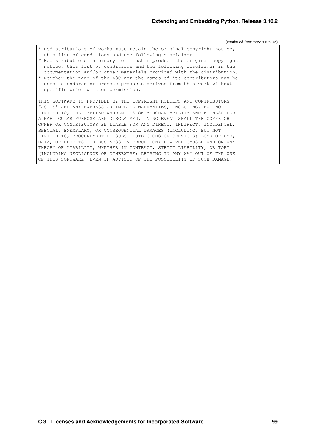\* Redistributions of works must retain the original copyright notice, this list of conditions and the following disclaimer. \* Redistributions in binary form must reproduce the original copyright notice, this list of conditions and the following disclaimer in the documentation and/or other materials provided with the distribution. \* Neither the name of the W3C nor the names of its contributors may be used to endorse or promote products derived from this work without specific prior written permission. THIS SOFTWARE IS PROVIDED BY THE COPYRIGHT HOLDERS AND CONTRIBUTORS "AS IS" AND ANY EXPRESS OR IMPLIED WARRANTIES, INCLUDING, BUT NOT LIMITED TO, THE IMPLIED WARRANTIES OF MERCHANTABILITY AND FITNESS FOR A PARTICULAR PURPOSE ARE DISCLAIMED. IN NO EVENT SHALL THE COPYRIGHT OWNER OR CONTRIBUTORS BE LIABLE FOR ANY DIRECT, INDIRECT, INCIDENTAL, SPECIAL, EXEMPLARY, OR CONSEQUENTIAL DAMAGES (INCLUDING, BUT NOT LIMITED TO, PROCUREMENT OF SUBSTITUTE GOODS OR SERVICES; LOSS OF USE, DATA, OR PROFITS; OR BUSINESS INTERRUPTION) HOWEVER CAUSED AND ON ANY THEORY OF LIABILITY, WHETHER IN CONTRACT, STRICT LIABILITY, OR TORT (INCLUDING NEGLIGENCE OR OTHERWISE) ARISING IN ANY WAY OUT OF THE USE OF THIS SOFTWARE, EVEN IF ADVISED OF THE POSSIBILITY OF SUCH DAMAGE.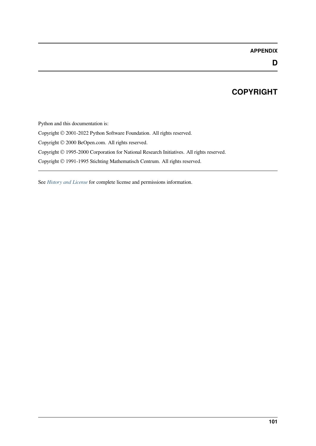## **COPYRIGHT**

Python and this documentation is:

Copyright © 2001-2022 Python Software Foundation. All rights reserved.

Copyright © 2000 BeOpen.com. All rights reserved.

Copyright © 1995-2000 Corporation for National Research Initiatives. All rights reserved.

Copyright © 1991-1995 Stichting Mathematisch Centrum. All rights reserved.

See *History and License* for complete license and permissions information.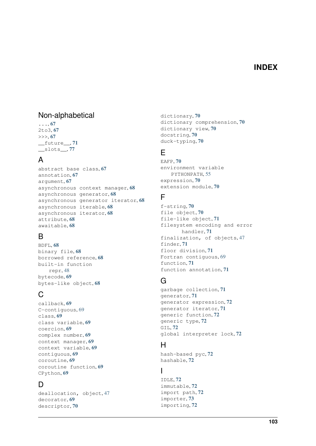### **INDEX**

### Non-alphabetical

```
..., 67
2to3, 67
>>>, 67
__future__, 71
__slots__, 77
```
### A

```
abstract base class, 67
annotation, 67
argument, 67
asynchronous context manager, 68
asynchronous generator, 68
asynchronous generator iterator, 68
asynchronous iterable, 68
asynchronous iterator, 68
attribute, 68
awaitable, 68
```
### B

BDFL, **68** binary fi[le](#page-71-3), **68** borrowed reference, **68** built-in function r[epr](#page-71-3), 48 bytecode, **69** bytes-like [obj](#page-71-3)ect, **6[8](#page-71-3)**

# C

```
callback, 69
C-contiguous, 69
class, 69
class variable, 69
coercion, 69
complex number, 69
context manager, 69
context variable, 69
contiguous, 69
coroutine, 69
coroutine function, 69
CPython, 69
```
# D

deallocation, obje[ct](#page-72-2), 47 decorat[or](#page-72-2), **69** descriptor, **70**

dictionary, **70** dictionary comprehension, **70** dictionary view, **70** docstring, **70** duck-typing, **[7](#page-73-3)0**

## E

EAFP, **70** environment [va](#page-73-3)riable PYTHONPATH, 55 expression, **70** exte[nsi](#page-73-3)on module, **70**

### F

```
f-string, 70
file object, 70
file-like object, 71
filesystem encoding and error
       handler, 71
finalization, of objects, 47
finder, 71
floor division, 71
Fortran contiguous, 69
function, 71
function annotation, 71
```
# G

```
garbage collection, 71
generator, 71
generator expression, 72
generator iterator, 71
generic function, 72
generic type, 72
GIL, 72
global interpreter lock, 72
```
### H

has[h-b](#page-75-4)ased pyc, **72** hashable, **72**

### I

IDLE, **72** immutable, **[7](#page-75-4)2** import path, **72** importer, **73** impo[rti](#page-75-4)ng, **72**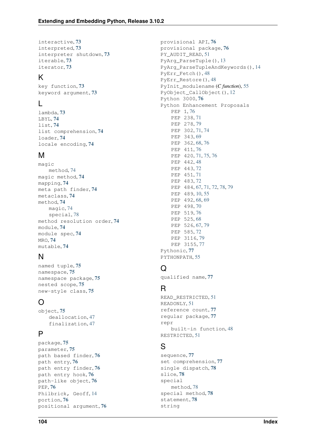```
interactive
, 73
interpreted
, 73
interpreter shutdown
, 73
iterable
, 73
iterator
, 73
```
# K

key func[tio](#page-76-3)n , **73** keyword [arg](#page-76-3)ument , **73**

## L

lambda , **73** LBYL , **74** list , **74** list comprehension , **74** loader , **[74](#page-76-3)** loca[le](#page-77-5) encoding , **74**

### M

magic method , 74 magic method , **74** mapping , **74** meta path finder , **74** metaclass , **[74](#page-77-5)** method , **74** magi[c](#page-77-5) , 74 special , 78 method re[sol](#page-77-5)utio[n o](#page-77-5)rder , **74** module , **[74](#page-77-5)** module sp[ec](#page-77-5) , **74** MRO , **74** mutable , **74**

# N

nam[ed](#page-77-5) tuple , **[75](#page-77-5)** namespa[ce](#page-77-5) , **75** namespace package , **75** nested scope , **75** new-style c[las](#page-78-5)s , **75**

# O

object , **75** deallocation , [47](#page-78-5) finalization , 47

### P

package , **75** parameter , **75** path based finder , **76** path entry , **76** path en[try](#page-78-5) finder , **76** path entr[y h](#page-78-5)ook , **76** path-like object , **7[6](#page-79-4)** PEP , **76** Philbrick, Geoff, 1[4](#page-79-4) portion , **76** positional argum[ent](#page-79-4) , **76**

provisional API , **76** provisional package , **76** PY\_AUDIT\_READ , 51 PyArg\_ParseTuple() , 13 PyArg\_ParseTupl[eAn](#page-79-4)dKeywords() , 14 PyErr\_Fetch() , 48 PyErr\_Restore[\(\)](#page-54-0) , 48 PyInit\_modulename (*[C fu](#page-16-0)nction*), 55 PyObject\_CallObject() , 12 Python 3000 , **76** Python Enhanc[ement](#page-51-0) Proposals PEP 1,76 PEP 238 , 71 PEP 278 , [79](#page-79-4) PEP 302, 71, 74 PEP 3[43](#page-79-4) , 69 PEP 362, [68](#page-74-7), 76 PEP 411 , [76](#page-82-2) PEP 420, [71](#page-74-7), [75](#page-77-5), 76 PEP 442,[48](#page-72-2) PEP 443 , [72](#page-71-3) PEP 451 , [71](#page-79-4) PEP 483 , [72](#page-74-7) PEP 484, [67](#page-51-0), 71, 72, 78, 79 PEP 489, [10](#page-75-4), 55 PEP 492, [68](#page-74-7), 69 PEP 498 , [70](#page-75-4) PEP 519 , [76](#page-70-3) PEP 525 , [68](#page-13-0) PEP 526, [67](#page-71-3), [79](#page-72-2) PEP 585,[72](#page-73-3) PEP 3116 , [7](#page-79-4)9 PEP 3155,[7](#page-71-3)7 Pythonic , **77** PYTHONPATH, [55](#page-75-4)

## $\Omega$

qualifie[d n](#page-80-2)ame , **77**

# R

READ\_RESTRICTED , 51 READONLY , 51 reference count , **77** regular package , **77** repr built[-in](#page-54-0) function , 48 RESTRICTED , 51

## S

sequence , **77** set compre[hen](#page-54-0)sion , **77** single dispatch , **78** slice , **78** special metho[d](#page-80-2) , 78 special method , **7[8](#page-81-7)** state[men](#page-81-7)t , **78** string